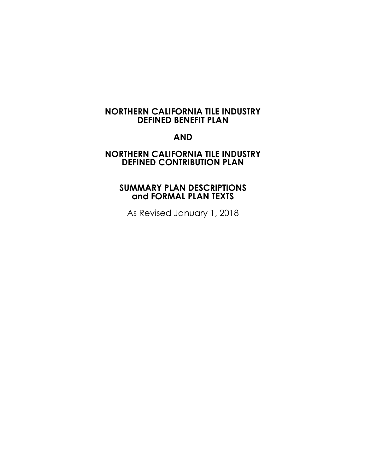# **NORTHERN CALIFORNIA TILE INDUSTRY DEFINED BENEFIT PLAN**

# **AND**

## **NORTHERN CALIFORNIA TILE INDUSTRY DEFINED CONTRIBUTION PLAN**

# **SUMMARY PLAN DESCRIPTIONS and FORMAL PLAN TEXTS**

As Revised January 1, 2018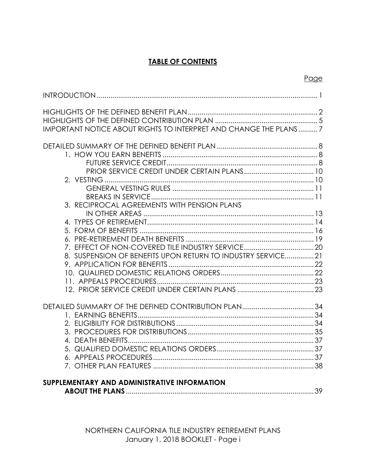# **TABLE OF CONTENTS**

Page

| IMPORTANT NOTICE ABOUT RIGHTS TO INTERPRET AND CHANGE THE PLANS7 |    |
|------------------------------------------------------------------|----|
|                                                                  |    |
|                                                                  |    |
|                                                                  |    |
|                                                                  |    |
|                                                                  |    |
|                                                                  |    |
|                                                                  |    |
| 3. RECIPROCAL AGREEMENTS WITH PENSION PLANS                      |    |
|                                                                  |    |
|                                                                  |    |
|                                                                  |    |
|                                                                  |    |
| 7. EFFECT OF NON-COVERED TILE INDUSTRY SERVICE 20                |    |
| 8. SUSPENSION OF BENEFITS UPON RETURN TO INDUSTRY SERVICE 21     |    |
|                                                                  |    |
|                                                                  |    |
|                                                                  |    |
|                                                                  |    |
|                                                                  |    |
|                                                                  |    |
|                                                                  |    |
|                                                                  |    |
|                                                                  |    |
|                                                                  |    |
|                                                                  |    |
|                                                                  |    |
| SUPPLEMENTARY AND ADMINISTRATIVE INFORMATION                     |    |
|                                                                  | 39 |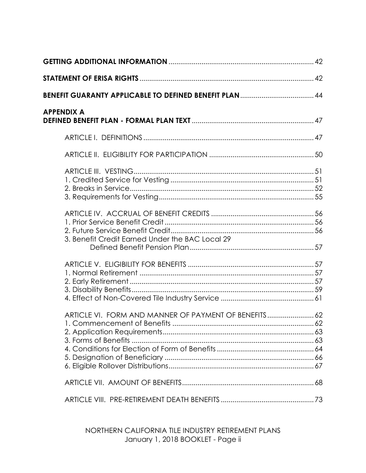| <b>APPENDIX A</b>                                     |  |
|-------------------------------------------------------|--|
|                                                       |  |
|                                                       |  |
|                                                       |  |
| 3. Benefit Credit Earned Under the BAC Local 29       |  |
|                                                       |  |
| ARTICLE VI. FORM AND MANNER OF PAYMENT OF BENEFITS 62 |  |
|                                                       |  |
|                                                       |  |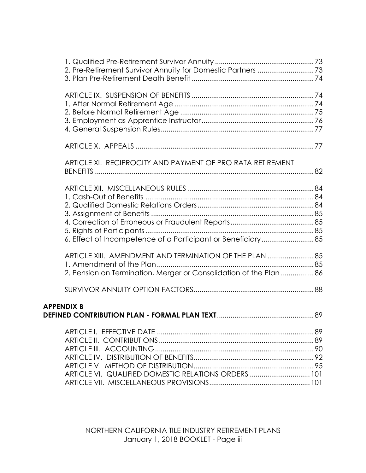| 2. Pre-Retirement Survivor Annuity for Domestic Partners 73        |  |
|--------------------------------------------------------------------|--|
|                                                                    |  |
|                                                                    |  |
|                                                                    |  |
|                                                                    |  |
|                                                                    |  |
|                                                                    |  |
|                                                                    |  |
| ARTICLE XI. RECIPROCITY AND PAYMENT OF PRO RATA RETIREMENT         |  |
|                                                                    |  |
|                                                                    |  |
|                                                                    |  |
|                                                                    |  |
|                                                                    |  |
|                                                                    |  |
|                                                                    |  |
|                                                                    |  |
| ARTICLE XIII. AMENDMENT AND TERMINATION OF THE PLAN  85            |  |
|                                                                    |  |
| 2. Pension on Termination, Merger or Consolidation of the Plan  86 |  |
|                                                                    |  |
| <b>APPENDIX B</b>                                                  |  |
|                                                                    |  |
|                                                                    |  |
|                                                                    |  |
|                                                                    |  |
|                                                                    |  |
|                                                                    |  |
| ARTICLE VI. QUALIFIED DOMESTIC RELATIONS ORDERS  101               |  |
|                                                                    |  |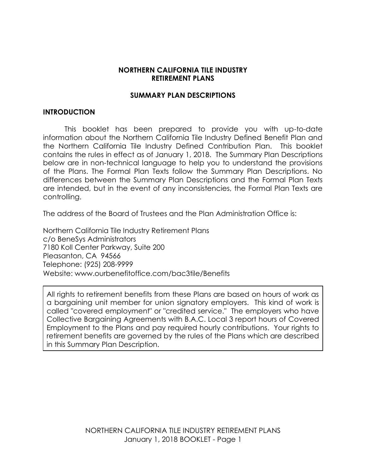### **NORTHERN CALIFORNIA TILE INDUSTRY RETIREMENT PLANS**

### **SUMMARY PLAN DESCRIPTIONS**

#### **INTRODUCTION**

This booklet has been prepared to provide you with up-to-date information about the Northern California Tile Industry Defined Benefit Plan and the Northern California Tile Industry Defined Contribution Plan. This booklet contains the rules in effect as of January 1, 2018. The Summary Plan Descriptions below are in non-technical language to help you to understand the provisions of the Plans. The Formal Plan Texts follow the Summary Plan Descriptions. No differences between the Summary Plan Descriptions and the Formal Plan Texts are intended, but in the event of any inconsistencies, the Formal Plan Texts are controlling.

The address of the Board of Trustees and the Plan Administration Office is:

Northern California Tile Industry Retirement Plans c/o BeneSys Administrators 7180 Koll Center Parkway, Suite 200 Pleasanton, CA 94566 Telephone: (925) 208-9999 Website: www.ourbenefitoffice.com/bac3tile/Benefits

All rights to retirement benefits from these Plans are based on hours of work as a bargaining unit member for union signatory employers. This kind of work is called "covered employment" or "credited service." The employers who have Collective Bargaining Agreements with B.A.C. Local 3 report hours of Covered Employment to the Plans and pay required hourly contributions. Your rights to retirement benefits are governed by the rules of the Plans which are described in this Summary Plan Description.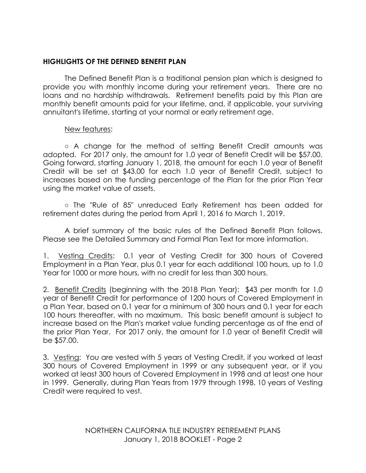## **HIGHLIGHTS OF THE DEFINED BENEFIT PLAN**

The Defined Benefit Plan is a traditional pension plan which is designed to provide you with monthly income during your retirement years. There are no loans and no hardship withdrawals. Retirement benefits paid by this Plan are monthly benefit amounts paid for your lifetime, and, if applicable, your surviving annuitant's lifetime, starting at your normal or early retirement age.

### New features:

○ A change for the method of setting Benefit Credit amounts was adopted. For 2017 only, the amount for 1.0 year of Benefit Credit will be \$57.00. Going forward, starting January 1, 2018, the amount for each 1.0 year of Benefit Credit will be set at \$43.00 for each 1.0 year of Benefit Credit, subject to increases based on the funding percentage of the Plan for the prior Plan Year using the market value of assets.

○ The "Rule of 85" unreduced Early Retirement has been added for retirement dates during the period from April 1, 2016 to March 1, 2019.

A brief summary of the basic rules of the Defined Benefit Plan follows. Please see the Detailed Summary and Formal Plan Text for more information.

1. Vesting Credits: 0.1 year of Vesting Credit for 300 hours of Covered Employment in a Plan Year, plus 0.1 year for each additional 100 hours, up to 1.0 Year for 1000 or more hours, with no credit for less than 300 hours.

2. Benefit Credits (beginning with the 2018 Plan Year): \$43 per month for 1.0 year of Benefit Credit for performance of 1200 hours of Covered Employment in a Plan Year, based on 0.1 year for a minimum of 300 hours and 0.1 year for each 100 hours thereafter, with no maximum. This basic benefit amount is subject to increase based on the Plan's market value funding percentage as of the end of the prior Plan Year. For 2017 only, the amount for 1.0 year of Benefit Credit will be \$57.00.

3. Vesting: You are vested with 5 years of Vesting Credit, if you worked at least 300 hours of Covered Employment in 1999 or any subsequent year, or if you worked at least 300 hours of Covered Employment in 1998 and at least one hour in 1999. Generally, during Plan Years from 1979 through 1998, 10 years of Vesting Credit were required to vest.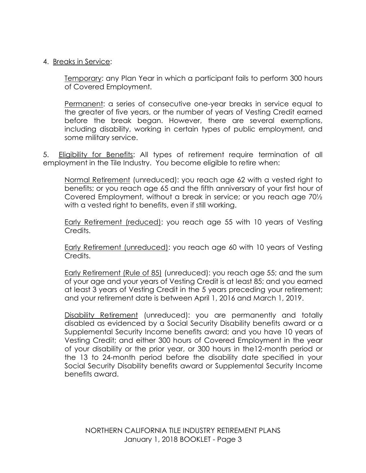### 4. Breaks in Service:

Temporary: any Plan Year in which a participant fails to perform 300 hours of Covered Employment.

Permanent: a series of consecutive one-year breaks in service equal to the greater of five years, or the number of years of Vesting Credit earned before the break began. However, there are several exemptions, including disability, working in certain types of public employment, and some military service.

5. Eligibility for Benefits: All types of retirement require termination of all employment in the Tile Industry. You become eligible to retire when:

Normal Retirement (unreduced): you reach age 62 with a vested right to benefits; or you reach age 65 and the fifth anniversary of your first hour of Covered Employment, without a break in service; or you reach age 70½ with a vested right to benefits, even if still working.

Early Retirement (reduced): you reach age 55 with 10 years of Vesting Credits.

Early Retirement (unreduced): you reach age 60 with 10 years of Vesting Credits.

Early Retirement (Rule of 85) (unreduced): you reach age 55; and the sum of your age and your years of Vesting Credit is at least 85; and you earned at least 3 years of Vesting Credit in the 5 years preceding your retirement; and your retirement date is between April 1, 2016 and March 1, 2019.

Disability Retirement (unreduced): you are permanently and totally disabled as evidenced by a Social Security Disability benefits award or a Supplemental Security Income benefits award; and you have 10 years of Vesting Credit; and either 300 hours of Covered Employment in the year of your disability or the prior year, or 300 hours in the12-month period or the 13 to 24-month period before the disability date specified in your Social Security Disability benefits award or Supplemental Security Income benefits award.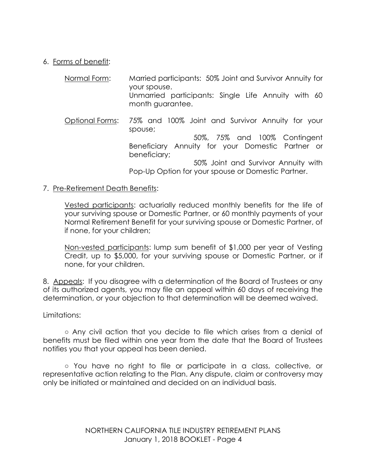## 6. Forms of benefit:

| Normal Form:    | Married participants: 50% Joint and Survivor Annuity for<br>your spouse.<br>Unmarried participants: Single Life Annuity with 60<br>month guarantee.             |
|-----------------|-----------------------------------------------------------------------------------------------------------------------------------------------------------------|
| Optional Forms: | 75% and 100% Joint and Survivor Annuity for your<br>spouse;<br>50%, 75% and 100% Contingent<br>Beneficiary Annuity for your Domestic Partner or<br>beneficiary; |
|                 | 50% Joint and Survivor Annuity with<br>Pop-Up Option for your spouse or Domestic Partner.                                                                       |

### 7. Pre-Retirement Death Benefits:

Vested participants: actuarially reduced monthly benefits for the life of your surviving spouse or Domestic Partner, or 60 monthly payments of your Normal Retirement Benefit for your surviving spouse or Domestic Partner, of if none, for your children;

Non-vested participants: lump sum benefit of \$1,000 per year of Vesting Credit, up to \$5,000, for your surviving spouse or Domestic Partner, or if none, for your children.

8. Appeals: If you disagree with a determination of the Board of Trustees or any of its authorized agents, you may file an appeal within 60 days of receiving the determination, or your objection to that determination will be deemed waived.

### Limitations:

**○** Any civil action that you decide to file which arises from a denial of benefits must be filed within one year from the date that the Board of Trustees notifies you that your appeal has been denied.

○ You have no right to file or participate in a class, collective, or representative action relating to the Plan. Any dispute, claim or controversy may only be initiated or maintained and decided on an individual basis.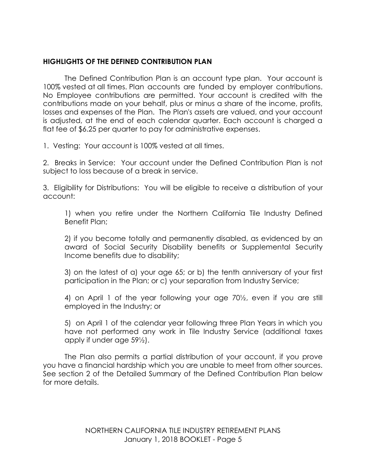## **HIGHLIGHTS OF THE DEFINED CONTRIBUTION PLAN**

The Defined Contribution Plan is an account type plan. Your account is 100% vested at all times. Plan accounts are funded by employer contributions. No Employee contributions are permitted. Your account is credited with the contributions made on your behalf, plus or minus a share of the income, profits, losses and expenses of the Plan. The Plan's assets are valued, and your account is adjusted, at the end of each calendar quarter. Each account is charged a flat fee of \$6.25 per quarter to pay for administrative expenses.

1. Vesting: Your account is 100% vested at all times.

2. Breaks in Service: Your account under the Defined Contribution Plan is not subject to loss because of a break in service.

3. Eligibility for Distributions: You will be eligible to receive a distribution of your account:

1) when you retire under the Northern California Tile Industry Defined Benefit Plan;

2) if you become totally and permanently disabled, as evidenced by an award of Social Security Disability benefits or Supplemental Security Income benefits due to disability;

3) on the latest of a) your age 65; or b) the tenth anniversary of your first participation in the Plan; or c) your separation from Industry Service;

4) on April 1 of the year following your age 70½, even if you are still employed in the Industry; or

5) on April 1 of the calendar year following three Plan Years in which you have not performed any work in Tile Industry Service (additional taxes apply if under age 59½).

The Plan also permits a partial distribution of your account, if you prove you have a financial hardship which you are unable to meet from other sources. See section 2 of the Detailed Summary of the Defined Contribution Plan below for more details.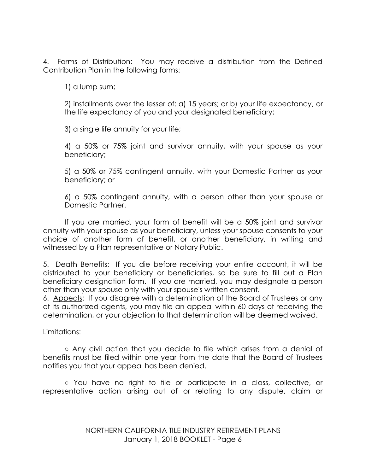4. Forms of Distribution: You may receive a distribution from the Defined Contribution Plan in the following forms:

1) a lump sum;

2) installments over the lesser of: a) 15 years; or b) your life expectancy, or the life expectancy of you and your designated beneficiary;

3) a single life annuity for your life;

4) a 50% or 75% joint and survivor annuity, with your spouse as your beneficiary;

5) a 50% or 75% contingent annuity, with your Domestic Partner as your beneficiary; or

6) a 50% contingent annuity, with a person other than your spouse or Domestic Partner.

If you are married, your form of benefit will be a 50% joint and survivor annuity with your spouse as your beneficiary, unless your spouse consents to your choice of another form of benefit, or another beneficiary, in writing and witnessed by a Plan representative or Notary Public.

5. Death Benefits: If you die before receiving your entire account, it will be distributed to your beneficiary or beneficiaries, so be sure to fill out a Plan beneficiary designation form. If you are married, you may designate a person other than your spouse only with your spouse's written consent.

6. Appeals: If you disagree with a determination of the Board of Trustees or any of its authorized agents, you may file an appeal within 60 days of receiving the determination, or your objection to that determination will be deemed waived.

Limitations:

**○** Any civil action that you decide to file which arises from a denial of benefits must be filed within one year from the date that the Board of Trustees notifies you that your appeal has been denied.

○ You have no right to file or participate in a class, collective, or representative action arising out of or relating to any dispute, claim or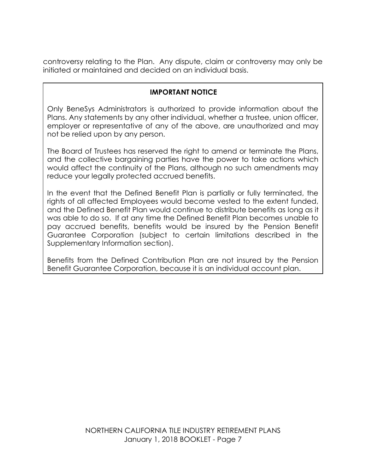controversy relating to the Plan. Any dispute, claim or controversy may only be initiated or maintained and decided on an individual basis.

## **IMPORTANT NOTICE**

Only BeneSys Administrators is authorized to provide information about the Plans. Any statements by any other individual, whether a trustee, union officer, employer or representative of any of the above, are unauthorized and may not be relied upon by any person.

The Board of Trustees has reserved the right to amend or terminate the Plans, and the collective bargaining parties have the power to take actions which would affect the continuity of the Plans, although no such amendments may reduce your legally protected accrued benefits.

In the event that the Defined Benefit Plan is partially or fully terminated, the rights of all affected Employees would become vested to the extent funded, and the Defined Benefit Plan would continue to distribute benefits as long as it was able to do so. If at any time the Defined Benefit Plan becomes unable to pay accrued benefits, benefits would be insured by the Pension Benefit Guarantee Corporation (subject to certain limitations described in the Supplementary Information section).

Benefits from the Defined Contribution Plan are not insured by the Pension Benefit Guarantee Corporation, because it is an individual account plan.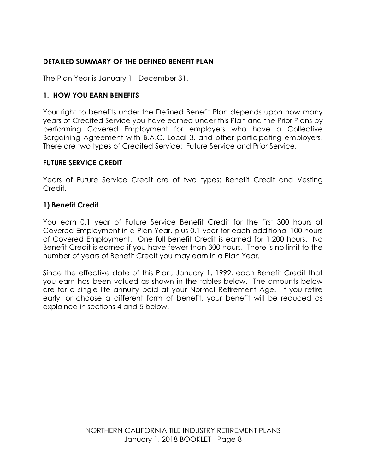# **DETAILED SUMMARY OF THE DEFINED BENEFIT PLAN**

The Plan Year is January 1 - December 31.

## **1. HOW YOU EARN BENEFITS**

Your right to benefits under the Defined Benefit Plan depends upon how many years of Credited Service you have earned under this Plan and the Prior Plans by performing Covered Employment for employers who have a Collective Bargaining Agreement with B.A.C. Local 3, and other participating employers. There are two types of Credited Service: Future Service and Prior Service.

## **FUTURE SERVICE CREDIT**

Years of Future Service Credit are of two types: Benefit Credit and Vesting Credit.

## **1) Benefit Credit**

You earn 0.1 year of Future Service Benefit Credit for the first 300 hours of Covered Employment in a Plan Year, plus 0.1 year for each additional 100 hours of Covered Employment. One full Benefit Credit is earned for 1,200 hours. No Benefit Credit is earned if you have fewer than 300 hours. There is no limit to the number of years of Benefit Credit you may earn in a Plan Year.

Since the effective date of this Plan, January 1, 1992, each Benefit Credit that you earn has been valued as shown in the tables below. The amounts below are for a single life annuity paid at your Normal Retirement Age. If you retire early, or choose a different form of benefit, your benefit will be reduced as explained in sections 4 and 5 below.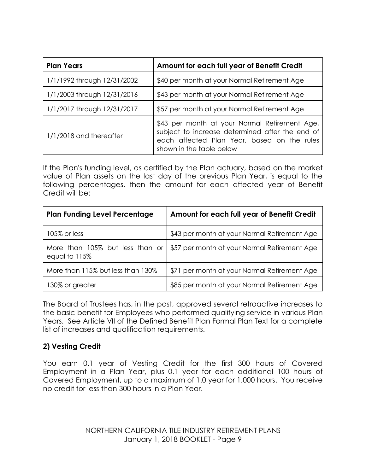| <b>Plan Years</b>           | Amount for each full year of Benefit Credit                                                                                                                                 |  |
|-----------------------------|-----------------------------------------------------------------------------------------------------------------------------------------------------------------------------|--|
| 1/1/1992 through 12/31/2002 | \$40 per month at your Normal Retirement Age                                                                                                                                |  |
| 1/1/2003 through 12/31/2016 | \$43 per month at your Normal Retirement Age                                                                                                                                |  |
| 1/1/2017 through 12/31/2017 | \$57 per month at your Normal Retirement Age                                                                                                                                |  |
| $1/1/2018$ and thereafter   | \$43 per month at your Normal Retirement Age,<br>subject to increase determined after the end of<br>each affected Plan Year, based on the rules<br>shown in the table below |  |

If the Plan's funding level, as certified by the Plan actuary, based on the market value of Plan assets on the last day of the previous Plan Year, is equal to the following percentages, then the amount for each affected year of Benefit Credit will be:

| <b>Plan Funding Level Percentage</b>             | Amount for each full year of Benefit Credit  |
|--------------------------------------------------|----------------------------------------------|
| 105% or less                                     | \$43 per month at your Normal Retirement Age |
| More than 105% but less than or<br>equal to 115% | \$57 per month at your Normal Retirement Age |
| More than 115% but less than 130%                | \$71 per month at your Normal Retirement Age |
| 130% or greater                                  | \$85 per month at your Normal Retirement Age |

The Board of Trustees has, in the past, approved several retroactive increases to the basic benefit for Employees who performed qualifying service in various Plan Years. See Article VII of the Defined Benefit Plan Formal Plan Text for a complete list of increases and qualification requirements.

# **2) Vesting Credit**

You earn 0.1 year of Vesting Credit for the first 300 hours of Covered Employment in a Plan Year, plus 0.1 year for each additional 100 hours of Covered Employment, up to a maximum of 1.0 year for 1,000 hours. You receive no credit for less than 300 hours in a Plan Year.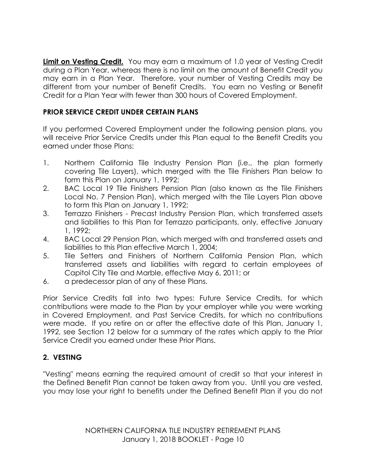**Limit on Vesting Credit.** You may earn a maximum of 1.0 year of Vesting Credit during a Plan Year, whereas there is no limit on the amount of Benefit Credit you may earn in a Plan Year. Therefore, your number of Vesting Credits may be different from your number of Benefit Credits. You earn no Vesting or Benefit Credit for a Plan Year with fewer than 300 hours of Covered Employment.

# **PRIOR SERVICE CREDIT UNDER CERTAIN PLANS**

If you performed Covered Employment under the following pension plans, you will receive Prior Service Credits under this Plan equal to the Benefit Credits you earned under those Plans:

- 1. Northern California Tile Industry Pension Plan (i.e., the plan formerly covering Tile Layers), which merged with the Tile Finishers Plan below to form this Plan on January 1, 1992;
- 2. BAC Local 19 Tile Finishers Pension Plan (also known as the Tile Finishers Local No. 7 Pension Plan), which merged with the Tile Layers Plan above to form this Plan on January 1, 1992;
- 3. Terrazzo Finishers Precast Industry Pension Plan, which transferred assets and liabilities to this Plan for Terrazzo participants, only, effective January 1, 1992;
- 4. BAC Local 29 Pension Plan, which merged with and transferred assets and liabilities to this Plan effective March 1, 2004;
- 5. Tile Setters and Finishers of Northern California Pension Plan, which transferred assets and liabilities with regard to certain employees of Capitol City Tile and Marble, effective May 6, 2011; or
- 6. a predecessor plan of any of these Plans.

Prior Service Credits fall into two types: Future Service Credits, for which contributions were made to the Plan by your employer while you were working in Covered Employment, and Past Service Credits, for which no contributions were made. If you retire on or after the effective date of this Plan, January 1, 1992, see Section 12 below for a summary of the rates which apply to the Prior Service Credit you earned under these Prior Plans.

# **2. VESTING**

"Vesting" means earning the required amount of credit so that your interest in the Defined Benefit Plan cannot be taken away from you. Until you are vested, you may lose your right to benefits under the Defined Benefit Plan if you do not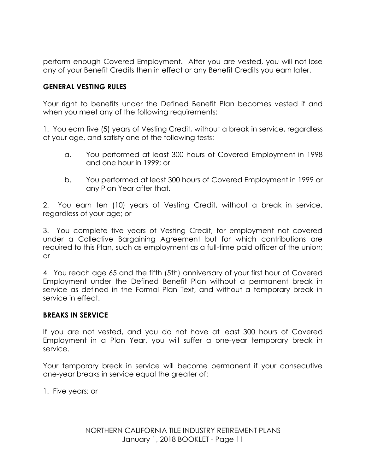perform enough Covered Employment. After you are vested, you will not lose any of your Benefit Credits then in effect or any Benefit Credits you earn later.

### **GENERAL VESTING RULES**

Your right to benefits under the Defined Benefit Plan becomes vested if and when you meet any of the following requirements:

1. You earn five (5) years of Vesting Credit, without a break in service, regardless of your age, and satisfy one of the following tests:

- a. You performed at least 300 hours of Covered Employment in 1998 and one hour in 1999; or
- b. You performed at least 300 hours of Covered Employment in 1999 or any Plan Year after that.

2. You earn ten (10) years of Vesting Credit, without a break in service, regardless of your age; or

3. You complete five years of Vesting Credit, for employment not covered under a Collective Bargaining Agreement but for which contributions are required to this Plan, such as employment as a full-time paid officer of the union; or

4. You reach age 65 and the fifth (5th) anniversary of your first hour of Covered Employment under the Defined Benefit Plan without a permanent break in service as defined in the Formal Plan Text, and without a temporary break in service in effect.

### **BREAKS IN SERVICE**

If you are not vested, and you do not have at least 300 hours of Covered Employment in a Plan Year, you will suffer a one-year temporary break in service.

Your temporary break in service will become permanent if your consecutive one-year breaks in service equal the greater of:

1. Five years; or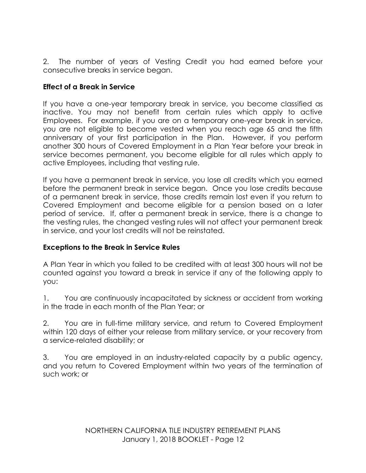2. The number of years of Vesting Credit you had earned before your consecutive breaks in service began.

# **Effect of a Break in Service**

If you have a one-year temporary break in service, you become classified as inactive. You may not benefit from certain rules which apply to active Employees. For example, if you are on a temporary one-year break in service, you are not eligible to become vested when you reach age 65 and the fifth anniversary of your first participation in the Plan. However, if you perform another 300 hours of Covered Employment in a Plan Year before your break in service becomes permanent, you become eligible for all rules which apply to active Employees, including that vesting rule.

If you have a permanent break in service, you lose all credits which you earned before the permanent break in service began. Once you lose credits because of a permanent break in service, those credits remain lost even if you return to Covered Employment and become eligible for a pension based on a later period of service. If, after a permanent break in service, there is a change to the vesting rules, the changed vesting rules will not affect your permanent break in service, and your lost credits will not be reinstated.

## **Exceptions to the Break in Service Rules**

A Plan Year in which you failed to be credited with at least 300 hours will not be counted against you toward a break in service if any of the following apply to you:

1. You are continuously incapacitated by sickness or accident from working in the trade in each month of the Plan Year; or

2. You are in full-time military service, and return to Covered Employment within 120 days of either your release from military service, or your recovery from a service-related disability; or

3. You are employed in an industry-related capacity by a public agency, and you return to Covered Employment within two years of the termination of such work; or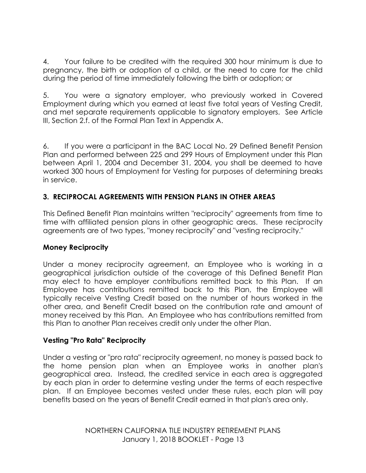4. Your failure to be credited with the required 300 hour minimum is due to pregnancy, the birth or adoption of a child, or the need to care for the child during the period of time immediately following the birth or adoption; or

5. You were a signatory employer, who previously worked in Covered Employment during which you earned at least five total years of Vesting Credit, and met separate requirements applicable to signatory employers. See Article III, Section 2.f. of the Formal Plan Text in Appendix A.

6. If you were a participant in the BAC Local No. 29 Defined Benefit Pension Plan and performed between 225 and 299 Hours of Employment under this Plan between April 1, 2004 and December 31, 2004, you shall be deemed to have worked 300 hours of Employment for Vesting for purposes of determining breaks in service.

# **3. RECIPROCAL AGREEMENTS WITH PENSION PLANS IN OTHER AREAS**

This Defined Benefit Plan maintains written "reciprocity" agreements from time to time with affiliated pension plans in other geographic areas. These reciprocity agreements are of two types, "money reciprocity" and "vesting reciprocity."

# **Money Reciprocity**

Under a money reciprocity agreement, an Employee who is working in a geographical jurisdiction outside of the coverage of this Defined Benefit Plan may elect to have employer contributions remitted back to this Plan. If an Employee has contributions remitted back to this Plan, the Employee will typically receive Vesting Credit based on the number of hours worked in the other area, and Benefit Credit based on the contribution rate and amount of money received by this Plan. An Employee who has contributions remitted from this Plan to another Plan receives credit only under the other Plan.

## **Vesting "Pro Rata" Reciprocity**

Under a vesting or "pro rata" reciprocity agreement, no money is passed back to the home pension plan when an Employee works in another plan's geographical area. Instead, the credited service in each area is aggregated by each plan in order to determine vesting under the terms of each respective plan. If an Employee becomes vested under these rules, each plan will pay benefits based on the years of Benefit Credit earned in that plan's area only.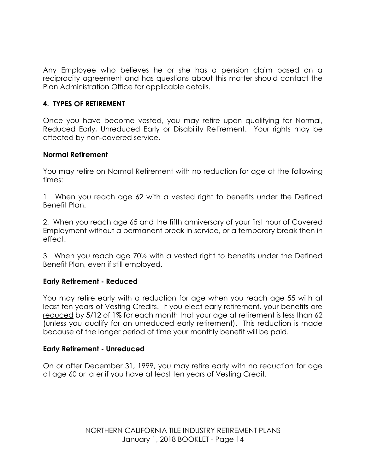Any Employee who believes he or she has a pension claim based on a reciprocity agreement and has questions about this matter should contact the Plan Administration Office for applicable details.

## **4. TYPES OF RETIREMENT**

Once you have become vested, you may retire upon qualifying for Normal, Reduced Early, Unreduced Early or Disability Retirement. Your rights may be affected by non-covered service.

### **Normal Retirement**

You may retire on Normal Retirement with no reduction for age at the following times:

1. When you reach age 62 with a vested right to benefits under the Defined Benefit Plan.

2. When you reach age 65 and the fifth anniversary of your first hour of Covered Employment without a permanent break in service, or a temporary break then in effect.

3. When you reach age 70½ with a vested right to benefits under the Defined Benefit Plan, even if still employed.

### **Early Retirement - Reduced**

You may retire early with a reduction for age when you reach age 55 with at least ten years of Vesting Credits. If you elect early retirement, your benefits are reduced by 5/12 of 1% for each month that your age at retirement is less than 62 (unless you qualify for an unreduced early retirement). This reduction is made because of the longer period of time your monthly benefit will be paid.

## **Early Retirement - Unreduced**

On or after December 31, 1999, you may retire early with no reduction for age at age 60 or later if you have at least ten years of Vesting Credit.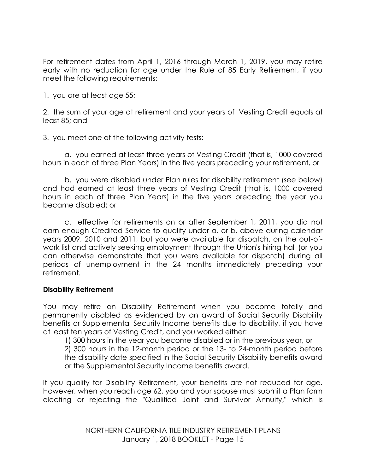For retirement dates from April 1, 2016 through March 1, 2019, you may retire early with no reduction for age under the Rule of 85 Early Retirement, if you meet the following requirements:

1. you are at least age 55;

2. the sum of your age at retirement and your years of Vesting Credit equals at least 85; and

3. you meet one of the following activity tests:

a. you earned at least three years of Vesting Credit (that is, 1000 covered hours in each of three Plan Years) in the five years preceding your retirement, or

b. you were disabled under Plan rules for disability retirement (see below) and had earned at least three years of Vesting Credit (that is, 1000 covered hours in each of three Plan Years) in the five years preceding the year you became disabled; or

c. effective for retirements on or after September 1, 2011, you did not earn enough Credited Service to qualify under a. or b. above during calendar years 2009, 2010 and 2011, but you were available for dispatch, on the out-ofwork list and actively seeking employment through the Union's hiring hall (or you can otherwise demonstrate that you were available for dispatch) during all periods of unemployment in the 24 months immediately preceding your retirement.

### **Disability Retirement**

You may retire on Disability Retirement when you become totally and permanently disabled as evidenced by an award of Social Security Disability benefits or Supplemental Security Income benefits due to disability, if you have at least ten years of Vesting Credit, and you worked either:

1) 300 hours in the year you become disabled or in the previous year, or

2) 300 hours in the 12-month period or the 13- to 24-month period before the disability date specified in the Social Security Disability benefits award or the Supplemental Security Income benefits award.

If you qualify for Disability Retirement, your benefits are not reduced for age. However, when you reach age 62, you and your spouse must submit a Plan form electing or rejecting the "Qualified Joint and Survivor Annuity," which is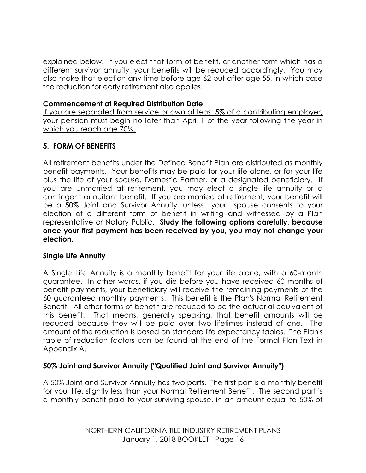explained below. If you elect that form of benefit, or another form which has a different survivor annuity, your benefits will be reduced accordingly. You may also make that election any time before age 62 but after age 55, in which case the reduction for early retirement also applies.

## **Commencement at Required Distribution Date**

If you are separated from service or own at least 5% of a contributing employer, your pension must begin no later than April 1 of the year following the year in which you reach age 70½.

# **5. FORM OF BENEFITS**

All retirement benefits under the Defined Benefit Plan are distributed as monthly benefit payments. Your benefits may be paid for your life alone, or for your life plus the life of your spouse, Domestic Partner, or a designated beneficiary. If you are unmarried at retirement, you may elect a single life annuity or a contingent annuitant benefit. If you are married at retirement, your benefit will be a 50% Joint and Survivor Annuity, unless your spouse consents to your election of a different form of benefit in writing and witnessed by a Plan representative or Notary Public. **Study the following options carefully, because once your first payment has been received by you, you may not change your election.**

# **Single Life Annuity**

A Single Life Annuity is a monthly benefit for your life alone, with a 60-month guarantee. In other words, if you die before you have received 60 months of benefit payments, your beneficiary will receive the remaining payments of the 60 guaranteed monthly payments. This benefit is the Plan's Normal Retirement Benefit. All other forms of benefit are reduced to be the actuarial equivalent of this benefit. That means, generally speaking, that benefit amounts will be reduced because they will be paid over two lifetimes instead of one. The amount of the reduction is based on standard life expectancy tables. The Plan's table of reduction factors can be found at the end of the Formal Plan Text in Appendix A.

# **50% Joint and Survivor Annuity ("Qualified Joint and Survivor Annuity")**

A 50% Joint and Survivor Annuity has two parts. The first part is a monthly benefit for your life, slightly less than your Normal Retirement Benefit. The second part is a monthly benefit paid to your surviving spouse, in an amount equal to 50% of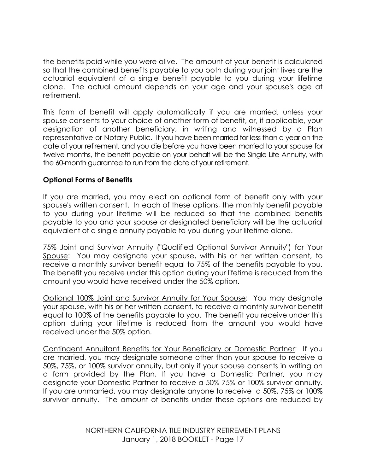the benefits paid while you were alive. The amount of your benefit is calculated so that the combined benefits payable to you both during your joint lives are the actuarial equivalent of a single benefit payable to you during your lifetime alone. The actual amount depends on your age and your spouse's age at retirement.

This form of benefit will apply automatically if you are married, unless your spouse consents to your choice of another form of benefit, or, if applicable, your designation of another beneficiary, in writing and witnessed by a Plan representative or Notary Public. If you have been married for less than a year on the date of your retirement, and you die before you have been married to your spouse for twelve months, the benefit payable on your behalf will be the Single Life Annuity, with the 60-month guarantee to run from the date of your retirement.

## **Optional Forms of Benefits**

If you are married, you may elect an optional form of benefit only with your spouse's written consent. In each of these options, the monthly benefit payable to you during your lifetime will be reduced so that the combined benefits payable to you and your spouse or designated beneficiary will be the actuarial equivalent of a single annuity payable to you during your lifetime alone.

75% Joint and Survivor Annuity ("Qualified Optional Survivor Annuity") for Your Spouse: You may designate your spouse, with his or her written consent, to receive a monthly survivor benefit equal to 75% of the benefits payable to you. The benefit you receive under this option during your lifetime is reduced from the amount you would have received under the 50% option.

Optional 100% Joint and Survivor Annuity for Your Spouse: You may designate your spouse, with his or her written consent, to receive a monthly survivor benefit equal to 100% of the benefits payable to you. The benefit you receive under this option during your lifetime is reduced from the amount you would have received under the 50% option.

Contingent Annuitant Benefits for Your Beneficiary or Domestic Partner: If you are married, you may designate someone other than your spouse to receive a 50%, 75%, or 100% survivor annuity, but only if your spouse consents in writing on a form provided by the Plan. If you have a Domestic Partner, you may designate your Domestic Partner to receive a 50% 75% or 100% survivor annuity. If you are unmarried, you may designate anyone to receive a 50%, 75% or 100% survivor annuity. The amount of benefits under these options are reduced by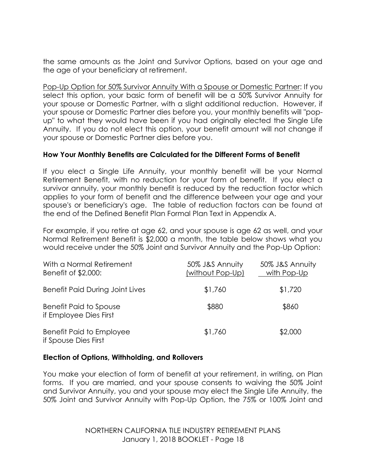the same amounts as the Joint and Survivor Options, based on your age and the age of your beneficiary at retirement.

Pop-Up Option for 50% Survivor Annuity With a Spouse or Domestic Partner: If you select this option, your basic form of benefit will be a 50% Survivor Annuity for your spouse or Domestic Partner, with a slight additional reduction. However, if your spouse or Domestic Partner dies before you, your monthly benefits will "popup" to what they would have been if you had originally elected the Single Life Annuity. If you do not elect this option, your benefit amount will not change if your spouse or Domestic Partner dies before you.

### **How Your Monthly Benefits are Calculated for the Different Forms of Benefit**

If you elect a Single Life Annuity, your monthly benefit will be your Normal Retirement Benefit, with no reduction for your form of benefit. If you elect a survivor annuity, your monthly benefit is reduced by the reduction factor which applies to your form of benefit and the difference between your age and your spouse's or beneficiary's age. The table of reduction factors can be found at the end of the Defined Benefit Plan Formal Plan Text in Appendix A.

For example, if you retire at age 62, and your spouse is age 62 as well, and your Normal Retirement Benefit is \$2,000 a month, the table below shows what you would receive under the 50% Joint and Survivor Annuity and the Pop-Up Option:

| With a Normal Retirement<br>Benefit of \$2,000:         | 50% J&S Annuity<br>(without Pop-Up) | 50% J&S Annuity<br>with Pop-Up |
|---------------------------------------------------------|-------------------------------------|--------------------------------|
| <b>Benefit Paid During Joint Lives</b>                  | \$1,760                             | \$1,720                        |
| <b>Benefit Paid to Spouse</b><br>if Employee Dies First | \$880                               | \$860                          |
| <b>Benefit Paid to Employee</b><br>if Spouse Dies First | \$1,760                             | \$2,000                        |

### **Election of Options, Withholding, and Rollovers**

You make your election of form of benefit at your retirement, in writing, on Plan forms. If you are married, and your spouse consents to waiving the 50% Joint and Survivor Annuity, you and your spouse may elect the Single Life Annuity, the 50% Joint and Survivor Annuity with Pop-Up Option, the 75% or 100% Joint and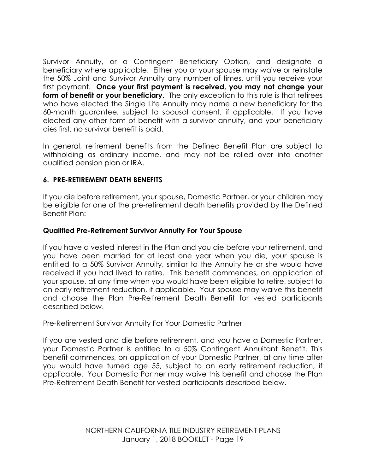Survivor Annuity, or a Contingent Beneficiary Option, and designate a beneficiary where applicable. Either you or your spouse may waive or reinstate the 50% Joint and Survivor Annuity any number of times, until you receive your first payment. **Once your first payment is received, you may not change your form of benefit or your beneficiary**. The only exception to this rule is that retirees who have elected the Single Life Annuity may name a new beneficiary for the 60-month guarantee, subject to spousal consent, if applicable. If you have elected any other form of benefit with a survivor annuity, and your beneficiary dies first, no survivor benefit is paid.

In general, retirement benefits from the Defined Benefit Plan are subject to withholding as ordinary income, and may not be rolled over into another qualified pension plan or IRA.

# **6. PRE-RETIREMENT DEATH BENEFITS**

If you die before retirement, your spouse, Domestic Partner, or your children may be eligible for one of the pre-retirement death benefits provided by the Defined Benefit Plan:

## **Qualified Pre-Retirement Survivor Annuity For Your Spouse**

If you have a vested interest in the Plan and you die before your retirement, and you have been married for at least one year when you die, your spouse is entitled to a 50% Survivor Annuity, similar to the Annuity he or she would have received if you had lived to retire. This benefit commences, on application of your spouse, at any time when you would have been eligible to retire, subject to an early retirement reduction, if applicable. Your spouse may waive this benefit and choose the Plan Pre-Retirement Death Benefit for vested participants described below.

Pre-Retirement Survivor Annuity For Your Domestic Partner

If you are vested and die before retirement, and you have a Domestic Partner, your Domestic Partner is entitled to a 50% Contingent Annuitant Benefit. This benefit commences, on application of your Domestic Partner, at any time after you would have turned age 55, subject to an early retirement reduction, if applicable. Your Domestic Partner may waive this benefit and choose the Plan Pre-Retirement Death Benefit for vested participants described below.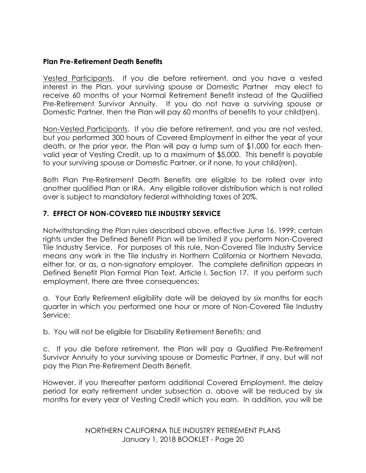## **Plan Pre-Retirement Death Benefits**

Vested Participants. If you die before retirement, and you have a vested interest in the Plan, your surviving spouse or Domestic Partner may elect to receive 60 months of your Normal Retirement Benefit instead of the Qualified Pre-Retirement Survivor Annuity. If you do not have a surviving spouse or Domestic Partner, then the Plan will pay 60 months of benefits to your child(ren).

Non-Vested Participants. If you die before retirement, and you are not vested, but you performed 300 hours of Covered Employment in either the year of your death, or the prior year, the Plan will pay a lump sum of \$1,000 for each thenvalid year of Vesting Credit, up to a maximum of \$5,000. This benefit is payable to your surviving spouse or Domestic Partner, or if none, to your child(ren).

Both Plan Pre-Retirement Death Benefits are eligible to be rolled over into another qualified Plan or IRA. Any eligible rollover distribution which is not rolled over is subject to mandatory federal withholding taxes of 20%.

# **7. EFFECT OF NON-COVERED TILE INDUSTRY SERVICE**

Notwithstanding the Plan rules described above, effective June 16, 1999, certain rights under the Defined Benefit Plan will be limited if you perform Non-Covered Tile Industry Service. For purposes of this rule, Non-Covered Tile Industry Service means any work in the Tile Industry in Northern California or Northern Nevada, either for, or as, a non-signatory employer. The complete definition appears in Defined Benefit Plan Formal Plan Text, Article I, Section 17. If you perform such employment, there are three consequences:

a. Your Early Retirement eligibility date will be delayed by six months for each quarter in which you performed one hour or more of Non-Covered Tile Industry Service;

b. You will not be eligible for Disability Retirement Benefits; and

c. If you die before retirement, the Plan will pay a Qualified Pre-Retirement Survivor Annuity to your surviving spouse or Domestic Partner, if any, but will not pay the Plan Pre-Retirement Death Benefit.

However, if you thereafter perform additional Covered Employment, the delay period for early retirement under subsection a. above will be reduced by six months for every year of Vesting Credit which you earn. In addition, you will be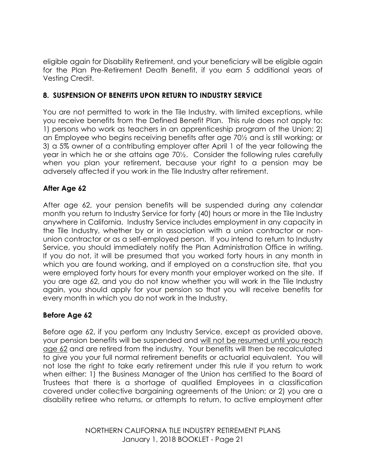eligible again for Disability Retirement, and your beneficiary will be eligible again for the Plan Pre-Retirement Death Benefit, if you earn 5 additional years of Vesting Credit.

# **8. SUSPENSION OF BENEFITS UPON RETURN TO INDUSTRY SERVICE**

You are not permitted to work in the Tile Industry, with limited exceptions, while you receive benefits from the Defined Benefit Plan. This rule does not apply to: 1) persons who work as teachers in an apprenticeship program of the Union; 2) an Employee who begins receiving benefits after age 70½ and is still working; or 3) a 5% owner of a contributing employer after April 1 of the year following the year in which he or she attains age 70½. Consider the following rules carefully when you plan your retirement, because your right to a pension may be adversely affected if you work in the Tile Industry after retirement.

# **After Age 62**

After age 62, your pension benefits will be suspended during any calendar month you return to Industry Service for forty (40) hours or more in the Tile Industry anywhere in California. Industry Service includes employment in any capacity in the Tile Industry, whether by or in association with a union contractor or nonunion contractor or as a self-employed person. If you intend to return to Industry Service, you should immediately notify the Plan Administration Office in writing. If you do not, it will be presumed that you worked forty hours in any month in which you are found working, and if employed on a construction site, that you were employed forty hours for every month your employer worked on the site. If you are age 62, and you do not know whether you will work in the Tile Industry again, you should apply for your pension so that you will receive benefits for every month in which you do not work in the Industry.

# **Before Age 62**

Before age 62, if you perform any Industry Service, except as provided above, your pension benefits will be suspended and will not be resumed until you reach age 62 and are retired from the industry. Your benefits will then be recalculated to give you your full normal retirement benefits or actuarial equivalent. You will not lose the right to take early retirement under this rule if you return to work when either: 1) the Business Manager of the Union has certified to the Board of Trustees that there is a shortage of qualified Employees in a classification covered under collective bargaining agreements of the Union; or 2) you are a disability retiree who returns, or attempts to return, to active employment after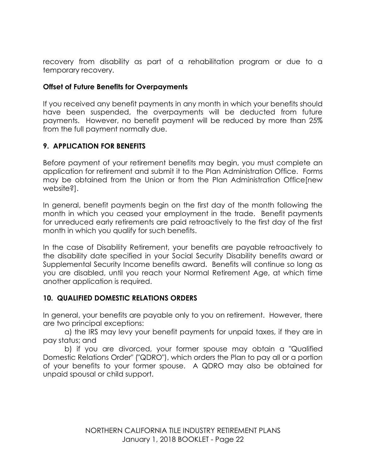recovery from disability as part of a rehabilitation program or due to a temporary recovery.

## **Offset of Future Benefits for Overpayments**

If you received any benefit payments in any month in which your benefits should have been suspended, the overpayments will be deducted from future payments. However, no benefit payment will be reduced by more than 25% from the full payment normally due.

# **9. APPLICATION FOR BENEFITS**

Before payment of your retirement benefits may begin, you must complete an application for retirement and submit it to the Plan Administration Office. Forms may be obtained from the Union or from the Plan Administration Office[new website?].

In general, benefit payments begin on the first day of the month following the month in which you ceased your employment in the trade. Benefit payments for unreduced early retirements are paid retroactively to the first day of the first month in which you qualify for such benefits.

In the case of Disability Retirement, your benefits are payable retroactively to the disability date specified in your Social Security Disability benefits award or Supplemental Security Income benefits award. Benefits will continue so long as you are disabled, until you reach your Normal Retirement Age, at which time another application is required.

## **10. QUALIFIED DOMESTIC RELATIONS ORDERS**

In general, your benefits are payable only to you on retirement. However, there are two principal exceptions:

a) the IRS may levy your benefit payments for unpaid taxes, if they are in pay status; and

b) if you are divorced, your former spouse may obtain a "Qualified Domestic Relations Order" ("QDRO"), which orders the Plan to pay all or a portion of your benefits to your former spouse. A QDRO may also be obtained for unpaid spousal or child support.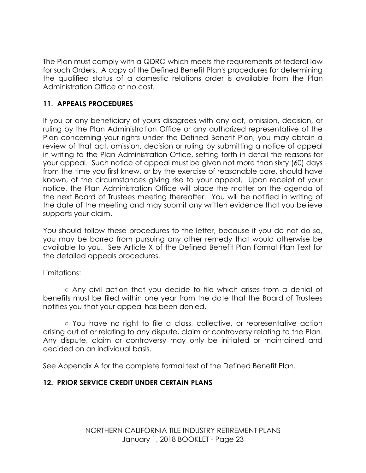The Plan must comply with a QDRO which meets the requirements of federal law for such Orders. A copy of the Defined Benefit Plan's procedures for determining the qualified status of a domestic relations order is available from the Plan Administration Office at no cost.

# **11. APPEALS PROCEDURES**

If you or any beneficiary of yours disagrees with any act, omission, decision, or ruling by the Plan Administration Office or any authorized representative of the Plan concerning your rights under the Defined Benefit Plan, you may obtain a review of that act, omission, decision or ruling by submitting a notice of appeal in writing to the Plan Administration Office, setting forth in detail the reasons for your appeal. Such notice of appeal must be given not more than sixty (60) days from the time you first knew, or by the exercise of reasonable care, should have known, of the circumstances giving rise to your appeal. Upon receipt of your notice, the Plan Administration Office will place the matter on the agenda of the next Board of Trustees meeting thereafter. You will be notified in writing of the date of the meeting and may submit any written evidence that you believe supports your claim.

You should follow these procedures to the letter, because if you do not do so, you may be barred from pursuing any other remedy that would otherwise be available to you. See Article X of the Defined Benefit Plan Formal Plan Text for the detailed appeals procedures.

## Limitations:

**○** Any civil action that you decide to file which arises from a denial of benefits must be filed within one year from the date that the Board of Trustees notifies you that your appeal has been denied.

○ You have no right to file a class, collective, or representative action arising out of or relating to any dispute, claim or controversy relating to the Plan. Any dispute, claim or controversy may only be initiated or maintained and decided on an individual basis.

See Appendix A for the complete formal text of the Defined Benefit Plan.

# **12. PRIOR SERVICE CREDIT UNDER CERTAIN PLANS**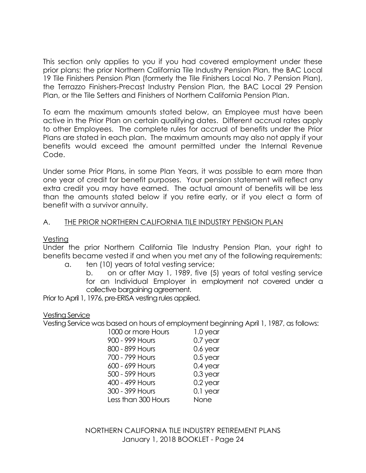This section only applies to you if you had covered employment under these prior plans: the prior Northern California Tile Industry Pension Plan, the BAC Local 19 Tile Finishers Pension Plan (formerly the Tile Finishers Local No. 7 Pension Plan), the Terrazzo Finishers-Precast Industry Pension Plan, the BAC Local 29 Pension Plan, or the Tile Setters and Finishers of Northern California Pension Plan.

To earn the maximum amounts stated below, an Employee must have been active in the Prior Plan on certain qualifying dates. Different accrual rates apply to other Employees. The complete rules for accrual of benefits under the Prior Plans are stated in each plan. The maximum amounts may also not apply if your benefits would exceed the amount permitted under the Internal Revenue Code.

Under some Prior Plans, in some Plan Years, it was possible to earn more than one year of credit for benefit purposes. Your pension statement will reflect any extra credit you may have earned. The actual amount of benefits will be less than the amounts stated below if you retire early, or if you elect a form of benefit with a survivor annuity.

## A. THE PRIOR NORTHERN CALIFORNIA TILE INDUSTRY PENSION PLAN

### Vesting

Under the prior Northern California Tile Industry Pension Plan, your right to benefits became vested if and when you met any of the following requirements: a. ten (10) years of total vesting service;

b. on or after May 1, 1989, five (5) years of total vesting service for an Individual Employer in employment not covered under a collective bargaining agreement.

Prior to April 1, 1976, pre-ERISA vesting rules applied.

### Vesting Service

Vesting Service was based on hours of employment beginning April 1, 1987, as follows:

| 1000 or more Hours  | 1.0 year   |
|---------------------|------------|
| 900 - 999 Hours     | 0.7 year   |
| 800 - 899 Hours     | 0.6 year   |
| 700 - 799 Hours     | $0.5$ year |
| 600 - 699 Hours     | 0.4 year   |
| 500 - 599 Hours     | $0.3$ year |
| 400 - 499 Hours     | 0.2 year   |
| 300 - 399 Hours     | 0.1 year   |
| Less than 300 Hours | None       |
|                     |            |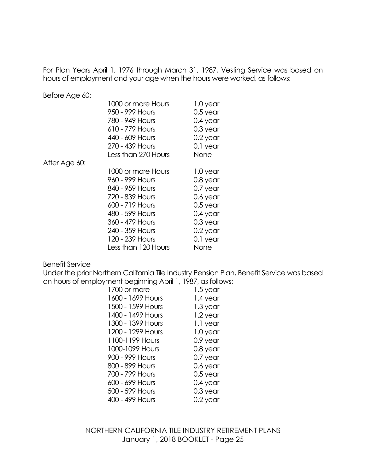For Plan Years April 1, 1976 through March 31, 1987, Vesting Service was based on hours of employment and your age when the hours were worked, as follows:

Before Age 60:

|               | 1000 or more Hours  | 1.0 year   |
|---------------|---------------------|------------|
|               | 950 - 999 Hours     | $0.5$ year |
|               | 780 - 949 Hours     | $0.4$ year |
|               | 610 - 779 Hours     | $0.3$ year |
|               | 440 - 609 Hours     | $0.2$ year |
|               | 270 - 439 Hours     | 0.1 year   |
|               | Less than 270 Hours | None       |
| After Age 60: |                     |            |
|               | 1000 or more Hours  | 1.0 year   |
|               | 960 - 999 Hours     | $0.8$ year |
|               | 840 - 959 Hours     | 0.7 year   |
|               | 720 - 839 Hours     | 0.6 year   |
|               | 600 - 719 Hours     | $0.5$ year |
|               | 480 - 599 Hours     | $0.4$ year |
|               | 360 - 479 Hours     | $0.3$ year |
|               | 240 - 359 Hours     | 0.2 year   |
|               | 120 - 239 Hours     | 0.1 year   |
|               | Less than 120 Hours | None       |

#### Benefit Service

Under the prior Northern California Tile Industry Pension Plan, Benefit Service was based on hours of employment beginning April 1, 1987, as follows:

| 1700 or more      | 1.5 year   |
|-------------------|------------|
| 1600 - 1699 Hours | 1.4 year   |
| 1500 - 1599 Hours | 1.3 year   |
| 1400 - 1499 Hours | 1.2 year   |
| 1300 - 1399 Hours | 1.1 year   |
| 1200 - 1299 Hours | 1.0 year   |
| 1100-1199 Hours   | 0.9 year   |
| 1000-1099 Hours   | 0.8 year   |
| 900 - 999 Hours   | 0.7 year   |
| 800 - 899 Hours   | 0.6 year   |
| 700 - 799 Hours   | $0.5$ year |
| 600 - 699 Hours   | $0.4$ year |
| 500 - 599 Hours   | $0.3$ year |
| 400 - 499 Hours   | 0.2 year   |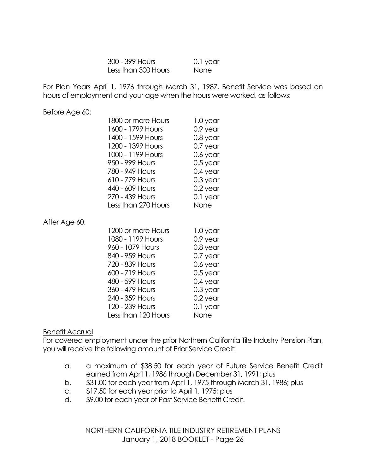| 300 - 399 Hours     | 0.1 year |
|---------------------|----------|
| Less than 300 Hours | None     |

For Plan Years April 1, 1976 through March 31, 1987, Benefit Service was based on hours of employment and your age when the hours were worked, as follows:

Before Age 60:

| 1800 or more Hours  | 1.0 year   |
|---------------------|------------|
| 1600 - 1799 Hours   | 0.9 year   |
| 1400 - 1599 Hours   | 0.8 year   |
| 1200 - 1399 Hours   | 0.7 year   |
| 1000 - 1199 Hours   | $0.6$ year |
| 950 - 999 Hours     | $0.5$ year |
| 780 - 949 Hours     | $0.4$ year |
| 610 - 779 Hours     | $0.3$ year |
| 440 - 609 Hours     | $0.2$ year |
| 270 - 439 Hours     | 0.1 year   |
| Less than 270 Hours | None       |

After Age 60:

| 1200 or more Hours  | 1.0 year   |
|---------------------|------------|
| 1080 - 1199 Hours   | 0.9 year   |
| 960 - 1079 Hours    | 0.8 year   |
| 840 - 959 Hours     | $0.7$ year |
| 720 - 839 Hours     | $0.6$ year |
| 600 - 719 Hours     | $0.5$ year |
| 480 - 599 Hours     | $0.4$ year |
| 360 - 479 Hours     | $0.3$ year |
| 240 - 359 Hours     | $0.2$ year |
| 120 - 239 Hours     | $0.1$ year |
| Less than 120 Hours | None       |

### Benefit Accrual

For covered employment under the prior Northern California Tile Industry Pension Plan, you will receive the following amount of Prior Service Credit:

- a. a maximum of \$38.50 for each year of Future Service Benefit Credit earned from April 1, 1986 through December 31, 1991; plus
- b. \$31.00 for each year from April 1, 1975 through March 31, 1986; plus
- c. \$17.50 for each year prior to April 1, 1975; plus
- d. \$9.00 for each year of Past Service Benefit Credit.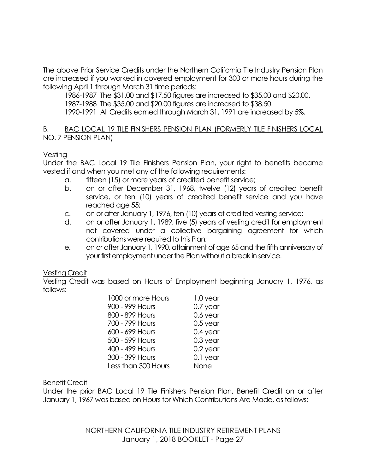The above Prior Service Credits under the Northern California Tile Industry Pension Plan are increased if you worked in covered employment for 300 or more hours during the following April 1 through March 31 time periods:

1986-1987 The \$31.00 and \$17.50 figures are increased to \$35.00 and \$20.00.

1987-1988 The \$35.00 and \$20.00 figures are increased to \$38.50.

1990-1991 All Credits earned through March 31, 1991 are increased by 5%.

### B. BAC LOCAL 19 TILE FINISHERS PENSION PLAN (FORMERLY TILE FINISHERS LOCAL NO. 7 PENSION PLAN)

## Vesting

Under the BAC Local 19 Tile Finishers Pension Plan, your right to benefits became vested if and when you met any of the following requirements:

- a. fifteen (15) or more years of credited benefit service;
- b. on or after December 31, 1968, twelve (12) years of credited benefit service, or ten (10) years of credited benefit service and you have reached age 55;
- c. on or after January 1, 1976, ten (10) years of credited vesting service;
- d. on or after January 1, 1989, five (5) years of vesting credit for employment not covered under a collective bargaining agreement for which contributions were required to this Plan;
- e. on or after January 1, 1990, attainment of age 65 and the fifth anniversary of your first employment under the Plan without a break in service.

# Vesting Credit

Vesting Credit was based on Hours of Employment beginning January 1, 1976, as follows:

| 1000 or more Hours  | 1.0 year   |
|---------------------|------------|
| 900 - 999 Hours     | $0.7$ year |
| 800 - 899 Hours     | $0.6$ year |
| 700 - 799 Hours     | $0.5$ year |
| 600 - 699 Hours     | $0.4$ year |
| 500 - 599 Hours     | $0.3$ year |
| 400 - 499 Hours     | $0.2$ year |
| 300 - 399 Hours     | 0.1 year   |
| Less than 300 Hours | None       |

## Benefit Credit

Under the prior BAC Local 19 Tile Finishers Pension Plan, Benefit Credit on or after January 1, 1967 was based on Hours for Which Contributions Are Made, as follows: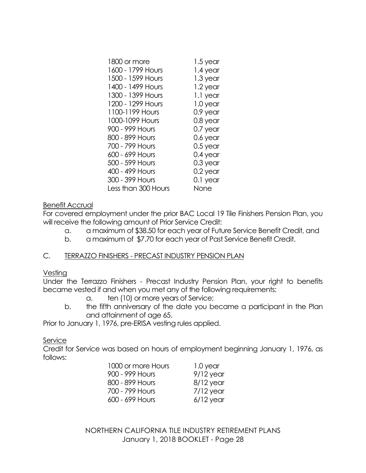| 1800 or more        | 1.5 year   |
|---------------------|------------|
| 1600 - 1799 Hours   | 1.4 year   |
| 1500 - 1599 Hours   | 1.3 year   |
| 1400 - 1499 Hours   | 1.2 year   |
| 1300 - 1399 Hours   | 1.1 year   |
| 1200 - 1299 Hours   | 1.0 year   |
| 1100-1199 Hours     | 0.9 year   |
| 1000-1099 Hours     | 0.8 year   |
| 900 - 999 Hours     | $0.7$ year |
| 800 - 899 Hours     | 0.6 year   |
| 700 - 799 Hours     | $0.5$ year |
| 600 - 699 Hours     | 0.4 year   |
| 500 - 599 Hours     | $0.3$ year |
| 400 - 499 Hours     | 0.2 year   |
| 300 - 399 Hours     | 0.1 year   |
| Less than 300 Hours | None       |
|                     |            |

## Benefit Accrual

For covered employment under the prior BAC Local 19 Tile Finishers Pension Plan, you will receive the following amount of Prior Service Credit:

- a. a maximum of \$38.50 for each year of Future Service Benefit Credit, and
- b. a maximum of \$7.70 for each year of Past Service Benefit Credit.

## C. TERRAZZO FINISHERS - PRECAST INDUSTRY PENSION PLAN

### Vesting

Under the Terrazzo Finishers - Precast Industry Pension Plan, your right to benefits became vested if and when you met any of the following requirements:

- a. ten (10) or more years of Service;
- b. the fifth anniversary of the date you became a participant in the Plan and attainment of age 65.

Prior to January 1, 1976, pre-ERISA vesting rules applied.

### Service

Credit for Service was based on hours of employment beginning January 1, 1976, as follows:

| 1000 or more Hours | 1.0 year    |
|--------------------|-------------|
| 900 - 999 Hours    | $9/12$ year |
| 800 - 899 Hours    | $8/12$ year |
| 700 - 799 Hours    | $7/12$ year |
| 600 - 699 Hours    | $6/12$ year |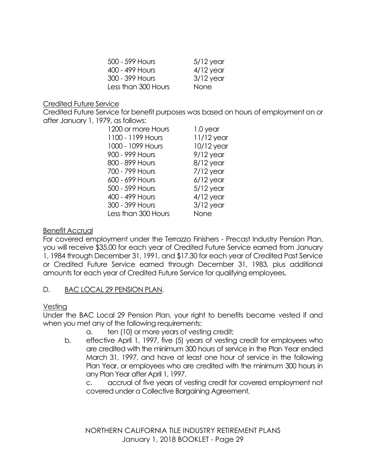| 500 - 599 Hours     | $5/12$ year |
|---------------------|-------------|
| 400 - 499 Hours     | $4/12$ year |
| 300 - 399 Hours     | $3/12$ year |
| Less than 300 Hours | None        |

## Credited Future Service

Credited Future Service for benefit purposes was based on hours of employment on or after January 1, 1979, as follows:

| 1200 or more Hours  | 1.0 year     |
|---------------------|--------------|
| 1100 - 1199 Hours   | $11/12$ year |
| 1000 - 1099 Hours   | $10/12$ year |
| 900 - 999 Hours     | $9/12$ year  |
| 800 - 899 Hours     | $8/12$ year  |
| 700 - 799 Hours     | $7/12$ year  |
| 600 - 699 Hours     | $6/12$ year  |
| 500 - 599 Hours     | $5/12$ year  |
| 400 - 499 Hours     | $4/12$ year  |
| 300 - 399 Hours     | $3/12$ year  |
| Less than 300 Hours | None         |

# Benefit Accrual

For covered employment under the Terrazzo Finishers - Precast Industry Pension Plan, you will receive \$35.00 for each year of Credited Future Service earned from January 1, 1984 through December 31, 1991, and \$17.30 for each year of Credited Past Service or Credited Future Service earned through December 31, 1983, plus additional amounts for each year of Credited Future Service for qualifying employees.

# D. BAC LOCAL 29 PENSION PLAN.

# Vesting

Under the BAC Local 29 Pension Plan, your right to benefits became vested if and when you met any of the following requirements:

- a. ten (10) or more years of vesting credit;
- b. effective April 1, 1997, five (5) years of vesting credit for employees who are credited with the minimum 300 hours of service in the Plan Year ended March 31, 1997, and have at least one hour of service in the following Plan Year, or employees who are credited with the minimum 300 hours in any Plan Year after April 1, 1997.

c. accrual of five years of vesting credit for covered employment not covered under a Collective Bargaining Agreement.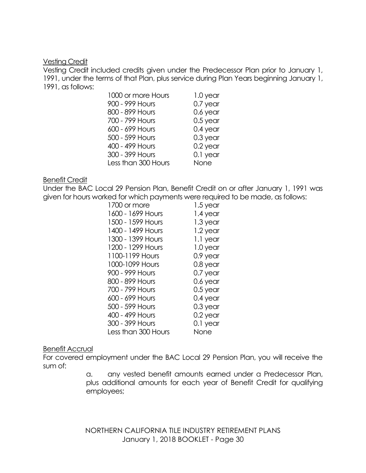### Vesting Credit

Vesting Credit included credits given under the Predecessor Plan prior to January 1, 1991, under the terms of that Plan, plus service during Plan Years beginning January 1, 1991, as follows:

| 1000 or more Hours  | 1.0 year   |
|---------------------|------------|
| 900 - 999 Hours     | 0.7 year   |
| 800 - 899 Hours     | 0.6 year   |
| 700 - 799 Hours     | $0.5$ year |
| 600 - 699 Hours     | $0.4$ year |
| 500 - 599 Hours     | $0.3$ year |
| 400 - 499 Hours     | $0.2$ year |
| 300 - 399 Hours     | 0.1 year   |
| Less than 300 Hours | None       |

### Benefit Credit

Under the BAC Local 29 Pension Plan, Benefit Credit on or after January 1, 1991 was given for hours worked for which payments were required to be made, as follows:

| 1700 or more        | 1.5 year   |
|---------------------|------------|
| 1600 - 1699 Hours   | 1.4 year   |
| 1500 - 1599 Hours   | 1.3 year   |
| 1400 - 1499 Hours   | 1.2 year   |
| 1300 - 1399 Hours   | 1.1 year   |
| 1200 - 1299 Hours   | 1.0 year   |
| 1100-1199 Hours     | 0.9 year   |
| 1000-1099 Hours     | 0.8 year   |
| 900 - 999 Hours     | 0.7 year   |
| 800 - 899 Hours     | 0.6 year   |
| 700 - 799 Hours     | 0.5 year   |
| 600 - 699 Hours     | $0.4$ year |
| 500 - 599 Hours     | $0.3$ year |
| 400 - 499 Hours     | 0.2 year   |
| 300 - 399 Hours     | 0.1 year   |
| Less than 300 Hours | None       |

## Benefit Accrual

For covered employment under the BAC Local 29 Pension Plan, you will receive the sum of:

> a. any vested benefit amounts earned under a Predecessor Plan, plus additional amounts for each year of Benefit Credit for qualifying employees;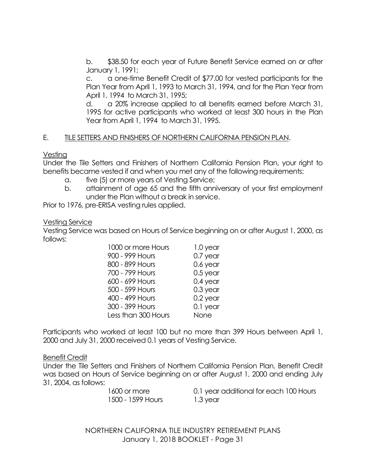b. \$38.50 for each year of Future Benefit Service earned on or after January 1, 1991;

c. a one-time Benefit Credit of \$77.00 for vested participants for the Plan Year from April 1, 1993 to March 31, 1994, and for the Plan Year from April 1, 1994 to March 31, 1995;

d. a 20% increase applied to all benefits earned before March 31, 1995 for active participants who worked at least 300 hours in the Plan Year from April 1, 1994 to March 31, 1995.

## E. TILE SETTERS AND FINISHERS OF NORTHERN CALIFORNIA PENSION PLAN.

Vesting

Under the Tile Setters and Finishers of Northern California Pension Plan, your right to benefits became vested if and when you met any of the following requirements:

- a. five (5) or more years of Vesting Service;
- b. attainment of age 65 and the fifth anniversary of your first employment under the Plan without a break in service.

Prior to 1976, pre-ERISA vesting rules applied.

### Vesting Service

Vesting Service was based on Hours of Service beginning on or after August 1, 2000, as follows:

| 1000 or more Hours  | 1.0 year   |
|---------------------|------------|
| 900 - 999 Hours     | $0.7$ year |
| 800 - 899 Hours     | 0.6 year   |
| 700 - 799 Hours     | $0.5$ year |
| 600 - 699 Hours     | $0.4$ year |
| 500 - 599 Hours     | $0.3$ year |
| 400 - 499 Hours     | $0.2$ year |
| 300 - 399 Hours     | 0.1 year   |
| Less than 300 Hours | None       |

Participants who worked at least 100 but no more than 399 Hours between April 1, 2000 and July 31, 2000 received 0.1 years of Vesting Service.

Benefit Credit

Under the Tile Setters and Finishers of Northern California Pension Plan, Benefit Credit was based on Hours of Service beginning on or after August 1, 2000 and ending July 31, 2004, as follows:

| 1600 or more      | 0.1 year additional for each 1 |
|-------------------|--------------------------------|
| 1500 - 1599 Hours | 1.3 year                       |

 $00$  Hours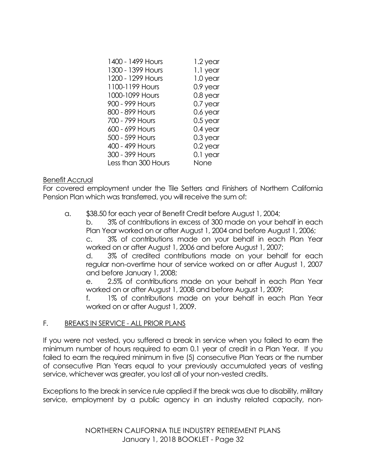| 1400 - 1499 Hours   | 1.2 year   |
|---------------------|------------|
| 1300 - 1399 Hours   | 1.1 year   |
| 1200 - 1299 Hours   | 1.0 year   |
| 1100-1199 Hours     | 0.9 year   |
| 1000-1099 Hours     | 0.8 year   |
| 900 - 999 Hours     | $0.7$ year |
| 800 - 899 Hours     | 0.6 year   |
| 700 - 799 Hours     | 0.5 year   |
| 600 - 699 Hours     | $0.4$ year |
| 500 - 599 Hours     | $0.3$ year |
| 400 - 499 Hours     | $0.2$ year |
| 300 - 399 Hours     | 0.1 year   |
| Less than 300 Hours | None       |

### Benefit Accrual

For covered employment under the Tile Setters and Finishers of Northern California Pension Plan which was transferred, you will receive the sum of:

a. \$38.50 for each year of Benefit Credit before August 1, 2004;

b. 3% of contributions in excess of 300 made on your behalf in each Plan Year worked on or after August 1, 2004 and before August 1, 2006;

c. 3% of contributions made on your behalf in each Plan Year worked on or after August 1, 2006 and before August 1, 2007;

d. 3% of credited contributions made on your behalf for each regular non-overtime hour of service worked on or after August 1, 2007 and before January 1, 2008;

e. 2.5% of contributions made on your behalf in each Plan Year worked on or after August 1, 2008 and before August 1, 2009;

1% of contributions made on your behalf in each Plan Year worked on or after August 1, 2009.

## F. BREAKS IN SERVICE - ALL PRIOR PLANS

If you were not vested, you suffered a break in service when you failed to earn the minimum number of hours required to earn 0.1 year of credit in a Plan Year. If you failed to earn the required minimum in five (5) consecutive Plan Years or the number of consecutive Plan Years equal to your previously accumulated years of vesting service, whichever was greater, you lost all of your non-vested credits.

Exceptions to the break in service rule applied if the break was due to disability, military service, employment by a public agency in an industry related capacity, non-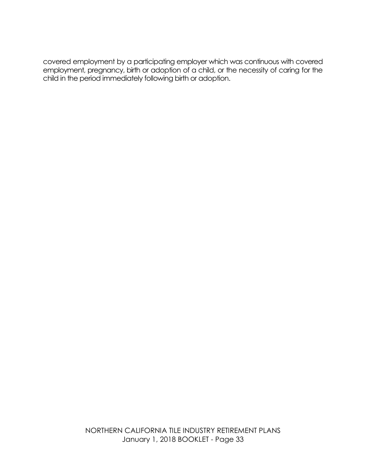covered employment by a participating employer which was continuous with covered employment, pregnancy, birth or adoption of a child, or the necessity of caring for the child in the period immediately following birth or adoption.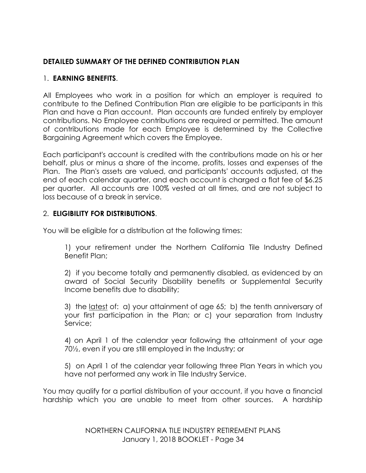# **DETAILED SUMMARY OF THE DEFINED CONTRIBUTION PLAN**

# 1. **EARNING BENEFITS**.

All Employees who work in a position for which an employer is required to contribute to the Defined Contribution Plan are eligible to be participants in this Plan and have a Plan account. Plan accounts are funded entirely by employer contributions. No Employee contributions are required or permitted. The amount of contributions made for each Employee is determined by the Collective Bargaining Agreement which covers the Employee.

Each participant's account is credited with the contributions made on his or her behalf, plus or minus a share of the income, profits, losses and expenses of the Plan. The Plan's assets are valued, and participants' accounts adjusted, at the end of each calendar quarter, and each account is charged a flat fee of \$6.25 per quarter. All accounts are 100% vested at all times, and are not subject to loss because of a break in service.

# 2. **ELIGIBILITY FOR DISTRIBUTIONS**.

You will be eligible for a distribution at the following times:

1) your retirement under the Northern California Tile Industry Defined Benefit Plan;

2) if you become totally and permanently disabled, as evidenced by an award of Social Security Disability benefits or Supplemental Security Income benefits due to disability;

3) the latest of: a) your attainment of age 65; b) the tenth anniversary of your first participation in the Plan; or c) your separation from Industry Service;

4) on April 1 of the calendar year following the attainment of your age 70½, even if you are still employed in the Industry; or

5) on April 1 of the calendar year following three Plan Years in which you have not performed any work in Tile Industry Service.

You may qualify for a partial distribution of your account, if you have a financial hardship which you are unable to meet from other sources. A hardship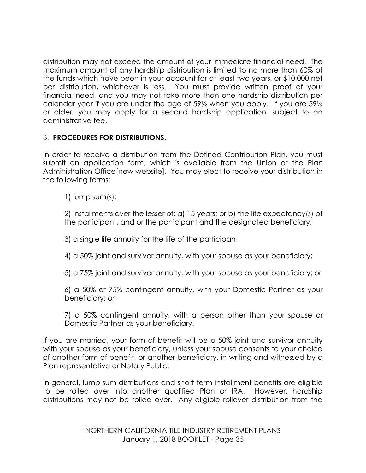distribution may not exceed the amount of your immediate financial need. The maximum amount of any hardship distribution is limited to no more than 60% of the funds which have been in your account for at least two years, or \$10,000 net per distribution, whichever is less. You must provide written proof of your financial need, and you may not take more than one hardship distribution per calendar year if you are under the age of 59½ when you apply. If you are 59½ or older, you may apply for a second hardship application, subject to an administrative fee.

# 3. **PROCEDURES FOR DISTRIBUTIONS**.

In order to receive a distribution from the Defined Contribution Plan, you must submit an application form, which is available from the Union or the Plan Administration Office[new website]. You may elect to receive your distribution in the following forms:

1) lump sum(s);

2) installments over the lesser of: a) 15 years; or b) the life expectancy(s) of the participant, and or the participant and the designated beneficiary;

3) a single life annuity for the life of the participant;

4) a 50% joint and survivor annuity, with your spouse as your beneficiary;

5) a 75% joint and survivor annuity, with your spouse as your beneficiary; or

6) a 50% or 75% contingent annuity, with your Domestic Partner as your beneficiary; or

7) a 50% contingent annuity, with a person other than your spouse or Domestic Partner as your beneficiary.

If you are married, your form of benefit will be a 50% joint and survivor annuity with your spouse as your beneficiary, unless your spouse consents to your choice of another form of benefit, or another beneficiary, in writing and witnessed by a Plan representative or Notary Public.

In general, lump sum distributions and short-term installment benefits are eligible to be rolled over into another qualified Plan or IRA. However, hardship distributions may not be rolled over. Any eligible rollover distribution from the

> NORTHERN CALIFORNIA TILE INDUSTRY RETIREMENT PLANS January 1, 2018 BOOKLET - Page 35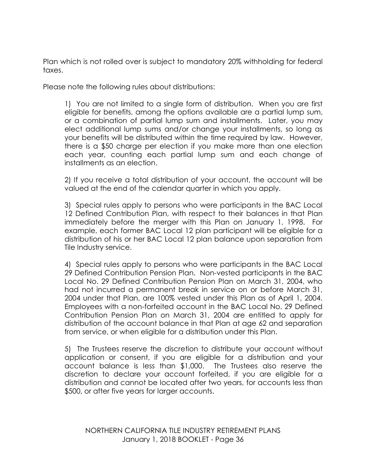Plan which is not rolled over is subject to mandatory 20% withholding for federal taxes.

Please note the following rules about distributions:

1) You are not limited to a single form of distribution. When you are first eligible for benefits, among the options available are a partial lump sum, or a combination of partial lump sum and installments. Later, you may elect additional lump sums and/or change your installments, so long as your benefits will be distributed within the time required by law. However, there is a \$50 charge per election if you make more than one election each year, counting each partial lump sum and each change of installments as an election.

2) If you receive a total distribution of your account, the account will be valued at the end of the calendar quarter in which you apply.

3) Special rules apply to persons who were participants in the BAC Local 12 Defined Contribution Plan, with respect to their balances in that Plan immediately before the merger with this Plan on January 1, 1998. For example, each former BAC Local 12 plan participant will be eligible for a distribution of his or her BAC Local 12 plan balance upon separation from Tile Industry service.

4) Special rules apply to persons who were participants in the BAC Local 29 Defined Contribution Pension Plan. Non-vested participants in the BAC Local No. 29 Defined Contribution Pension Plan on March 31, 2004, who had not incurred a permanent break in service on or before March 31, 2004 under that Plan, are 100% vested under this Plan as of April 1, 2004. Employees with a non-forfeited account in the BAC Local No. 29 Defined Contribution Pension Plan on March 31, 2004 are entitled to apply for distribution of the account balance in that Plan at age 62 and separation from service, or when eligible for a distribution under this Plan.

5) The Trustees reserve the discretion to distribute your account without application or consent, if you are eligible for a distribution and your account balance is less than \$1,000. The Trustees also reserve the discretion to declare your account forfeited, if you are eligible for a distribution and cannot be located after two years, for accounts less than \$500, or after five years for larger accounts.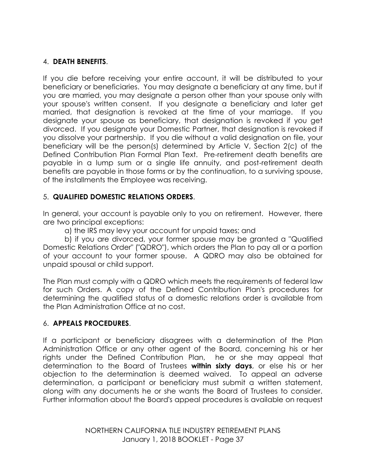# 4. **DEATH BENEFITS**.

If you die before receiving your entire account, it will be distributed to your beneficiary or beneficiaries. You may designate a beneficiary at any time, but if you are married, you may designate a person other than your spouse only with your spouse's written consent. If you designate a beneficiary and later get married, that designation is revoked at the time of your marriage. If you designate your spouse as beneficiary, that designation is revoked if you get divorced. If you designate your Domestic Partner, that designation is revoked if you dissolve your partnership. If you die without a valid designation on file, your beneficiary will be the person(s) determined by Article V, Section 2(c) of the Defined Contribution Plan Formal Plan Text. Pre-retirement death benefits are payable in a lump sum or a single life annuity, and post-retirement death benefits are payable in those forms or by the continuation, to a surviving spouse, of the installments the Employee was receiving.

# 5. **QUALIFIED DOMESTIC RELATIONS ORDERS**.

In general, your account is payable only to you on retirement. However, there are two principal exceptions:

a) the IRS may levy your account for unpaid taxes; and

b) if you are divorced, your former spouse may be granted a "Qualified Domestic Relations Order" ("QDRO"), which orders the Plan to pay all or a portion of your account to your former spouse. A QDRO may also be obtained for unpaid spousal or child support.

The Plan must comply with a QDRO which meets the requirements of federal law for such Orders. A copy of the Defined Contribution Plan's procedures for determining the qualified status of a domestic relations order is available from the Plan Administration Office at no cost.

### 6. **APPEALS PROCEDURES**.

If a participant or beneficiary disagrees with a determination of the Plan Administration Office or any other agent of the Board, concerning his or her rights under the Defined Contribution Plan, he or she may appeal that determination to the Board of Trustees **within sixty days**, or else his or her objection to the determination is deemed waived. To appeal an adverse determination, a participant or beneficiary must submit a written statement, along with any documents he or she wants the Board of Trustees to consider. Further information about the Board's appeal procedures is available on request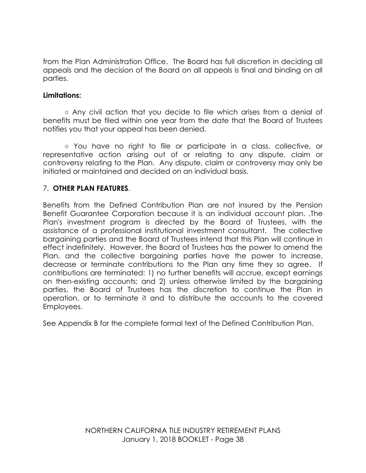from the Plan Administration Office. The Board has full discretion in deciding all appeals and the decision of the Board on all appeals is final and binding on all parties.

#### **Limitations:**

**○** Any civil action that you decide to file which arises from a denial of benefits must be filed within one year from the date that the Board of Trustees notifies you that your appeal has been denied.

○ You have no right to file or participate in a class, collective, or representative action arising out of or relating to any dispute, claim or controversy relating to the Plan. Any dispute, claim or controversy may only be initiated or maintained and decided on an individual basis.

### 7. **OTHER PLAN FEATURES**.

Benefits from the Defined Contribution Plan are not insured by the Pension Benefit Guarantee Corporation because it is an individual account plan. .The Plan's investment program is directed by the Board of Trustees, with the assistance of a professional institutional investment consultant. The collective bargaining parties and the Board of Trustees intend that this Plan will continue in effect indefinitely. However, the Board of Trustees has the power to amend the Plan, and the collective bargaining parties have the power to increase, decrease or terminate contributions to the Plan any time they so agree. If contributions are terminated: 1) no further benefits will accrue, except earnings on then-existing accounts; and 2) unless otherwise limited by the bargaining parties, the Board of Trustees has the discretion to continue the Plan in operation, or to terminate it and to distribute the accounts to the covered Employees.

See Appendix B for the complete formal text of the Defined Contribution Plan.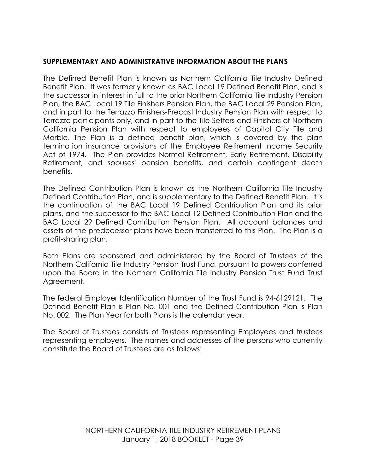### **SUPPLEMENTARY AND ADMINISTRATIVE INFORMATION ABOUT THE PLANS**

The Defined Benefit Plan is known as Northern California Tile Industry Defined Benefit Plan. It was formerly known as BAC Local 19 Defined Benefit Plan, and is the successor in interest in full to the prior Northern California Tile Industry Pension Plan, the BAC Local 19 Tile Finishers Pension Plan, the BAC Local 29 Pension Plan, and in part to the Terrazzo Finishers-Precast Industry Pension Plan with respect to Terrazzo participants only, and in part to the Tile Setters and Finishers of Northern California Pension Plan with respect to employees of Capitol City Tile and Marble. The Plan is a defined benefit plan, which is covered by the plan termination insurance provisions of the Employee Retirement Income Security Act of 1974. The Plan provides Normal Retirement, Early Retirement, Disability Retirement, and spouses' pension benefits, and certain contingent death benefits.

The Defined Contribution Plan is known as the Northern California Tile Industry Defined Contribution Plan, and is supplementary to the Defined Benefit Plan. It is the continuation of the BAC Local 19 Defined Contribution Plan and its prior plans, and the successor to the BAC Local 12 Defined Contribution Plan and the BAC Local 29 Defined Contribution Pension Plan. All account balances and assets of the predecessor plans have been transferred to this Plan. The Plan is a profit-sharing plan.

Both Plans are sponsored and administered by the Board of Trustees of the Northern California Tile Industry Pension Trust Fund, pursuant to powers conferred upon the Board in the Northern California Tile Industry Pension Trust Fund Trust Agreement.

The federal Employer Identification Number of the Trust Fund is 94-6129121. The Defined Benefit Plan is Plan No. 001 and the Defined Contribution Plan is Plan No. 002. The Plan Year for both Plans is the calendar year.

The Board of Trustees consists of Trustees representing Employees and trustees representing employers. The names and addresses of the persons who currently constitute the Board of Trustees are as follows: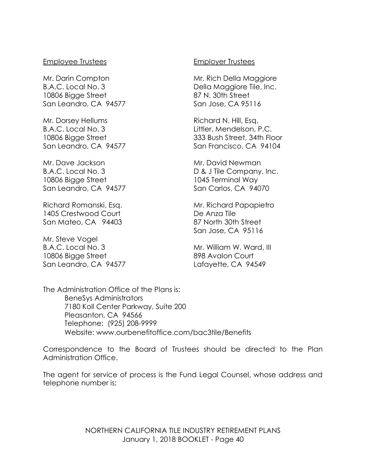#### Employee Trustees

Mr. Darin Compton B.A.C. Local No. 3 10806 Bigge Street San Leandro, CA 94577

Mr. Dorsey Hellums B.A.C. Local No. 3 10806 Bigge Street San Leandro, CA 94577

Mr. Dave Jackson B.A.C. Local No. 3 10806 Bigge Street San Leandro, CA 94577

Richard Romanski, Esq. 1405 Crestwood Court San Mateo, CA 94403

Mr. Steve Vogel B.A.C. Local No. 3 10806 Bigge Street San Leandro, CA 94577

#### Employer Trustees

Mr. Rich Della Maggiore Della Maggiore Tile, Inc. 87 N. 30th Street San Jose, CA 95116

Richard N. Hill, Esq. Littler, Mendelson, P.C. 333 Bush Street, 34th Floor San Francisco, CA 94104

Mr. David Newman D & J Tile Company, Inc. 1045 Terminal Way San Carlos, CA 94070

Mr. Richard Papapietro De Anza Tile 87 North 30th Street San Jose, CA 95116

Mr. William W. Ward, III 898 Avalon Court Lafayette, CA 94549

The Administration Office of the Plans is: BeneSys Administrators 7180 Koll Center Parkway, Suite 200 Pleasanton, CA 94566 Telephone: (925) 208-9999 Website: www.ourbenefitoffice.com/bac3tile/Benefits

Correspondence to the Board of Trustees should be directed to the Plan Administration Office.

The agent for service of process is the Fund Legal Counsel, whose address and telephone number is: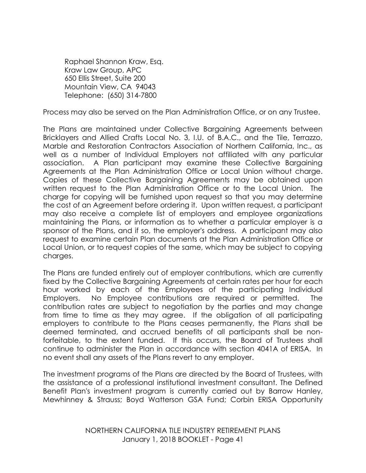Raphael Shannon Kraw, Esq. Kraw Law Group, APC 650 Ellis Street, Suite 200 Mountain View, CA 94043 Telephone: (650) 314-7800

Process may also be served on the Plan Administration Office, or on any Trustee.

The Plans are maintained under Collective Bargaining Agreements between Bricklayers and Allied Crafts Local No. 3, I.U. of B.A.C., and the Tile, Terrazzo, Marble and Restoration Contractors Association of Northern California, Inc., as well as a number of Individual Employers not affiliated with any particular association. A Plan participant may examine these Collective Bargaining Agreements at the Plan Administration Office or Local Union without charge. Copies of these Collective Bargaining Agreements may be obtained upon written request to the Plan Administration Office or to the Local Union. The charge for copying will be furnished upon request so that you may determine the cost of an Agreement before ordering it. Upon written request, a participant may also receive a complete list of employers and employee organizations maintaining the Plans, or information as to whether a particular employer is a sponsor of the Plans, and if so, the employer's address. A participant may also request to examine certain Plan documents at the Plan Administration Office or Local Union, or to request copies of the same, which may be subject to copying charges.

The Plans are funded entirely out of employer contributions, which are currently fixed by the Collective Bargaining Agreements at certain rates per hour for each hour worked by each of the Employees of the participating Individual Employers. No Employee contributions are required or permitted. The contribution rates are subject to negotiation by the parties and may change from time to time as they may agree. If the obligation of all participating employers to contribute to the Plans ceases permanently, the Plans shall be deemed terminated, and accrued benefits of all participants shall be nonforfeitable, to the extent funded. If this occurs, the Board of Trustees shall continue to administer the Plan in accordance with section 4041A of ERISA. In no event shall any assets of the Plans revert to any employer.

The investment programs of the Plans are directed by the Board of Trustees, with the assistance of a professional institutional investment consultant. The Defined Benefit Plan's investment program is currently carried out by Barrow Hanley, Mewhinney & Strauss; Boyd Watterson GSA Fund; Corbin ERISA Opportunity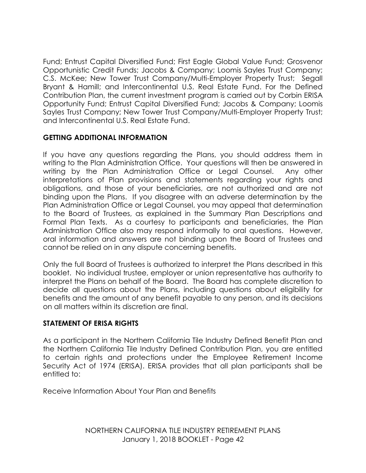Fund; Entrust Capital Diversified Fund; First Eagle Global Value Fund; Grosvenor Opportunistic Credit Funds; Jacobs & Company; Loomis Sayles Trust Company; C.S. McKee; New Tower Trust Company/Multi-Employer Property Trust; Segall Bryant & Hamill; and Intercontinental U.S. Real Estate Fund. For the Defined Contribution Plan, the current investment program is carried out by Corbin ERISA Opportunity Fund; Entrust Capital Diversified Fund; Jacobs & Company; Loomis Sayles Trust Company; New Tower Trust Company/Multi-Employer Property Trust; and Intercontinental U.S. Real Estate Fund.

# **GETTING ADDITIONAL INFORMATION**

If you have any questions regarding the Plans, you should address them in writing to the Plan Administration Office. Your questions will then be answered in writing by the Plan Administration Office or Legal Counsel. Any other interpretations of Plan provisions and statements regarding your rights and obligations, and those of your beneficiaries, are not authorized and are not binding upon the Plans. If you disagree with an adverse determination by the Plan Administration Office or Legal Counsel, you may appeal that determination to the Board of Trustees, as explained in the Summary Plan Descriptions and Formal Plan Texts. As a courtesy to participants and beneficiaries, the Plan Administration Office also may respond informally to oral questions. However, oral information and answers are not binding upon the Board of Trustees and cannot be relied on in any dispute concerning benefits.

Only the full Board of Trustees is authorized to interpret the Plans described in this booklet. No individual trustee, employer or union representative has authority to interpret the Plans on behalf of the Board. The Board has complete discretion to decide all questions about the Plans, including questions about eligibility for benefits and the amount of any benefit payable to any person, and its decisions on all matters within its discretion are final.

### **STATEMENT OF ERISA RIGHTS**

As a participant in the Northern California Tile Industry Defined Benefit Plan and the Northern California Tile Industry Defined Contribution Plan, you are entitled to certain rights and protections under the Employee Retirement Income Security Act of 1974 (ERISA). ERISA provides that all plan participants shall be entitled to:

Receive Information About Your Plan and Benefits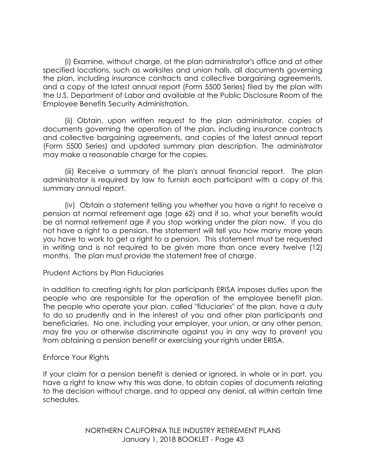(i) Examine, without charge, at the plan administrator's office and at other specified locations, such as worksites and union halls, all documents governing the plan, including insurance contracts and collective bargaining agreements, and a copy of the latest annual report (Form 5500 Series) filed by the plan with the U.S. Department of Labor and available at the Public Disclosure Room of the Employee Benefits Security Administration.

(ii) Obtain, upon written request to the plan administrator, copies of documents governing the operation of the plan, including insurance contracts and collective bargaining agreements, and copies of the latest annual report (Form 5500 Series) and updated summary plan description. The administrator may make a reasonable charge for the copies.

(iii) Receive a summary of the plan's annual financial report. The plan administrator is required by law to furnish each participant with a copy of this summary annual report.

(iv) Obtain a statement telling you whether you have a right to receive a pension at normal retirement age (age 62) and if so, what your benefits would be at normal retirement age if you stop working under the plan now. If you do not have a right to a pension, the statement will tell you how many more years you have to work to get a right to a pension. This statement must be requested in writing and is not required to be given more than once every twelve (12) months. The plan must provide the statement free of charge.

### Prudent Actions by Plan Fiduciaries

In addition to creating rights for plan participants ERISA imposes duties upon the people who are responsible for the operation of the employee benefit plan. The people who operate your plan, called "fiduciaries" of the plan, have a duty to do so prudently and in the interest of you and other plan participants and beneficiaries. No one, including your employer, your union, or any other person, may fire you or otherwise discriminate against you in any way to prevent you from obtaining a pension benefit or exercising your rights under ERISA.

#### Enforce Your Rights

If your claim for a pension benefit is denied or ignored, in whole or in part, you have a right to know why this was done, to obtain copies of documents relating to the decision without charge, and to appeal any denial, all within certain time schedules.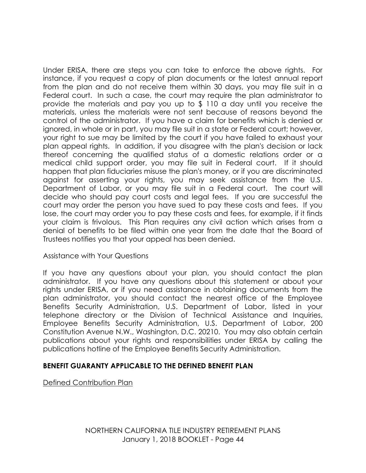Under ERISA, there are steps you can take to enforce the above rights. For instance, if you request a copy of plan documents or the latest annual report from the plan and do not receive them within 30 days, you may file suit in a Federal court. In such a case, the court may require the plan administrator to provide the materials and pay you up to \$ 110 a day until you receive the materials, unless the materials were not sent because of reasons beyond the control of the administrator. If you have a claim for benefits which is denied or ignored, in whole or in part, you may file suit in a state or Federal court; however, your right to sue may be limited by the court if you have failed to exhaust your plan appeal rights. In addition, if you disagree with the plan's decision or lack thereof concerning the qualified status of a domestic relations order or a medical child support order, you may file suit in Federal court. If it should happen that plan fiduciaries misuse the plan's money, or if you are discriminated against for asserting your rights, you may seek assistance from the U.S. Department of Labor, or you may file suit in a Federal court. The court will decide who should pay court costs and legal fees. If you are successful the court may order the person you have sued to pay these costs and fees. If you lose, the court may order you to pay these costs and fees, for example, if it finds your claim is frivolous. This Plan requires any civil action which arises from a denial of benefits to be filed within one year from the date that the Board of Trustees notifies you that your appeal has been denied.

### Assistance with Your Questions

If you have any questions about your plan, you should contact the plan administrator. If you have any questions about this statement or about your rights under ERISA, or if you need assistance in obtaining documents from the plan administrator, you should contact the nearest office of the Employee Benefits Security Administration, U.S. Department of Labor, listed in your telephone directory or the Division of Technical Assistance and Inquiries, Employee Benefits Security Administration, U.S. Department of Labor, 200 Constitution Avenue N.W., Washington, D.C. 20210. You may also obtain certain publications about your rights and responsibilities under ERISA by calling the publications hotline of the Employee Benefits Security Administration.

### **BENEFIT GUARANTY APPLICABLE TO THE DEFINED BENEFIT PLAN**

Defined Contribution Plan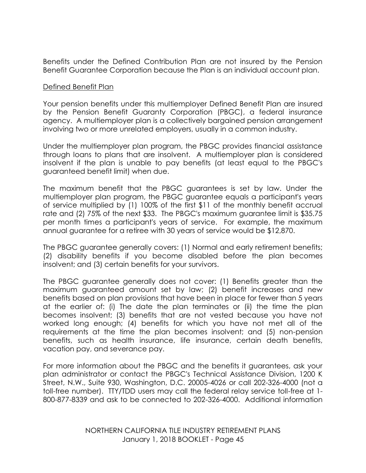Benefits under the Defined Contribution Plan are not insured by the Pension Benefit Guarantee Corporation because the Plan is an individual account plan.

#### Defined Benefit Plan

Your pension benefits under this multiemployer Defined Benefit Plan are insured by the Pension Benefit Guaranty Corporation (PBGC), a federal insurance agency. A multiemployer plan is a collectively bargained pension arrangement involving two or more unrelated employers, usually in a common industry.

Under the multiemployer plan program, the PBGC provides financial assistance through loans to plans that are insolvent. A multiemployer plan is considered insolvent if the plan is unable to pay benefits (at least equal to the PBGC's guaranteed benefit limit) when due.

The maximum benefit that the PBGC guarantees is set by law. Under the multiemployer plan program, the PBGC guarantee equals a participant's years of service multiplied by (1) 100% of the first \$11 of the monthly benefit accrual rate and (2) 75% of the next \$33. The PBGC's maximum guarantee limit is \$35.75 per month times a participant's years of service. For example, the maximum annual guarantee for a retiree with 30 years of service would be \$12,870.

The PBGC guarantee generally covers: (1) Normal and early retirement benefits; (2) disability benefits if you become disabled before the plan becomes insolvent; and (3) certain benefits for your survivors.

The PBGC guarantee generally does not cover: (1) Benefits greater than the maximum guaranteed amount set by law; (2) benefit increases and new benefits based on plan provisions that have been in place for fewer than 5 years at the earlier of: (i) The date the plan terminates or (ii) the time the plan becomes insolvent; (3) benefits that are not vested because you have not worked long enough; (4) benefits for which you have not met all of the requirements at the time the plan becomes insolvent; and (5) non-pension benefits, such as health insurance, life insurance, certain death benefits, vacation pay, and severance pay.

For more information about the PBGC and the benefits it guarantees, ask your plan administrator or contact the PBGC's Technical Assistance Division, 1200 K Street, N.W., Suite 930, Washington, D.C. 20005-4026 or call 202-326-4000 (not a toll-free number). TTY/TDD users may call the federal relay service toll-free at 1- 800-877-8339 and ask to be connected to 202-326-4000. Additional information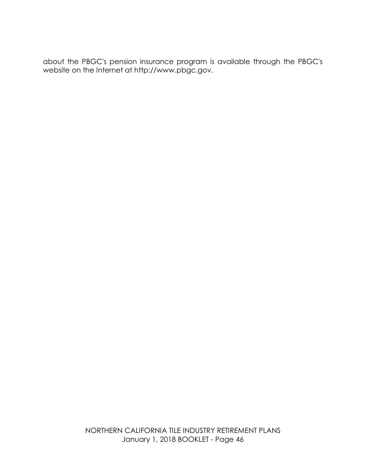about the PBGC's pension insurance program is available through the PBGC's website on the Internet at http://www.pbgc.gov.

> NORTHERN CALIFORNIA TILE INDUSTRY RETIREMENT PLANS January 1, 2018 BOOKLET - Page 46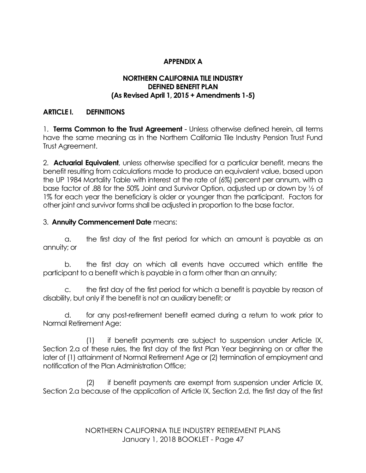# **APPENDIX A**

#### **NORTHERN CALIFORNIA TILE INDUSTRY DEFINED BENEFIT PLAN (As Revised April 1, 2015 + Amendments 1-5)**

### **ARTICLE I. DEFINITIONS**

1. **Terms Common to the Trust Agreement** - Unless otherwise defined herein, all terms have the same meaning as in the Northern California Tile Industry Pension Trust Fund Trust Agreement.

2. **Actuarial Equivalent**, unless otherwise specified for a particular benefit, means the benefit resulting from calculations made to produce an equivalent value, based upon the UP 1984 Mortality Table with interest at the rate of (6%) percent per annum, with a base factor of .88 for the 50% Joint and Survivor Option, adjusted up or down by ½ of 1% for each year the beneficiary is older or younger than the participant. Factors for other joint and survivor forms shall be adjusted in proportion to the base factor.

#### 3. **Annuity Commencement Date** means:

a. the first day of the first period for which an amount is payable as an annuity; or

b. the first day on which all events have occurred which entitle the participant to a benefit which is payable in a form other than an annuity;

c. the first day of the first period for which a benefit is payable by reason of disability, but only if the benefit is not an auxiliary benefit; or

d. for any post-retirement benefit earned during a return to work prior to Normal Retirement Age:

(1) if benefit payments are subject to suspension under Article IX, Section 2.a of these rules, the first day of the first Plan Year beginning on or after the later of (1) attainment of Normal Retirement Age or (2) termination of employment and notification of the Plan Administration Office;

(2) if benefit payments are exempt from suspension under Article IX, Section 2.a because of the application of Article IX, Section 2.d, the first day of the first

> NORTHERN CALIFORNIA TILE INDUSTRY RETIREMENT PLANS January 1, 2018 BOOKLET - Page 47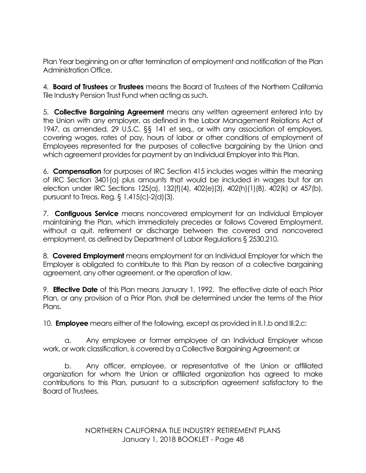Plan Year beginning on or after termination of employment and notification of the Plan Administration Office.

4. **Board of Trustees** or **Trustees** means the Board of Trustees of the Northern California Tile Industry Pension Trust Fund when acting as such.

5. **Collective Bargaining Agreement** means any written agreement entered into by the Union with any employer, as defined in the Labor Management Relations Act of 1947, as amended, 29 U.S.C. §§ 141 et seq., or with any association of employers, covering wages, rates of pay, hours of labor or other conditions of employment of Employees represented for the purposes of collective bargaining by the Union and which agreement provides for payment by an Individual Employer into this Plan.

6. **Compensation** for purposes of IRC Section 415 includes wages within the meaning of IRC Section 3401(a) plus amounts that would be included in wages but for an election under IRC Sections 125(a), 132(f)(4), 402(e)(3), 402(h)(1)(B), 402(k) or 457(b), pursuant to Treas. Reg. § 1.415(c)-2(d)(3).

7. **Contiguous Service** means noncovered employment for an Individual Employer maintaining the Plan, which immediately precedes or follows Covered Employment, without a quit, retirement or discharge between the covered and noncovered employment, as defined by Department of Labor Regulations § 2530.210.

8. **Covered Employment** means employment for an Individual Employer for which the Employer is obligated to contribute to this Plan by reason of a collective bargaining agreement, any other agreement, or the operation of law.

9. **Effective Date** of this Plan means January 1, 1992. The effective date of each Prior Plan, or any provision of a Prior Plan, shall be determined under the terms of the Prior Plans.

10. **Employee** means either of the following, except as provided in II.1.b and III.2.c:

a. Any employee or former employee of an Individual Employer whose work, or work classification, is covered by a Collective Bargaining Agreement; or

b. Any officer, employee, or representative of the Union or affiliated organization for whom the Union or affiliated organization has agreed to make contributions to this Plan, pursuant to a subscription agreement satisfactory to the Board of Trustees.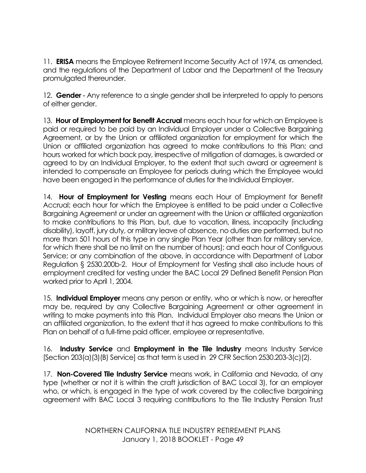11. **ERISA** means the Employee Retirement Income Security Act of 1974, as amended, and the regulations of the Department of Labor and the Department of the Treasury promulgated thereunder.

12. **Gender** - Any reference to a single gender shall be interpreted to apply to persons of either gender.

13. **Hour of Employment for Benefit Accrual** means each hour for which an Employee is paid or required to be paid by an Individual Employer under a Collective Bargaining Agreement, or by the Union or affiliated organization for employment for which the Union or affiliated organization has agreed to make contributions to this Plan; and hours worked for which back pay, irrespective of mitigation of damages, is awarded or agreed to by an Individual Employer, to the extent that such award or agreement is intended to compensate an Employee for periods during which the Employee would have been engaged in the performance of duties for the Individual Employer.

14. **Hour of Employment for Vesting** means each Hour of Employment for Benefit Accrual; each hour for which the Employee is entitled to be paid under a Collective Bargaining Agreement or under an agreement with the Union or affiliated organization to make contributions to this Plan, but, due to vacation, illness, incapacity (including disability), layoff, jury duty, or military leave of absence, no duties are performed, but no more than 501 hours of this type in any single Plan Year (other than for military service, for which there shall be no limit on the number of hours); and each hour of Contiguous Service; or any combination of the above, in accordance with Department of Labor Regulation § 2530.200b-2. Hour of Employment for Vesting shall also include hours of employment credited for vesting under the BAC Local 29 Defined Benefit Pension Plan worked prior to April 1, 2004.

15. **Individual Employer** means any person or entity, who or which is now, or hereafter may be, required by any Collective Bargaining Agreement or other agreement in writing to make payments into this Plan. Individual Employer also means the Union or an affiliated organization, to the extent that it has agreed to make contributions to this Plan on behalf of a full-time paid officer, employee or representative.

16. **Industry Service** and **Employment in the Tile Industry** means Industry Service [Section 203(a)(3)(B) Service] as that term is used in 29 CFR Section 2530.203-3(c)(2).

17. **Non-Covered Tile Industry Service** means work, in California and Nevada, of any type (whether or not it is within the craft jurisdiction of BAC Local 3), for an employer who, or which, is engaged in the type of work covered by the collective bargaining agreement with BAC Local 3 requiring contributions to the Tile Industry Pension Trust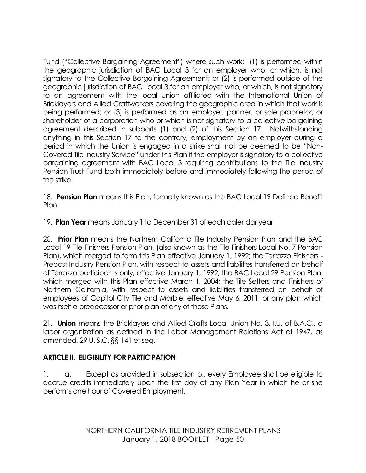Fund ("Collective Bargaining Agreement") where such work: (1) is performed within the geographic jurisdiction of BAC Local 3 for an employer who, or which, is not signatory to the Collective Bargaining Agreement; or (2) is performed outside of the geographic jurisdiction of BAC Local 3 for an employer who, or which, is not signatory to an agreement with the local union affiliated with the International Union of Bricklayers and Allied Craftworkers covering the geographic area in which that work is being performed; or (3) is performed as an employer, partner, or sole proprietor, or shareholder of a corporation who or which is not signatory to a collective bargaining agreement described in subparts (1) and (2) of this Section 17. Notwithstanding anything in this Section 17 to the contrary, employment by an employer during a period in which the Union is engaged in a strike shall not be deemed to be "Non-Covered Tile Industry Service" under this Plan if the employer is signatory to a collective bargaining agreement with BAC Local 3 requiring contributions to the Tile Industry Pension Trust Fund both immediately before and immediately following the period of the strike.

18. **Pension Plan** means this Plan, formerly known as the BAC Local 19 Defined Benefit Plan.

19. **Plan Year** means January 1 to December 31 of each calendar year.

20. **Prior Plan** means the Northern California Tile Industry Pension Plan and the BAC Local 19 Tile Finishers Pension Plan, (also known as the Tile Finishers Local No. 7 Pension Plan), which merged to form this Plan effective January 1, 1992; the Terrazzo Finishers - Precast Industry Pension Plan, with respect to assets and liabilities transferred on behalf of Terrazzo participants only, effective January 1, 1992; the BAC Local 29 Pension Plan, which merged with this Plan effective March 1, 2004; the Tile Setters and Finishers of Northern California, with respect to assets and liabilities transferred on behalf of employees of Capitol City Tile and Marble, effective May 6, 2011; or any plan which was itself a predecessor or prior plan of any of those Plans.

21. **Union** means the Bricklayers and Allied Crafts Local Union No. 3, I.U. of B.A.C., a labor organization as defined in the Labor Management Relations Act of 1947, as amended, 29 U. S.C. §§ 141 et seq.

# **ARTICLE II. ELIGIBILITY FOR PARTICIPATION**

1. a. Except as provided in subsection b., every Employee shall be eligible to accrue credits immediately upon the first day of any Plan Year in which he or she performs one hour of Covered Employment.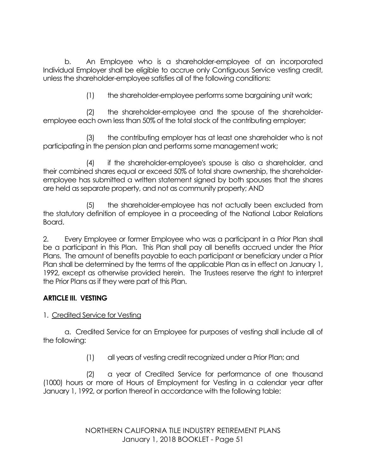b. An Employee who is a shareholder-employee of an incorporated Individual Employer shall be eligible to accrue only Contiguous Service vesting credit, unless the shareholder-employee satisfies all of the following conditions:

(1) the shareholder-employee performs some bargaining unit work;

(2) the shareholder-employee and the spouse of the shareholderemployee each own less than 50% of the total stock of the contributing employer;

(3) the contributing employer has at least one shareholder who is not participating in the pension plan and performs some management work;

(4) if the shareholder-employee's spouse is also a shareholder, and their combined shares equal or exceed 50% of total share ownership, the shareholderemployee has submitted a written statement signed by both spouses that the shares are held as separate property, and not as community property; AND

(5) the shareholder-employee has not actually been excluded from the statutory definition of employee in a proceeding of the National Labor Relations Board.

2. Every Employee or former Employee who was a participant in a Prior Plan shall be a participant in this Plan. This Plan shall pay all benefits accrued under the Prior Plans. The amount of benefits payable to each participant or beneficiary under a Prior Plan shall be determined by the terms of the applicable Plan as in effect on January 1, 1992, except as otherwise provided herein. The Trustees reserve the right to interpret the Prior Plans as if they were part of this Plan.

# **ARTICLE III. VESTING**

# 1. Credited Service for Vesting

a. Credited Service for an Employee for purposes of vesting shall include all of the following:

(1) all years of vesting credit recognized under a Prior Plan; and

(2) a year of Credited Service for performance of one thousand (1000) hours or more of Hours of Employment for Vesting in a calendar year after January 1, 1992, or portion thereof in accordance with the following table:

> NORTHERN CALIFORNIA TILE INDUSTRY RETIREMENT PLANS January 1, 2018 BOOKLET - Page 51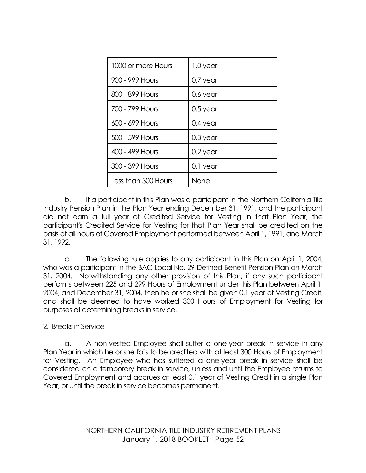| 1000 or more Hours  | 1.0 year   |
|---------------------|------------|
| 900 - 999 Hours     | $0.7$ year |
| 800 - 899 Hours     | 0.6 year   |
| 700 - 799 Hours     | $0.5$ year |
| 600 - 699 Hours     | $0.4$ year |
| 500 - 599 Hours     | $0.3$ year |
| 400 - 499 Hours     | $0.2$ year |
| 300 - 399 Hours     | 0.1 year   |
| Less than 300 Hours | None       |

b. If a participant in this Plan was a participant in the Northern California Tile Industry Pension Plan in the Plan Year ending December 31, 1991, and the participant did not earn a full year of Credited Service for Vesting in that Plan Year, the participant's Credited Service for Vesting for that Plan Year shall be credited on the basis of all hours of Covered Employment performed between April 1, 1991, and March 31, 1992.

c. The following rule applies to any participant in this Plan on April 1, 2004, who was a participant in the BAC Local No. 29 Defined Benefit Pension Plan on March 31, 2004. Notwithstanding any other provision of this Plan, if any such participant performs between 225 and 299 Hours of Employment under this Plan between April 1, 2004, and December 31, 2004, then he or she shall be given 0.1 year of Vesting Credit, and shall be deemed to have worked 300 Hours of Employment for Vesting for purposes of determining breaks in service.

# 2. Breaks in Service

a. A non-vested Employee shall suffer a one-year break in service in any Plan Year in which he or she fails to be credited with at least 300 Hours of Employment for Vesting. An Employee who has suffered a one-year break in service shall be considered on a temporary break in service, unless and until the Employee returns to Covered Employment and accrues at least 0.1 year of Vesting Credit in a single Plan Year, or until the break in service becomes permanent.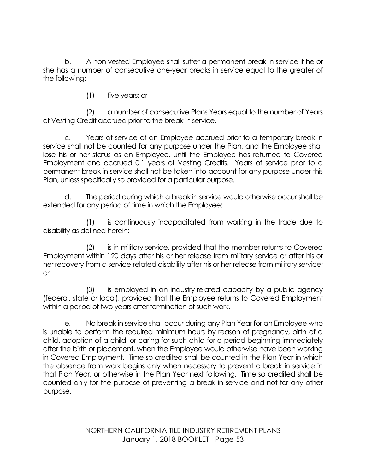b. A non-vested Employee shall suffer a permanent break in service if he or she has a number of consecutive one-year breaks in service equal to the greater of the following:

(1) five years; or

(2) a number of consecutive Plans Years equal to the number of Years of Vesting Credit accrued prior to the break in service.

c. Years of service of an Employee accrued prior to a temporary break in service shall not be counted for any purpose under the Plan, and the Employee shall lose his or her status as an Employee, until the Employee has returned to Covered Employment and accrued 0.1 years of Vesting Credits. Years of service prior to a permanent break in service shall not be taken into account for any purpose under this Plan, unless specifically so provided for a particular purpose.

d. The period during which a break in service would otherwise occur shall be extended for any period of time in which the Employee:

(1) is continuously incapacitated from working in the trade due to disability as defined herein;

(2) is in military service, provided that the member returns to Covered Employment within 120 days after his or her release from military service or after his or her recovery from a service-related disability after his or her release from military service; or

(3) is employed in an industry-related capacity by a public agency (federal, state or local), provided that the Employee returns to Covered Employment within a period of two years after termination of such work.

e. No break in service shall occur during any Plan Year for an Employee who is unable to perform the required minimum hours by reason of pregnancy, birth of a child, adoption of a child, or caring for such child for a period beginning immediately after the birth or placement, when the Employee would otherwise have been working in Covered Employment. Time so credited shall be counted in the Plan Year in which the absence from work begins only when necessary to prevent a break in service in that Plan Year, or otherwise in the Plan Year next following. Time so credited shall be counted only for the purpose of preventing a break in service and not for any other purpose.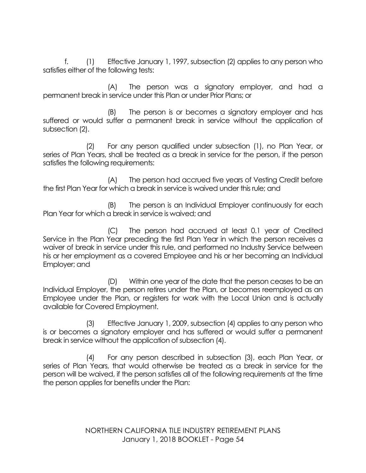f. (1) Effective January 1, 1997, subsection (2) applies to any person who satisfies either of the following tests:

(A) The person was a signatory employer, and had a permanent break in service under this Plan or under Prior Plans; or

(B) The person is or becomes a signatory employer and has suffered or would suffer a permanent break in service without the application of subsection (2).

(2) For any person qualified under subsection (1), no Plan Year, or series of Plan Years, shall be treated as a break in service for the person, if the person satisfies the following requirements:

(A) The person had accrued five years of Vesting Credit before the first Plan Year for which a break in service is waived under this rule; and

(B) The person is an Individual Employer continuously for each Plan Year for which a break in service is waived; and

(C) The person had accrued at least 0.1 year of Credited Service in the Plan Year preceding the first Plan Year in which the person receives a waiver of break in service under this rule, and performed no Industry Service between his or her employment as a covered Employee and his or her becoming an Individual Employer; and

(D) Within one year of the date that the person ceases to be an Individual Employer, the person retires under the Plan, or becomes reemployed as an Employee under the Plan, or registers for work with the Local Union and is actually available for Covered Employment.

(3) Effective January 1, 2009, subsection (4) applies to any person who is or becomes a signatory employer and has suffered or would suffer a permanent break in service without the application of subsection (4).

(4) For any person described in subsection (3), each Plan Year, or series of Plan Years, that would otherwise be treated as a break in service for the person will be waived, if the person satisfies all of the following requirements at the time the person applies for benefits under the Plan: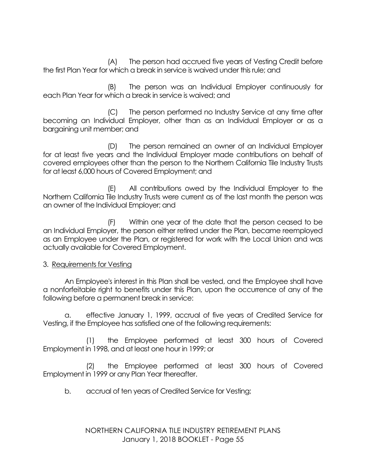(A) The person had accrued five years of Vesting Credit before the first Plan Year for which a break in service is waived under this rule; and

(B) The person was an Individual Employer continuously for each Plan Year for which a break in service is waived; and

(C) The person performed no Industry Service at any time after becoming an Individual Employer, other than as an Individual Employer or as a bargaining unit member; and

(D) The person remained an owner of an Individual Employer for at least five years and the Individual Employer made contributions on behalf of covered employees other than the person to the Northern California Tile Industry Trusts for at least 6,000 hours of Covered Employment; and

(E) All contributions owed by the Individual Employer to the Northern California Tile Industry Trusts were current as of the last month the person was an owner of the Individual Employer; and

(F) Within one year of the date that the person ceased to be an Individual Employer, the person either retired under the Plan, became reemployed as an Employee under the Plan, or registered for work with the Local Union and was actually available for Covered Employment.

### 3. Requirements for Vesting

An Employee's interest in this Plan shall be vested, and the Employee shall have a nonforfeitable right to benefits under this Plan, upon the occurrence of any of the following before a permanent break in service:

a. effective January 1, 1999, accrual of five years of Credited Service for Vesting, if the Employee has satisfied one of the following requirements:

(1) the Employee performed at least 300 hours of Covered Employment in 1998, and at least one hour in 1999; or

(2) the Employee performed at least 300 hours of Covered Employment in 1999 or any Plan Year thereafter.

b. accrual of ten years of Credited Service for Vesting;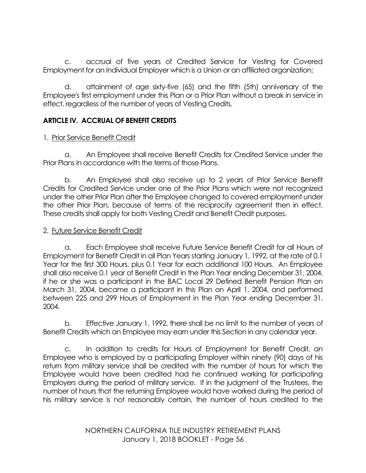c. accrual of five years of Credited Service for Vesting for Covered Employment for an Individual Employer which is a Union or an affiliated organization;

d. attainment of age sixty-five (65) and the fifth (5th) anniversary of the Employee's first employment under this Plan or a Prior Plan without a break in service in effect, regardless of the number of years of Vesting Credits.

# **ARTICLE IV. ACCRUAL OF BENEFIT CREDITS**

# 1. Prior Service Benefit Credit

a. An Employee shall receive Benefit Credits for Credited Service under the Prior Plans in accordance with the terms of those Plans.

b. An Employee shall also receive up to 2 years of Prior Service Benefit Credits for Credited Service under one of the Prior Plans which were not recognized under the other Prior Plan after the Employee changed to covered employment under the other Prior Plan, because of terms of the reciprocity agreement then in effect. These credits shall apply for both Vesting Credit and Benefit Credit purposes.

### 2. Future Service Benefit Credit

a. Each Employee shall receive Future Service Benefit Credit for all Hours of Employment for Benefit Credit in all Plan Years starting January 1, 1992, at the rate of 0.1 Year for the first 300 Hours, plus 0.1 Year for each additional 100 Hours. An Employee shall also receive 0.1 year of Benefit Credit in the Plan Year ending December 31, 2004, if he or she was a participant in the BAC Local 29 Defined Benefit Pension Plan on March 31, 2004, became a participant in this Plan on April 1, 2004, and performed between 225 and 299 Hours of Employment in the Plan Year ending December 31, 2004.

b. Effective January 1, 1992, there shall be no limit to the number of years of Benefit Credits which an Employee may earn under this Section in any calendar year.

c. In addition to credits for Hours of Employment for Benefit Credit, an Employee who is employed by a participating Employer within ninety (90) days of his return from military service shall be credited with the number of hours for which the Employee would have been credited had he continued working for participating Employers during the period of military service. If in the judgment of the Trustees, the number of hours that the returning Employee would have worked during the period of his military service is not reasonably certain, the number of hours credited to the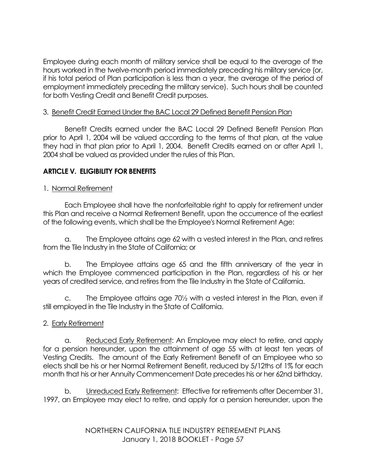Employee during each month of military service shall be equal to the average of the hours worked in the twelve-month period immediately preceding his military service (or, if his total period of Plan participation is less than a year, the average of the period of employment immediately preceding the military service). Such hours shall be counted for both Vesting Credit and Benefit Credit purposes.

# 3. Benefit Credit Earned Under the BAC Local 29 Defined Benefit Pension Plan

Benefit Credits earned under the BAC Local 29 Defined Benefit Pension Plan prior to April 1, 2004 will be valued according to the terms of that plan, at the value they had in that plan prior to April 1, 2004. Benefit Credits earned on or after April 1, 2004 shall be valued as provided under the rules of this Plan.

# **ARTICLE V. ELIGIBILITY FOR BENEFITS**

# 1. Normal Retirement

Each Employee shall have the nonforfeitable right to apply for retirement under this Plan and receive a Normal Retirement Benefit, upon the occurrence of the earliest of the following events, which shall be the Employee's Normal Retirement Age:

a. The Employee attains age 62 with a vested interest in the Plan, and retires from the Tile Industry in the State of California; or

b. The Employee attains age 65 and the fifth anniversary of the year in which the Employee commenced participation in the Plan, regardless of his or her years of credited service, and retires from the Tile Industry in the State of California.

c. The Employee attains age 70½ with a vested interest in the Plan, even if still employed in the Tile Industry in the State of California.

# 2. Early Retirement

a. Reduced Early Retirement: An Employee may elect to retire, and apply for a pension hereunder, upon the attainment of age 55 with at least ten years of Vesting Credits. The amount of the Early Retirement Benefit of an Employee who so elects shall be his or her Normal Retirement Benefit, reduced by 5/12ths of 1% for each month that his or her Annuity Commencement Date precedes his or her 62nd birthday.

b. Unreduced Early Retirement: Effective for retirements after December 31, 1997, an Employee may elect to retire, and apply for a pension hereunder, upon the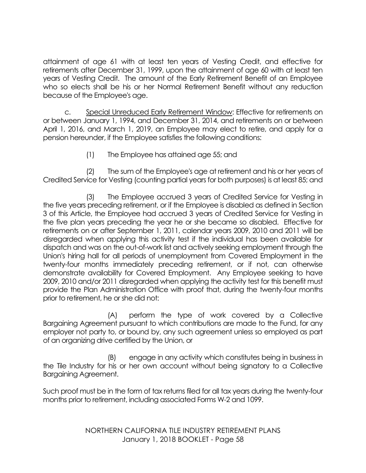attainment of age 61 with at least ten years of Vesting Credit, and effective for retirements after December 31, 1999, upon the attainment of age 60 with at least ten years of Vesting Credit. The amount of the Early Retirement Benefit of an Employee who so elects shall be his or her Normal Retirement Benefit without any reduction because of the Employee's age.

c. Special Unreduced Early Retirement Window: Effective for retirements on or between January 1, 1994, and December 31, 2014, and retirements on or between April 1, 2016, and March 1, 2019, an Employee may elect to retire, and apply for a pension hereunder, if the Employee satisfies the following conditions:

(1) The Employee has attained age 55; and

(2) The sum of the Employee's age at retirement and his or her years of Credited Service for Vesting (counting partial years for both purposes) is at least 85; and

(3) The Employee accrued 3 years of Credited Service for Vesting in the five years preceding retirement, or if the Employee is disabled as defined in Section 3 of this Article, the Employee had accrued 3 years of Credited Service for Vesting in the five plan years preceding the year he or she became so disabled. Effective for retirements on or after September 1, 2011, calendar years 2009, 2010 and 2011 will be disregarded when applying this activity test if the individual has been available for dispatch and was on the out-of-work list and actively seeking employment through the Union's hiring hall for all periods of unemployment from Covered Employment in the twenty-four months immediately preceding retirement, or if not, can otherwise demonstrate availability for Covered Employment. Any Employee seeking to have 2009, 2010 and/or 2011 disregarded when applying the activity test for this benefit must provide the Plan Administration Office with proof that, during the twenty-four months prior to retirement, he or she did not:

(A) perform the type of work covered by a Collective Bargaining Agreement pursuant to which contributions are made to the Fund, for any employer not party to, or bound by, any such agreement unless so employed as part of an organizing drive certified by the Union, or

(B) engage in any activity which constitutes being in business in the Tile Industry for his or her own account without being signatory to a Collective Bargaining Agreement.

Such proof must be in the form of tax returns filed for all tax years during the twenty-four months prior to retirement, including associated Forms W-2 and 1099.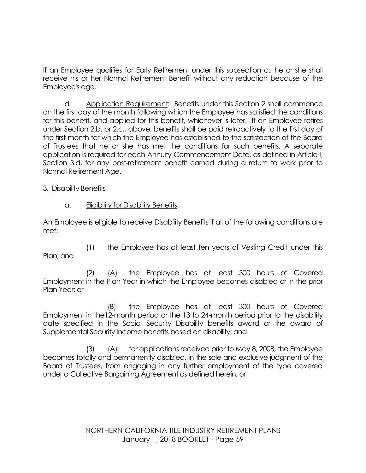If an Employee qualifies for Early Retirement under this subsection c., he or she shall receive his or her Normal Retirement Benefit without any reduction because of the Employee's age.

d. Application Requirement: Benefits under this Section 2 shall commence on the first day of the month following which the Employee has satisfied the conditions for this benefit, and applied for this benefit, whichever is later. If an Employee retires under Section 2.b. or 2.c., above, benefits shall be paid retroactively to the first day of the first month for which the Employee has established to the satisfaction of the Board of Trustees that he or she has met the conditions for such benefits. A separate application is required for each Annuity Commencement Date, as defined in Article I, Section 3.d, for any post-retirement benefit earned during a return to work prior to Normal Retirement Age.

3. Disability Benefits

a. Eligibility for Disability Benefits:

An Employee is eligible to receive Disability Benefits if all of the following conditions are met:

(1) the Employee has at least ten years of Vesting Credit under this Plan; and

(2) (A) the Employee has at least 300 hours of Covered Employment in the Plan Year in which the Employee becomes disabled or in the prior Plan Year; or

(B) the Employee has at least 300 hours of Covered Employment in the12-month period or the 13 to 24-month period prior to the disability date specified in the Social Security Disability benefits award or the award of Supplemental Security Income benefits based on disability; and

(3) (A) for applications received prior to May 8, 2008, the Employee becomes totally and permanently disabled, in the sole and exclusive judgment of the Board of Trustees, from engaging in any further employment of the type covered under a Collective Bargaining Agreement as defined herein; or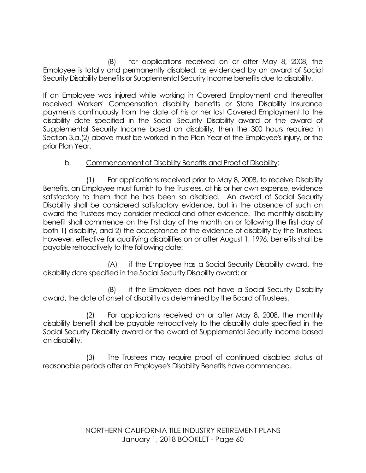(B) for applications received on or after May 8, 2008, the Employee is totally and permanently disabled, as evidenced by an award of Social Security Disability benefits or Supplemental Security Income benefits due to disability.

If an Employee was injured while working in Covered Employment and thereafter received Workers' Compensation disability benefits or State Disability Insurance payments continuously from the date of his or her last Covered Employment to the disability date specified in the Social Security Disability award or the award of Supplemental Security Income based on disability, then the 300 hours required in Section 3.a.(2) above must be worked in the Plan Year of the Employee's injury, or the prior Plan Year.

# b. Commencement of Disability Benefits and Proof of Disability:

(1) For applications received prior to May 8, 2008, to receive Disability Benefits, an Employee must furnish to the Trustees, at his or her own expense, evidence satisfactory to them that he has been so disabled. An award of Social Security Disability shall be considered satisfactory evidence, but in the absence of such an award the Trustees may consider medical and other evidence. The monthly disability benefit shall commence on the first day of the month on or following the first day of both 1) disability, and 2) the acceptance of the evidence of disability by the Trustees. However, effective for qualifying disabilities on or after August 1, 1996, benefits shall be payable retroactively to the following date:

(A) if the Employee has a Social Security Disability award, the disability date specified in the Social Security Disability award; or

(B) if the Employee does not have a Social Security Disability award, the date of onset of disability as determined by the Board of Trustees.

(2) For applications received on or after May 8, 2008, the monthly disability benefit shall be payable retroactively to the disability date specified in the Social Security Disability award or the award of Supplemental Security Income based on disability.

(3) The Trustees may require proof of continued disabled status at reasonable periods after an Employee's Disability Benefits have commenced.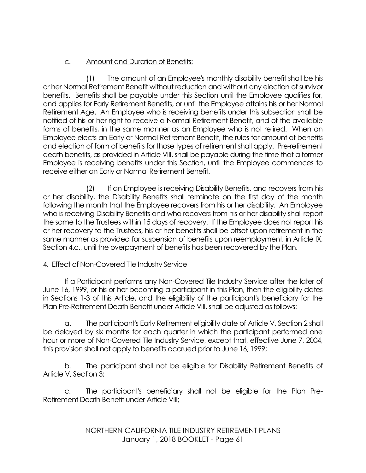# c. Amount and Duration of Benefits:

(1) The amount of an Employee's monthly disability benefit shall be his or her Normal Retirement Benefit without reduction and without any election of survivor benefits. Benefits shall be payable under this Section until the Employee qualifies for, and applies for Early Retirement Benefits, or until the Employee attains his or her Normal Retirement Age. An Employee who is receiving benefits under this subsection shall be notified of his or her right to receive a Normal Retirement Benefit, and of the available forms of benefits, in the same manner as an Employee who is not retired. When an Employee elects an Early or Normal Retirement Benefit, the rules for amount of benefits and election of form of benefits for those types of retirement shall apply. Pre-retirement death benefits, as provided in Article VIII, shall be payable during the time that a former Employee is receiving benefits under this Section, until the Employee commences to receive either an Early or Normal Retirement Benefit.

(2) If an Employee is receiving Disability Benefits, and recovers from his or her disability, the Disability Benefits shall terminate on the first day of the month following the month that the Employee recovers from his or her disability. An Employee who is receiving Disability Benefits and who recovers from his or her disability shall report the same to the Trustees within 15 days of recovery. If the Employee does not report his or her recovery to the Trustees, his or her benefits shall be offset upon retirement in the same manner as provided for suspension of benefits upon reemployment, in Article IX, Section 4.c., until the overpayment of benefits has been recovered by the Plan.

# 4. Effect of Non-Covered Tile Industry Service

If a Participant performs any Non-Covered Tile Industry Service after the later of June 16, 1999, or his or her becoming a participant in this Plan, then the eligibility dates in Sections 1-3 of this Article, and the eligibility of the participant's beneficiary for the Plan Pre-Retirement Death Benefit under Article VIII, shall be adjusted as follows:

a. The participant's Early Retirement eligibility date of Article V, Section 2 shall be delayed by six months for each quarter in which the participant performed one hour or more of Non-Covered Tile Industry Service, except that, effective June 7, 2004, this provision shall not apply to benefits accrued prior to June 16, 1999;

b. The participant shall not be eligible for Disability Retirement Benefits of Article V, Section 3;

c. The participant's beneficiary shall not be eligible for the Plan Pre-Retirement Death Benefit under Article VIII;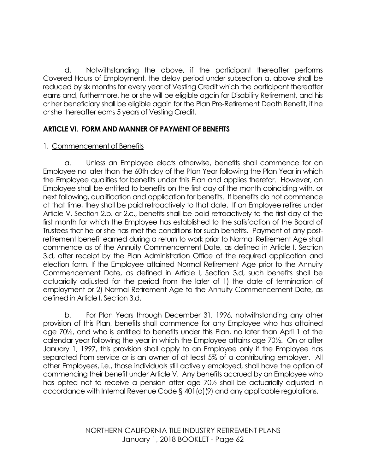d. Notwithstanding the above, if the participant thereafter performs Covered Hours of Employment, the delay period under subsection a. above shall be reduced by six months for every year of Vesting Credit which the participant thereafter earns and, furthermore, he or she will be eligible again for Disability Retirement, and his or her beneficiary shall be eligible again for the Plan Pre-Retirement Death Benefit, if he or she thereafter earns 5 years of Vesting Credit.

# **ARTICLE VI. FORM AND MANNER OF PAYMENT OF BENEFITS**

# 1. Commencement of Benefits

a. Unless an Employee elects otherwise, benefits shall commence for an Employee no later than the 60th day of the Plan Year following the Plan Year in which the Employee qualifies for benefits under this Plan and applies therefor. However, an Employee shall be entitled to benefits on the first day of the month coinciding with, or next following, qualification and application for benefits. If benefits do not commence at that time, they shall be paid retroactively to that date. If an Employee retires under Article V, Section 2.b. or 2.c., benefits shall be paid retroactively to the first day of the first month for which the Employee has established to the satisfaction of the Board of Trustees that he or she has met the conditions for such benefits. Payment of any postretirement benefit earned during a return to work prior to Normal Retirement Age shall commence as of the Annuity Commencement Date, as defined in Article I, Section 3.d, after receipt by the Plan Administration Office of the required application and election form. If the Employee attained Normal Retirement Age prior to the Annuity Commencement Date, as defined in Article I, Section 3.d, such benefits shall be actuarially adjusted for the period from the later of 1) the date of termination of employment or 2) Normal Retirement Age to the Annuity Commencement Date, as defined in Article I, Section 3.d.

b. For Plan Years through December 31, 1996, notwithstanding any other provision of this Plan, benefits shall commence for any Employee who has attained age 70½, and who is entitled to benefits under this Plan, no later than April 1 of the calendar year following the year in which the Employee attains age 70½. On or after January 1, 1997, this provision shall apply to an Employee only if the Employee has separated from service or is an owner of at least 5% of a contributing employer. All other Employees, i.e., those individuals still actively employed, shall have the option of commencing their benefit under Article V. Any benefits accrued by an Employee who has opted not to receive a pension after age 70½ shall be actuarially adjusted in accordance with Internal Revenue Code § 401(a)(9) and any applicable regulations.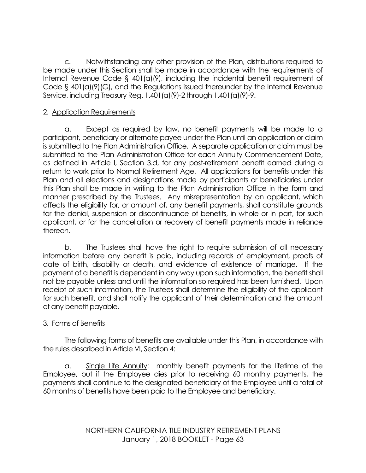c. Notwithstanding any other provision of the Plan, distributions required to be made under this Section shall be made in accordance with the requirements of Internal Revenue Code § 401(a)(9), including the incidental benefit requirement of Code § 401(a)(9)(G), and the Regulations issued thereunder by the Internal Revenue Service, including Treasury Reg. 1.401(a)(9)-2 through 1.401(a)(9)-9.

### 2. Application Requirements

a. Except as required by law, no benefit payments will be made to a participant, beneficiary or alternate payee under the Plan until an application or claim is submitted to the Plan Administration Office. A separate application or claim must be submitted to the Plan Administration Office for each Annuity Commencement Date, as defined in Article I, Section 3.d, for any post-retirement benefit earned during a return to work prior to Normal Retirement Age. All applications for benefits under this Plan and all elections and designations made by participants or beneficiaries under this Plan shall be made in writing to the Plan Administration Office in the form and manner prescribed by the Trustees. Any misrepresentation by an applicant, which affects the eligibility for, or amount of, any benefit payments, shall constitute grounds for the denial, suspension or discontinuance of benefits, in whole or in part, for such applicant, or for the cancellation or recovery of benefit payments made in reliance thereon.

b. The Trustees shall have the right to require submission of all necessary information before any benefit is paid, including records of employment, proofs of date of birth, disability or death, and evidence of existence of marriage. If the payment of a benefit is dependent in any way upon such information, the benefit shall not be payable unless and until the information so required has been furnished. Upon receipt of such information, the Trustees shall determine the eligibility of the applicant for such benefit, and shall notify the applicant of their determination and the amount of any benefit payable.

# 3. Forms of Benefits

The following forms of benefits are available under this Plan, in accordance with the rules described in Article VI, Section 4:

a. Single Life Annuity: monthly benefit payments for the lifetime of the Employee, but if the Employee dies prior to receiving 60 monthly payments, the payments shall continue to the designated beneficiary of the Employee until a total of 60 months of benefits have been paid to the Employee and beneficiary.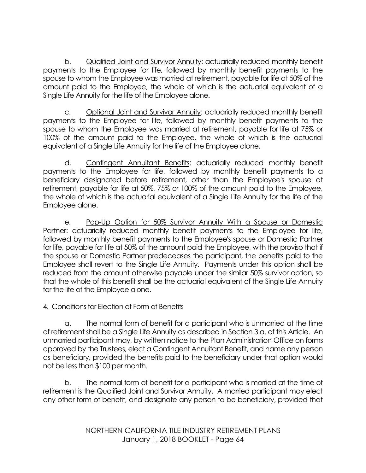b. Qualified Joint and Survivor Annuity: actuarially reduced monthly benefit payments to the Employee for life, followed by monthly benefit payments to the spouse to whom the Employee was married at retirement, payable for life at 50% of the amount paid to the Employee, the whole of which is the actuarial equivalent of a Single Life Annuity for the life of the Employee alone.

c. Optional Joint and Survivor Annuity: actuarially reduced monthly benefit payments to the Employee for life, followed by monthly benefit payments to the spouse to whom the Employee was married at retirement, payable for life at 75% or 100% of the amount paid to the Employee, the whole of which is the actuarial equivalent of a Single Life Annuity for the life of the Employee alone.

d. Contingent Annuitant Benefits: actuarially reduced monthly benefit payments to the Employee for life, followed by monthly benefit payments to a beneficiary designated before retirement, other than the Employee's spouse at retirement, payable for life at 50%, 75% or 100% of the amount paid to the Employee, the whole of which is the actuarial equivalent of a Single Life Annuity for the life of the Employee alone.

e. Pop-Up Option for 50% Survivor Annuity With a Spouse or Domestic Partner: actuarially reduced monthly benefit payments to the Employee for life, followed by monthly benefit payments to the Employee's spouse or Domestic Partner for life, payable for life at 50% of the amount paid the Employee, with the proviso that if the spouse or Domestic Partner predeceases the participant, the benefits paid to the Employee shall revert to the Single Life Annuity. Payments under this option shall be reduced from the amount otherwise payable under the similar 50% survivor option, so that the whole of this benefit shall be the actuarial equivalent of the Single Life Annuity for the life of the Employee alone.

# 4. Conditions for Election of Form of Benefits

a. The normal form of benefit for a participant who is unmarried at the time of retirement shall be a Single Life Annuity as described in Section 3.a. of this Article. An unmarried participant may, by written notice to the Plan Administration Office on forms approved by the Trustees, elect a Contingent Annuitant Benefit, and name any person as beneficiary, provided the benefits paid to the beneficiary under that option would not be less than \$100 per month.

b. The normal form of benefit for a participant who is married at the time of retirement is the Qualified Joint and Survivor Annuity. A married participant may elect any other form of benefit, and designate any person to be beneficiary, provided that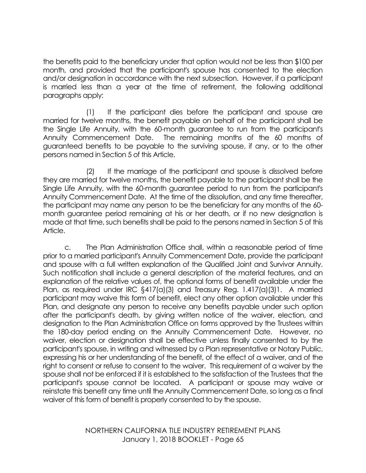the benefits paid to the beneficiary under that option would not be less than \$100 per month, and provided that the participant's spouse has consented to the election and/or designation in accordance with the next subsection. However, if a participant is married less than a year at the time of retirement, the following additional paragraphs apply:

(1) If the participant dies before the participant and spouse are married for twelve months, the benefit payable on behalf of the participant shall be the Single Life Annuity, with the 60-month guarantee to run from the participant's Annuity Commencement Date. The remaining months of the 60 months of guaranteed benefits to be payable to the surviving spouse, if any, or to the other persons named in Section 5 of this Article.

(2) If the marriage of the participant and spouse is dissolved before they are married for twelve months, the benefit payable to the participant shall be the Single Life Annuity, with the 60-month guarantee period to run from the participant's Annuity Commencement Date. At the time of the dissolution, and any time thereafter, the participant may name any person to be the beneficiary for any months of the 60 month guarantee period remaining at his or her death, or if no new designation is made at that time, such benefits shall be paid to the persons named in Section 5 of this Article.

c. The Plan Administration Office shall, within a reasonable period of time prior to a married participant's Annuity Commencement Date, provide the participant and spouse with a full written explanation of the Qualified Joint and Survivor Annuity. Such notification shall include a general description of the material features, and an explanation of the relative values of, the optional forms of benefit available under the Plan, as required under IRC §417(a)(3) and Treasury Reg. 1.417(a)(3)1. A married participant may waive this form of benefit, elect any other option available under this Plan, and designate any person to receive any benefits payable under such option after the participant's death, by giving written notice of the waiver, election, and designation to the Plan Administration Office on forms approved by the Trustees within the 180-day period ending on the Annuity Commencement Date. However, no waiver, election or designation shall be effective unless finally consented to by the participant's spouse, in writing and witnessed by a Plan representative or Notary Public, expressing his or her understanding of the benefit, of the effect of a waiver, and of the right to consent or refuse to consent to the waiver. This requirement of a waiver by the spouse shall not be enforced if it is established to the satisfaction of the Trustees that the participant's spouse cannot be located. A participant or spouse may waive or reinstate this benefit any time until the Annuity Commencement Date, so long as a final waiver of this form of benefit is properly consented to by the spouse.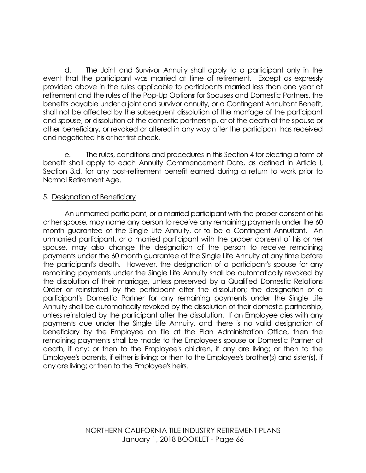d. The Joint and Survivor Annuity shall apply to a participant only in the event that the participant was married at time of retirement. Except as expressly provided above in the rules applicable to participants married less than one year at retirement and the rules of the Pop-Up Option*s* for Spouses and Domestic Partners, the benefits payable under a joint and survivor annuity, or a Contingent Annuitant Benefit, shall not be affected by the subsequent dissolution of the marriage of the participant and spouse, or dissolution of the domestic partnership, or of the death of the spouse or other beneficiary, or revoked or altered in any way after the participant has received and negotiated his or her first check.

e. The rules, conditions and procedures in this Section 4 for electing a form of benefit shall apply to each Annuity Commencement Date, as defined in Article I, Section 3.d, for any post-retirement benefit earned during a return to work prior to Normal Retirement Age.

#### 5. Designation of Beneficiary

An unmarried participant, or a married participant with the proper consent of his or her spouse, may name any person to receive any remaining payments under the 60 month guarantee of the Single Life Annuity, or to be a Contingent Annuitant. An unmarried participant, or a married participant with the proper consent of his or her spouse, may also change the designation of the person to receive remaining payments under the 60 month guarantee of the Single Life Annuity at any time before the participant's death. However, the designation of a participant's spouse for any remaining payments under the Single Life Annuity shall be automatically revoked by the dissolution of their marriage, unless preserved by a Qualified Domestic Relations Order or reinstated by the participant after the dissolution; the designation of a participant's Domestic Partner for any remaining payments under the Single Life Annuity shall be automatically revoked by the dissolution of their domestic partnership, unless reinstated by the participant after the dissolution. If an Employee dies with any payments due under the Single Life Annuity, and there is no valid designation of beneficiary by the Employee on file at the Plan Administration Office, then the remaining payments shall be made to the Employee's spouse or Domestic Partner at death, if any; or then to the Employee's children, if any are living; or then to the Employee's parents, if either is living; or then to the Employee's brother(s) and sister(s), if any are living; or then to the Employee's heirs.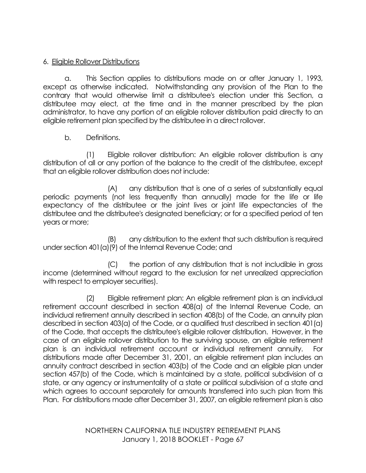# 6. Eligible Rollover Distributions

a. This Section applies to distributions made on or after January 1, 1993, except as otherwise indicated. Notwithstanding any provision of the Plan to the contrary that would otherwise limit a distributee's election under this Section, a distributee may elect, at the time and in the manner prescribed by the plan administrator, to have any portion of an eligible rollover distribution paid directly to an eligible retirement plan specified by the distributee in a direct rollover.

b. Definitions.

(1) Eligible rollover distribution: An eligible rollover distribution is any distribution of all or any portion of the balance to the credit of the distributee, except that an eligible rollover distribution does not include:

(A) any distribution that is one of a series of substantially equal periodic payments (not less frequently than annually) made for the life or life expectancy of the distributee or the joint lives or joint life expectancies of the distributee and the distributee's designated beneficiary; or for a specified period of ten years or more;

(B) any distribution to the extent that such distribution is required under section 401(a)(9) of the Internal Revenue Code; and

(C) the portion of any distribution that is not includible in gross income (determined without regard to the exclusion for net unrealized appreciation with respect to employer securities).

(2) Eligible retirement plan: An eligible retirement plan is an individual retirement account described in section 408(a) of the Internal Revenue Code, an individual retirement annuity described in section 408(b) of the Code, an annuity plan described in section 403(a) of the Code, or a qualified trust described in section 401(a) of the Code, that accepts the distributee's eligible rollover distribution. However, in the case of an eligible rollover distribution to the surviving spouse, an eligible retirement plan is an individual retirement account or individual retirement annuity. For distributions made after December 31, 2001, an eligible retirement plan includes an annuity contract described in section 403(b) of the Code and an eligible plan under section 457(b) of the Code, which is maintained by a state, political subdivision of a state, or any agency or instrumentality of a state or political subdivision of a state and which agrees to account separately for amounts transferred into such plan from this Plan. For distributions made after December 31, 2007, an eligible retirement plan is also

> NORTHERN CALIFORNIA TILE INDUSTRY RETIREMENT PLANS January 1, 2018 BOOKLET - Page 67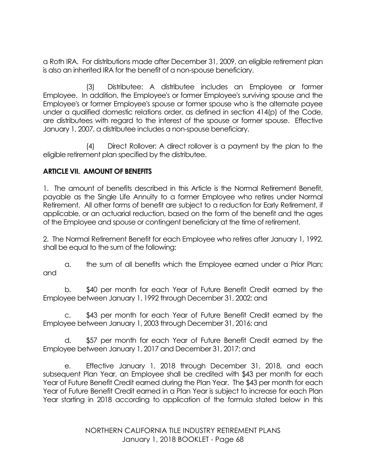a Roth IRA. For distributions made after December 31, 2009, an eligible retirement plan is also an inherited IRA for the benefit of a non-spouse beneficiary.

(3) Distributee: A distributee includes an Employee or former Employee. In addition, the Employee's or former Employee's surviving spouse and the Employee's or former Employee's spouse or former spouse who is the alternate payee under a qualified domestic relations order, as defined in section 414(p) of the Code, are distributees with regard to the interest of the spouse or former spouse. Effective January 1, 2007, a distributee includes a non-spouse beneficiary.

(4) Direct Rollover: A direct rollover is a payment by the plan to the eligible retirement plan specified by the distributee.

# **ARTICLE VII. AMOUNT OF BENEFITS**

1. The amount of benefits described in this Article is the Normal Retirement Benefit, payable as the Single Life Annuity to a former Employee who retires under Normal Retirement. All other forms of benefit are subject to a reduction for Early Retirement, if applicable, or an actuarial reduction, based on the form of the benefit and the ages of the Employee and spouse or contingent beneficiary at the time of retirement.

2. The Normal Retirement Benefit for each Employee who retires after January 1, 1992, shall be equal to the sum of the following:

a. the sum of all benefits which the Employee earned under a Prior Plan; and

b. \$40 per month for each Year of Future Benefit Credit earned by the Employee between January 1, 1992 through December 31, 2002; and

c. \$43 per month for each Year of Future Benefit Credit earned by the Employee between January 1, 2003 through December 31, 2016; and

d. \$57 per month for each Year of Future Benefit Credit earned by the Employee between January 1, 2017 and December 31, 2017; and

e. Effective January 1, 2018 through December 31, 2018, and each subsequent Plan Year, an Employee shall be credited with \$43 per month for each Year of Future Benefit Credit earned during the Plan Year. The \$43 per month for each Year of Future Benefit Credit earned in a Plan Year is subject to increase for each Plan Year starting in 2018 according to application of the formula stated below in this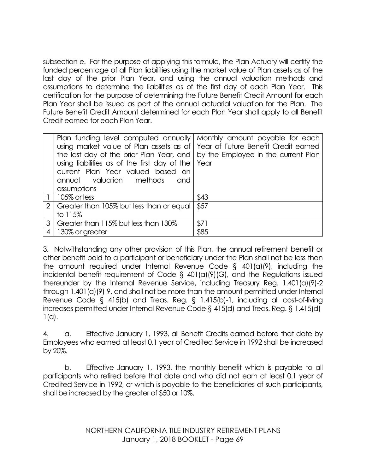subsection e. For the purpose of applying this formula, the Plan Actuary will certify the funded percentage of all Plan liabilities using the market value of Plan assets as of the last day of the prior Plan Year, and using the annual valuation methods and assumptions to determine the liabilities as of the first day of each Plan Year. This certification for the purpose of determining the Future Benefit Credit Amount for each Plan Year shall be issued as part of the annual actuarial valuation for the Plan. The Future Benefit Credit Amount determined for each Plan Year shall apply to all Benefit Credit earned for each Plan Year.

|                | Plan funding level computed annually Monthly amount payable for each         |      |
|----------------|------------------------------------------------------------------------------|------|
|                | using market value of Plan assets as of Year of Future Benefit Credit earned |      |
|                | the last day of the prior Plan Year, and by the Employee in the current Plan |      |
|                | using liabilities as of the first day of the                                 | Year |
|                | current Plan Year valued based on                                            |      |
|                | annual valuation methods<br>and                                              |      |
|                | assumptions                                                                  |      |
|                | $\vert$ 105% or less                                                         | \$43 |
|                | 2   Greater than 105% but less than or equal                                 | \$57 |
|                | to 115%                                                                      |      |
|                | 3   Greater than 115% but less than 130%                                     | \$71 |
| $\overline{4}$ | 130% or greater                                                              | \$85 |

3. Notwithstanding any other provision of this Plan, the annual retirement benefit or other benefit paid to a participant or beneficiary under the Plan shall not be less than the amount required under Internal Revenue Code § 401(a)(9), including the incidental benefit requirement of Code § 401(a)(9)(G), and the Regulations issued thereunder by the Internal Revenue Service, including Treasury Reg. 1.401(a)(9)-2 through 1.401(a)(9)-9, and shall not be more than the amount permitted under Internal Revenue Code § 415(b) and Treas. Reg. § 1.415(b)-1, including all cost-of-living increases permitted under Internal Revenue Code § 415(d) and Treas. Reg. § 1.415(d)-  $1(a)$ .

4. a. Effective January 1, 1993, all Benefit Credits earned before that date by Employees who earned at least 0.1 year of Credited Service in 1992 shall be increased by 20%.

b. Effective January 1, 1993, the monthly benefit which is payable to all participants who retired before that date and who did not earn at least 0.1 year of Credited Service in 1992, or which is payable to the beneficiaries of such participants, shall be increased by the greater of \$50 or 10%.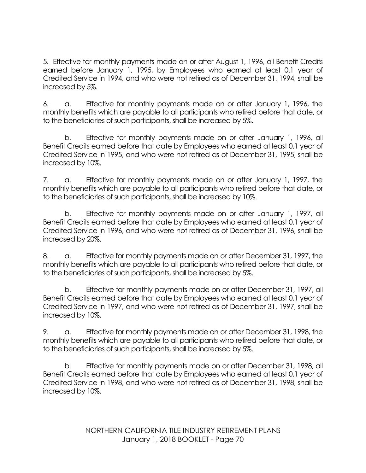5. Effective for monthly payments made on or after August 1, 1996, all Benefit Credits earned before January 1, 1995, by Employees who earned at least 0.1 year of Credited Service in 1994, and who were not retired as of December 31, 1994, shall be increased by 5%.

6. a. Effective for monthly payments made on or after January 1, 1996, the monthly benefits which are payable to all participants who retired before that date, or to the beneficiaries of such participants, shall be increased by 5%.

b. Effective for monthly payments made on or after January 1, 1996, all Benefit Credits earned before that date by Employees who earned at least 0.1 year of Credited Service in 1995, and who were not retired as of December 31, 1995, shall be increased by 10%.

7. a. Effective for monthly payments made on or after January 1, 1997, the monthly benefits which are payable to all participants who retired before that date, or to the beneficiaries of such participants, shall be increased by 10%.

b. Effective for monthly payments made on or after January 1, 1997, all Benefit Credits earned before that date by Employees who earned at least 0.1 year of Credited Service in 1996, and who were not retired as of December 31, 1996, shall be increased by 20%.

8. a. Effective for monthly payments made on or after December 31, 1997, the monthly benefits which are payable to all participants who retired before that date, or to the beneficiaries of such participants, shall be increased by 5%.

b. Effective for monthly payments made on or after December 31, 1997, all Benefit Credits earned before that date by Employees who earned at least 0.1 year of Credited Service in 1997, and who were not retired as of December 31, 1997, shall be increased by 10%.

9. a. Effective for monthly payments made on or after December 31, 1998, the monthly benefits which are payable to all participants who retired before that date, or to the beneficiaries of such participants, shall be increased by 5%.

b. Effective for monthly payments made on or after December 31, 1998, all Benefit Credits earned before that date by Employees who earned at least 0.1 year of Credited Service in 1998, and who were not retired as of December 31, 1998, shall be increased by 10%.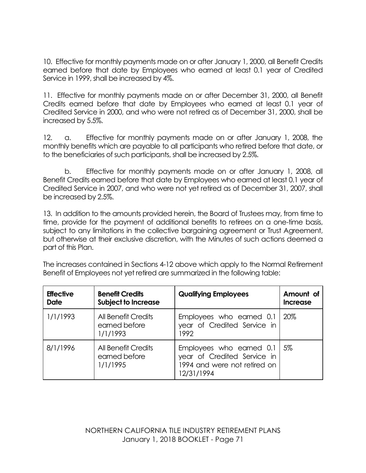10. Effective for monthly payments made on or after January 1, 2000, all Benefit Credits earned before that date by Employees who earned at least 0.1 year of Credited Service in 1999, shall be increased by 4%.

11. Effective for monthly payments made on or after December 31, 2000, all Benefit Credits earned before that date by Employees who earned at least 0.1 year of Credited Service in 2000, and who were not retired as of December 31, 2000, shall be increased by 5.5%.

12. a. Effective for monthly payments made on or after January 1, 2008, the monthly benefits which are payable to all participants who retired before that date, or to the beneficiaries of such participants, shall be increased by 2.5%.

b. Effective for monthly payments made on or after January 1, 2008, all Benefit Credits earned before that date by Employees who earned at least 0.1 year of Credited Service in 2007, and who were not yet retired as of December 31, 2007, shall be increased by 2.5%.

13. In addition to the amounts provided herein, the Board of Trustees may, from time to time, provide for the payment of additional benefits to retirees on a one-time basis, subject to any limitations in the collective bargaining agreement or Trust Agreement, but otherwise at their exclusive discretion, with the Minutes of such actions deemed a part of this Plan.

The increases contained in Sections 4-12 above which apply to the Normal Retirement Benefit of Employees not yet retired are summarized in the following table:

| <b>Effective</b><br><b>Date</b> | <b>Benefit Credits</b><br><b>Subject to Increase</b> | <b>Qualifying Employees</b>                                                                           | Amount of<br><b>Increase</b> |
|---------------------------------|------------------------------------------------------|-------------------------------------------------------------------------------------------------------|------------------------------|
| 1/1/1993                        | All Benefit Credits<br>earned before<br>1/1/1993     | Employees who earned 0.1<br>year of Credited Service in<br>1992                                       | 20%                          |
| 8/1/1996                        | All Benefit Credits<br>earned before<br>1/1/1995     | Employees who earned 0.1<br>year of Credited Service in<br>1994 and were not retired on<br>12/31/1994 | - 5%                         |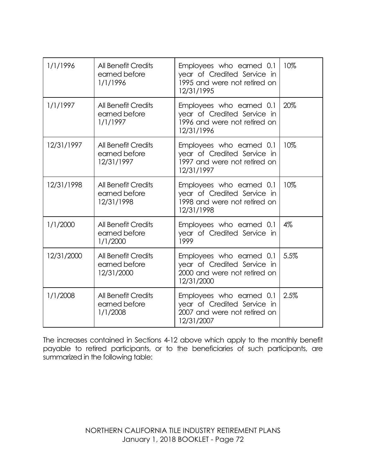| 1/1/1996   | <b>All Benefit Credits</b><br>earned before<br>1/1/1996   | Employees who earned 0.1<br>year of Credited Service in<br>1995 and were not retired on<br>12/31/1995 | 10%  |
|------------|-----------------------------------------------------------|-------------------------------------------------------------------------------------------------------|------|
| 1/1/1997   | <b>All Benefit Credits</b><br>earned before<br>1/1/1997   | Employees who earned 0.1<br>year of Credited Service in<br>1996 and were not retired on<br>12/31/1996 | 20%  |
| 12/31/1997 | <b>All Benefit Credits</b><br>earned before<br>12/31/1997 | Employees who earned 0.1<br>year of Credited Service in<br>1997 and were not retired on<br>12/31/1997 | 10%  |
| 12/31/1998 | <b>All Benefit Credits</b><br>earned before<br>12/31/1998 | Employees who earned 0.1<br>year of Credited Service in<br>1998 and were not retired on<br>12/31/1998 | 10%  |
| 1/1/2000   | <b>All Benefit Credits</b><br>earned before<br>1/1/2000   | Employees who earned 0.1<br>year of Credited Service in<br>1999                                       | 4%   |
| 12/31/2000 | <b>All Benefit Credits</b><br>earned before<br>12/31/2000 | Employees who earned 0.1<br>year of Credited Service in<br>2000 and were not retired on<br>12/31/2000 | 5.5% |
| 1/1/2008   | <b>All Benefit Credits</b><br>earned before<br>1/1/2008   | Employees who earned 0.1<br>year of Credited Service in<br>2007 and were not retired on<br>12/31/2007 | 2.5% |

The increases contained in Sections 4-12 above which apply to the monthly benefit payable to retired participants, or to the beneficiaries of such participants, are summarized in the following table: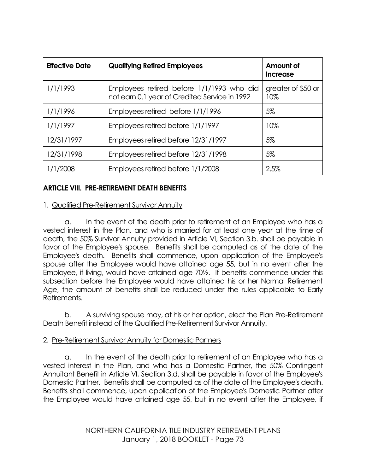| <b>Effective Date</b> | <b>Qualifying Retired Employees</b>                                                        | Amount of<br><b>Increase</b> |
|-----------------------|--------------------------------------------------------------------------------------------|------------------------------|
| 1/1/1993              | Employees retired before 1/1/1993 who did<br>not earn 0.1 year of Credited Service in 1992 | greater of \$50 or<br>10%    |
| 1/1/1996              | Employees retired before 1/1/1996                                                          | 5%                           |
| 1/1/1997              | Employees retired before 1/1/1997                                                          | 10%                          |
| 12/31/1997            | Employees retired before 12/31/1997                                                        | 5%                           |
| 12/31/1998            | Employees retired before 12/31/1998                                                        | 5%                           |
| 1/1/2008              | Employees retired before 1/1/2008                                                          | 2.5%                         |

## **ARTICLE VIII. PRE-RETIREMENT DEATH BENEFITS**

#### 1. Qualified Pre-Retirement Survivor Annuity

a. In the event of the death prior to retirement of an Employee who has a vested interest in the Plan, and who is married for at least one year at the time of death, the 50% Survivor Annuity provided in Article VI, Section 3.b. shall be payable in favor of the Employee's spouse. Benefits shall be computed as of the date of the Employee's death. Benefits shall commence, upon application of the Employee's spouse after the Employee would have attained age 55, but in no event after the Employee, if living, would have attained age 70½. If benefits commence under this subsection before the Employee would have attained his or her Normal Retirement Age, the amount of benefits shall be reduced under the rules applicable to Early Retirements.

b. A surviving spouse may, at his or her option, elect the Plan Pre-Retirement Death Benefit instead of the Qualified Pre-Retirement Survivor Annuity.

#### 2. Pre-Retirement Survivor Annuity for Domestic Partners

a. In the event of the death prior to retirement of an Employee who has a vested interest in the Plan, and who has a Domestic Partner, the 50% Contingent Annuitant Benefit in Article VI, Section 3.d. shall be payable in favor of the Employee's Domestic Partner. Benefits shall be computed as of the date of the Employee's death. Benefits shall commence, upon application of the Employee's Domestic Partner after the Employee would have attained age 55, but in no event after the Employee, if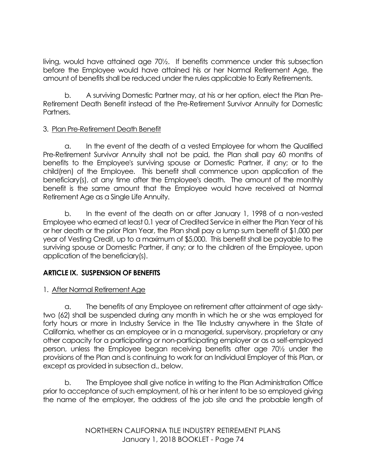living, would have attained age 70½. If benefits commence under this subsection before the Employee would have attained his or her Normal Retirement Age, the amount of benefits shall be reduced under the rules applicable to Early Retirements.

b. A surviving Domestic Partner may, at his or her option, elect the Plan Pre-Retirement Death Benefit instead of the Pre-Retirement Survivor Annuity for Domestic Partners.

# 3. Plan Pre-Retirement Death Benefit

a. In the event of the death of a vested Employee for whom the Qualified Pre-Retirement Survivor Annuity shall not be paid, the Plan shall pay 60 months of benefits to the Employee's surviving spouse or Domestic Partner, if any; or to the child(ren) of the Employee. This benefit shall commence upon application of the beneficiary(s), at any time after the Employee's death. The amount of the monthly benefit is the same amount that the Employee would have received at Normal Retirement Age as a Single Life Annuity.

b. In the event of the death on or after January 1, 1998 of a non-vested Employee who earned at least 0.1 year of Credited Service in either the Plan Year of his or her death or the prior Plan Year, the Plan shall pay a lump sum benefit of \$1,000 per year of Vesting Credit, up to a maximum of \$5,000. This benefit shall be payable to the surviving spouse or Domestic Partner, if any; or to the children of the Employee, upon application of the beneficiary(s).

# **ARTICLE IX. SUSPENSION OF BENEFITS**

# 1. After Normal Retirement Age

a. The benefits of any Employee on retirement after attainment of age sixtytwo (62) shall be suspended during any month in which he or she was employed for forty hours or more in Industry Service in the Tile Industry anywhere in the State of California, whether as an employee or in a managerial, supervisory, proprietary or any other capacity for a participating or non-participating employer or as a self-employed person, unless the Employee began receiving benefits after age 70½ under the provisions of the Plan and is continuing to work for an Individual Employer of this Plan, or except as provided in subsection d., below.

b. The Employee shall give notice in writing to the Plan Administration Office prior to acceptance of such employment, of his or her intent to be so employed giving the name of the employer, the address of the job site and the probable length of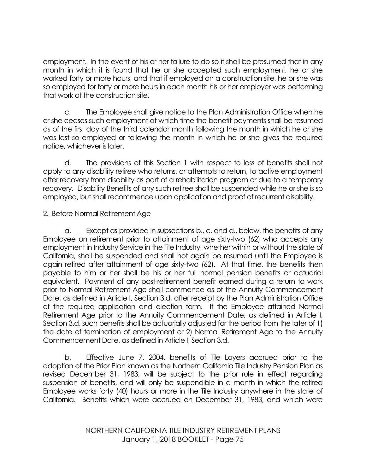employment. In the event of his or her failure to do so it shall be presumed that in any month in which it is found that he or she accepted such employment, he or she worked forty or more hours, and that if employed on a construction site, he or she was so employed for forty or more hours in each month his or her employer was performing that work at the construction site.

c. The Employee shall give notice to the Plan Administration Office when he or she ceases such employment at which time the benefit payments shall be resumed as of the first day of the third calendar month following the month in which he or she was last so employed or following the month in which he or she gives the required notice, whichever is later.

d. The provisions of this Section 1 with respect to loss of benefits shall not apply to any disability retiree who returns, or attempts to return, to active employment after recovery from disability as part of a rehabilitation program or due to a temporary recovery. Disability Benefits of any such retiree shall be suspended while he or she is so employed, but shall recommence upon application and proof of recurrent disability.

# 2. Before Normal Retirement Age

a. Except as provided in subsections b., c. and d., below, the benefits of any Employee on retirement prior to attainment of age sixty-two (62) who accepts any employment in Industry Service in the Tile Industry, whether within or without the state of California, shall be suspended and shall not again be resumed until the Employee is again retired after attainment of age sixty-two (62). At that time, the benefits then payable to him or her shall be his or her full normal pension benefits or actuarial equivalent. Payment of any post-retirement benefit earned during a return to work prior to Normal Retirement Age shall commence as of the Annuity Commencement Date, as defined in Article I, Section 3.d, after receipt by the Plan Administration Office of the required application and election form. If the Employee attained Normal Retirement Age prior to the Annuity Commencement Date, as defined in Article I, Section 3.d, such benefits shall be actuarially adjusted for the period from the later of 1) the date of termination of employment or 2) Normal Retirement Age to the Annuity Commencement Date, as defined in Article I, Section 3.d.

b. Effective June 7, 2004, benefits of Tile Layers accrued prior to the adoption of the Prior Plan known as the Northern California Tile Industry Pension Plan as revised December 31, 1983, will be subject to the prior rule in effect regarding suspension of benefits, and will only be suspendible in a month in which the retired Employee works forty (40) hours or more in the Tile Industry anywhere in the state of California. Benefits which were accrued on December 31, 1983, and which were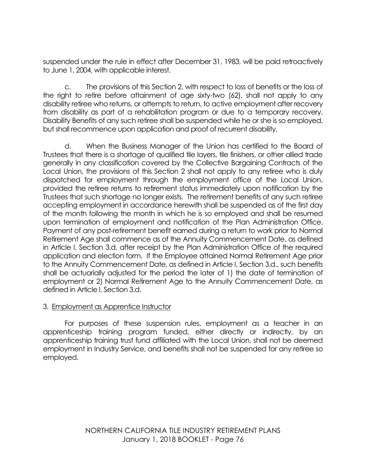suspended under the rule in effect after December 31, 1983, will be paid retroactively to June 1, 2004, with applicable interest.

c. The provisions of this Section 2, with respect to loss of benefits or the loss of the right to retire before attainment of age sixty-two (62), shall not apply to any disability retiree who returns, or attempts to return, to active employment after recovery from disability as part of a rehabilitation program or due to a temporary recovery. Disability Benefits of any such retiree shall be suspended while he or she is so employed, but shall recommence upon application and proof of recurrent disability.

d. When the Business Manager of the Union has certified to the Board of Trustees that there is a shortage of qualified tile layers, tile finishers, or other allied trade generally in any classification covered by the Collective Bargaining Contracts of the Local Union, the provisions of this Section 2 shall not apply to any retiree who is duly dispatched for employment through the employment office of the Local Union, provided the retiree returns to retirement status immediately upon notification by the Trustees that such shortage no longer exists. The retirement benefits of any such retiree accepting employment in accordance herewith shall be suspended as of the first day of the month following the month in which he is so employed and shall be resumed upon termination of employment and notification of the Plan Administration Office. Payment of any post-retirement benefit earned during a return to work prior to Normal Retirement Age shall commence as of the Annuity Commencement Date, as defined in Article I, Section 3.d, after receipt by the Plan Administration Office of the required application and election form. If the Employee attained Normal Retirement Age prior to the Annuity Commencement Date, as defined in Article I, Section 3.d., such benefits shall be actuarially adjusted for the period the later of 1) the date of termination of employment or 2) Normal Retirement Age to the Annuity Commencement Date, as defined in Article I, Section 3.d.

#### 3. Employment as Apprentice Instructor

For purposes of these suspension rules, employment as a teacher in an apprenticeship training program funded, either directly or indirectly, by an apprenticeship training trust fund affiliated with the Local Union, shall not be deemed employment in Industry Service, and benefits shall not be suspended for any retiree so employed.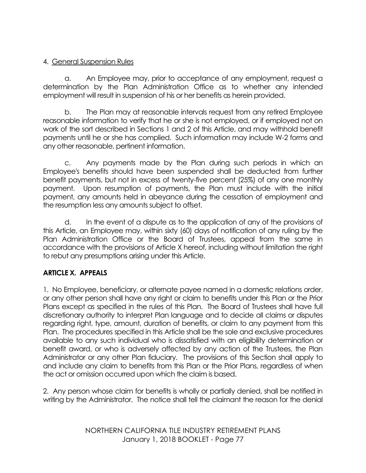# 4. General Suspension Rules

a. An Employee may, prior to acceptance of any employment, request a determination by the Plan Administration Office as to whether any intended employment will result in suspension of his or her benefits as herein provided.

b. The Plan may at reasonable intervals request from any retired Employee reasonable information to verify that he or she is not employed, or if employed not on work of the sort described in Sections 1 and 2 of this Article, and may withhold benefit payments until he or she has complied. Such information may include W-2 forms and any other reasonable, pertinent information.

c. Any payments made by the Plan during such periods in which an Employee's benefits should have been suspended shall be deducted from further benefit payments, but not in excess of twenty-five percent (25%) of any one monthly payment. Upon resumption of payments, the Plan must include with the initial payment, any amounts held in abeyance during the cessation of employment and the resumption less any amounts subject to offset.

d. In the event of a dispute as to the application of any of the provisions of this Article, an Employee may, within sixty (60) days of notification of any ruling by the Plan Administration Office or the Board of Trustees, appeal from the same in accordance with the provisions of Article X hereof, including without limitation the right to rebut any presumptions arising under this Article.

# **ARTICLE X. APPEALS**

1. No Employee, beneficiary, or alternate payee named in a domestic relations order, or any other person shall have any right or claim to benefits under this Plan or the Prior Plans except as specified in the rules of this Plan. The Board of Trustees shall have full discretionary authority to interpret Plan language and to decide all claims or disputes regarding right, type, amount, duration of benefits, or claim to any payment from this Plan. The procedures specified in this Article shall be the sole and exclusive procedures available to any such individual who is dissatisfied with an eligibility determination or benefit award, or who is adversely affected by any action of the Trustees, the Plan Administrator or any other Plan fiduciary. The provisions of this Section shall apply to and include any claim to benefits from this Plan or the Prior Plans, regardless of when the act or omission occurred upon which the claim is based.

2. Any person whose claim for benefits is wholly or partially denied, shall be notified in writing by the Administrator. The notice shall tell the claimant the reason for the denial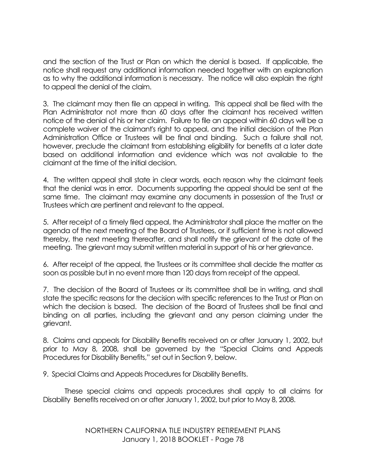and the section of the Trust or Plan on which the denial is based. If applicable, the notice shall request any additional information needed together with an explanation as to why the additional information is necessary. The notice will also explain the right to appeal the denial of the claim.

3. The claimant may then file an appeal in writing. This appeal shall be filed with the Plan Administrator not more than 60 days after the claimant has received written notice of the denial of his or her claim. Failure to file an appeal within 60 days will be a complete waiver of the claimant's right to appeal, and the initial decision of the Plan Administration Office or Trustees will be final and binding. Such a failure shall not, however, preclude the claimant from establishing eligibility for benefits at a later date based on additional information and evidence which was not available to the claimant at the time of the initial decision.

4. The written appeal shall state in clear words, each reason why the claimant feels that the denial was in error. Documents supporting the appeal should be sent at the same time. The claimant may examine any documents in possession of the Trust or Trustees which are pertinent and relevant to the appeal.

5. After receipt of a timely filed appeal, the Administrator shall place the matter on the agenda of the next meeting of the Board of Trustees, or if sufficient time is not allowed thereby, the next meeting thereafter, and shall notify the grievant of the date of the meeting. The grievant may submit written material in support of his or her grievance.

6. After receipt of the appeal, the Trustees or its committee shall decide the matter as soon as possible but in no event more than 120 days from receipt of the appeal.

7. The decision of the Board of Trustees or its committee shall be in writing, and shall state the specific reasons for the decision with specific references to the Trust or Plan on which the decision is based. The decision of the Board of Trustees shall be final and binding on all parties, including the grievant and any person claiming under the grievant.

8. Claims and appeals for Disability Benefits received on or after January 1, 2002, but prior to May 8, 2008, shall be governed by the "Special Claims and Appeals Procedures for Disability Benefits," set out in Section 9, below.

9. Special Claims and Appeals Procedures for Disability Benefits.

These special claims and appeals procedures shall apply to all claims for Disability Benefits received on or after January 1, 2002, but prior to May 8, 2008.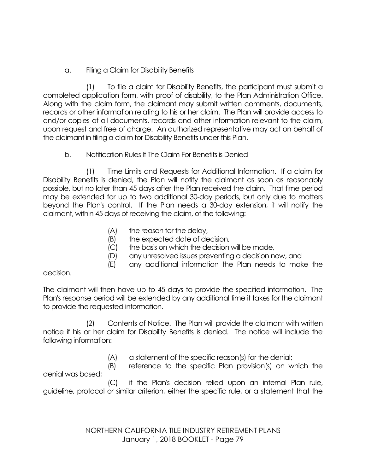# a. Filing a Claim for Disability Benefits

(1) To file a claim for Disability Benefits, the participant must submit a completed application form, with proof of disability, to the Plan Administration Office. Along with the claim form, the claimant may submit written comments, documents, records or other information relating to his or her claim. The Plan will provide access to and/or copies of all documents, records and other information relevant to the claim, upon request and free of charge. An authorized representative may act on behalf of the claimant in filing a claim for Disability Benefits under this Plan.

# b. Notification Rules If The Claim For Benefits is Denied

(1) Time Limits and Requests for Additional Information. If a claim for Disability Benefits is denied, the Plan will notify the claimant as soon as reasonably possible, but no later than 45 days after the Plan received the claim. That time period may be extended for up to two additional 30-day periods, but only due to matters beyond the Plan's control. If the Plan needs a 30-day extension, it will notify the claimant, within 45 days of receiving the claim, of the following:

- (A) the reason for the delay,
- (B) the expected date of decision,
- (C) the basis on which the decision will be made,
- (D) any unresolved issues preventing a decision now, and
- (E) any additional information the Plan needs to make the

#### decision.

The claimant will then have up to 45 days to provide the specified information. The Plan's response period will be extended by any additional time it takes for the claimant to provide the requested information.

(2) Contents of Notice. The Plan will provide the claimant with written notice if his or her claim for Disability Benefits is denied. The notice will include the following information:

(A) a statement of the specific reason(s) for the denial;

(B) reference to the specific Plan provision(s) on which the denial was based;

(C) if the Plan's decision relied upon an internal Plan rule, guideline, protocol or similar criterion, either the specific rule, or a statement that the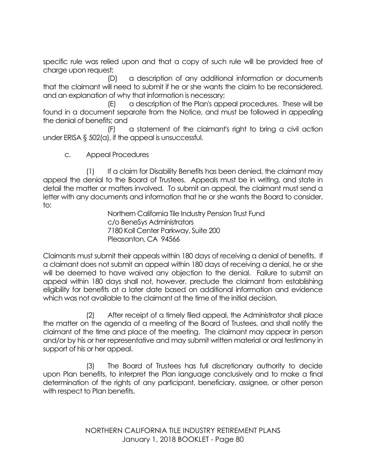specific rule was relied upon and that a copy of such rule will be provided free of charge upon request;

(D) a description of any additional information or documents that the claimant will need to submit if he or she wants the claim to be reconsidered, and an explanation of why that information is necessary;

(E) a description of the Plan's appeal procedures. These will be found in a document separate from the Notice, and must be followed in appealing the denial of benefits; and

(F) a statement of the claimant's right to bring a civil action under ERISA § 502(a), if the appeal is unsuccessful.

c. Appeal Procedures

(1) If a claim for Disability Benefits has been denied, the claimant may appeal the denial to the Board of Trustees. Appeals must be in writing, and state in detail the matter or matters involved. To submit an appeal, the claimant must send a letter with any documents and information that he or she wants the Board to consider, to:

Northern California Tile Industry Pension Trust Fund c/o BeneSys Administrators 7180 Koll Center Parkway, Suite 200 Pleasanton, CA 94566

Claimants must submit their appeals within 180 days of receiving a denial of benefits. If a claimant does not submit an appeal within 180 days of receiving a denial, he or she will be deemed to have waived any objection to the denial. Failure to submit an appeal within 180 days shall not, however, preclude the claimant from establishing eligibility for benefits at a later date based on additional information and evidence which was not available to the claimant at the time of the initial decision.

(2) After receipt of a timely filed appeal, the Administrator shall place the matter on the agenda of a meeting of the Board of Trustees, and shall notify the claimant of the time and place of the meeting. The claimant may appear in person and/or by his or her representative and may submit written material or oral testimony in support of his or her appeal.

(3) The Board of Trustees has full discretionary authority to decide upon Plan benefits, to interpret the Plan language conclusively and to make a final determination of the rights of any participant, beneficiary, assignee, or other person with respect to Plan benefits.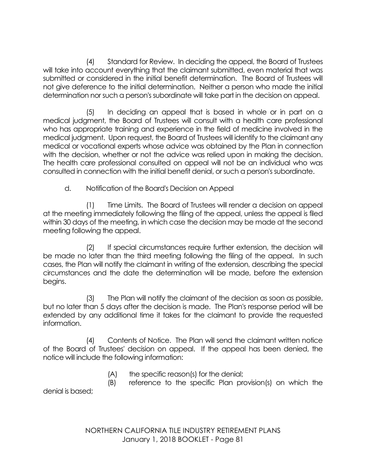(4) Standard for Review. In deciding the appeal, the Board of Trustees will take into account everything that the claimant submitted, even material that was submitted or considered in the initial benefit determination. The Board of Trustees will not give deference to the initial determination. Neither a person who made the initial determination nor such a person's subordinate will take part in the decision on appeal.

(5) In deciding an appeal that is based in whole or in part on a medical judgment, the Board of Trustees will consult with a health care professional who has appropriate training and experience in the field of medicine involved in the medical judgment. Upon request, the Board of Trustees will identify to the claimant any medical or vocational experts whose advice was obtained by the Plan in connection with the decision, whether or not the advice was relied upon in making the decision. The health care professional consulted on appeal will not be an individual who was consulted in connection with the initial benefit denial, or such a person's subordinate.

d. Notification of the Board's Decision on Appeal

(1) Time Limits. The Board of Trustees will render a decision on appeal at the meeting immediately following the filing of the appeal, unless the appeal is filed within 30 days of the meeting, in which case the decision may be made at the second meeting following the appeal.

(2) If special circumstances require further extension, the decision will be made no later than the third meeting following the filing of the appeal. In such cases, the Plan will notify the claimant in writing of the extension, describing the special circumstances and the date the determination will be made, before the extension begins.

(3) The Plan will notify the claimant of the decision as soon as possible, but no later than 5 days after the decision is made. The Plan's response period will be extended by any additional time it takes for the claimant to provide the requested information.

(4) Contents of Notice. The Plan will send the claimant written notice of the Board of Trustees' decision on appeal. If the appeal has been denied, the notice will include the following information:

(A) the specific reason(s) for the denial;

(B) reference to the specific Plan provision(s) on which the denial is based;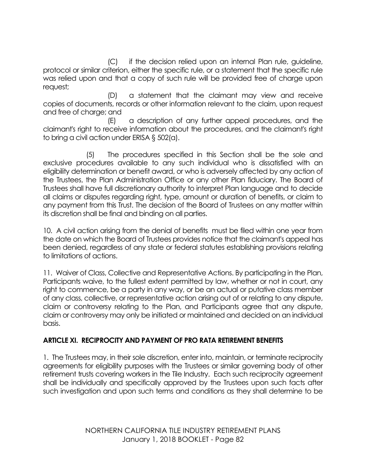(C) if the decision relied upon an internal Plan rule, guideline, protocol or similar criterion, either the specific rule, or a statement that the specific rule was relied upon and that a copy of such rule will be provided free of charge upon request;

(D) a statement that the claimant may view and receive copies of documents, records or other information relevant to the claim, upon request and free of charge; and

(E) a description of any further appeal procedures, and the claimant's right to receive information about the procedures, and the claimant's right to bring a civil action under ERISA § 502(a).

(5) The procedures specified in this Section shall be the sole and exclusive procedures available to any such individual who is dissatisfied with an eligibility determination or benefit award, or who is adversely affected by any action of the Trustees, the Plan Administration Office or any other Plan fiduciary. The Board of Trustees shall have full discretionary authority to interpret Plan language and to decide all claims or disputes regarding right, type, amount or duration of benefits, or claim to any payment from this Trust. The decision of the Board of Trustees on any matter within its discretion shall be final and binding on all parties.

10. A civil action arising from the denial of benefits must be filed within one year from the date on which the Board of Trustees provides notice that the claimant's appeal has been denied, regardless of any state or federal statutes establishing provisions relating to limitations of actions.

11. Waiver of Class, Collective and Representative Actions. By participating in the Plan, Participants waive, to the fullest extent permitted by law, whether or not in court, any right to commence, be a party in any way, or be an actual or putative class member of any class, collective, or representative action arising out of or relating to any dispute, claim or controversy relating to the Plan, and Participants agree that any dispute, claim or controversy may only be initiated or maintained and decided on an individual basis.

#### **ARTICLE XI. RECIPROCITY AND PAYMENT OF PRO RATA RETIREMENT BENEFITS**

1. The Trustees may, in their sole discretion, enter into, maintain, or terminate reciprocity agreements for eligibility purposes with the Trustees or similar governing body of other retirement trusts covering workers in the Tile Industry. Each such reciprocity agreement shall be individually and specifically approved by the Trustees upon such facts after such investigation and upon such terms and conditions as they shall determine to be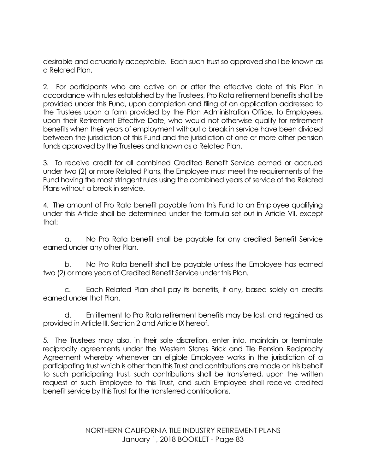desirable and actuarially acceptable. Each such trust so approved shall be known as a Related Plan.

2. For participants who are active on or after the effective date of this Plan in accordance with rules established by the Trustees, Pro Rata retirement benefits shall be provided under this Fund, upon completion and filing of an application addressed to the Trustees upon a form provided by the Plan Administration Office, to Employees, upon their Retirement Effective Date, who would not otherwise qualify for retirement benefits when their years of employment without a break in service have been divided between the jurisdiction of this Fund and the jurisdiction of one or more other pension funds approved by the Trustees and known as a Related Plan.

3. To receive credit for all combined Credited Benefit Service earned or accrued under two (2) or more Related Plans, the Employee must meet the requirements of the Fund having the most stringent rules using the combined years of service of the Related Plans without a break in service.

4. The amount of Pro Rata benefit payable from this Fund to an Employee qualifying under this Article shall be determined under the formula set out in Article VII, except that:

a. No Pro Rata benefit shall be payable for any credited Benefit Service earned under any other Plan.

b. No Pro Rata benefit shall be payable unless the Employee has earned two (2) or more years of Credited Benefit Service under this Plan.

c. Each Related Plan shall pay its benefits, if any, based solely on credits earned under that Plan.

d. Entitlement to Pro Rata retirement benefits may be lost, and regained as provided in Article III, Section 2 and Article IX hereof.

5. The Trustees may also, in their sole discretion, enter into, maintain or terminate reciprocity agreements under the Western States Brick and Tile Pension Reciprocity Agreement whereby whenever an eligible Employee works in the jurisdiction of a participating trust which is other than this Trust and contributions are made on his behalf to such participating trust, such contributions shall be transferred, upon the written request of such Employee to this Trust, and such Employee shall receive credited benefit service by this Trust for the transferred contributions.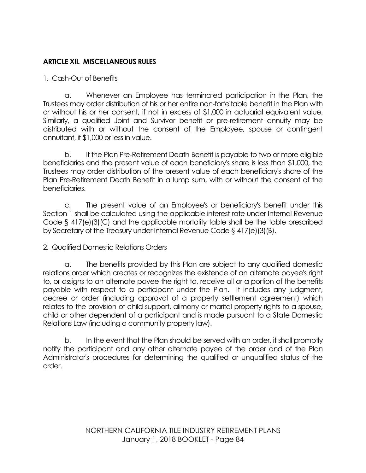## **ARTICLE XII. MISCELLANEOUS RULES**

### 1. Cash-Out of Benefits

a. Whenever an Employee has terminated participation in the Plan, the Trustees may order distribution of his or her entire non-forfeitable benefit in the Plan with or without his or her consent, if not in excess of \$1,000 in actuarial equivalent value. Similarly, a qualified Joint and Survivor benefit or pre-retirement annuity may be distributed with or without the consent of the Employee, spouse or contingent annuitant, if \$1,000 or less in value.

b. If the Plan Pre-Retirement Death Benefit is payable to two or more eligible beneficiaries and the present value of each beneficiary's share is less than \$1,000, the Trustees may order distribution of the present value of each beneficiary's share of the Plan Pre-Retirement Death Benefit in a lump sum, with or without the consent of the beneficiaries.

c. The present value of an Employee's or beneficiary's benefit under this Section 1 shall be calculated using the applicable interest rate under Internal Revenue Code § 417(e)(3)(C) and the applicable mortality table shall be the table prescribed by Secretary of the Treasury under Internal Revenue Code § 417(e)(3)(B).

#### 2. Qualified Domestic Relations Orders

a. The benefits provided by this Plan are subject to any qualified domestic relations order which creates or recognizes the existence of an alternate payee's right to, or assigns to an alternate payee the right to, receive all or a portion of the benefits payable with respect to a participant under the Plan. It includes any judgment, decree or order (including approval of a property settlement agreement) which relates to the provision of child support, alimony or marital property rights to a spouse, child or other dependent of a participant and is made pursuant to a State Domestic Relations Law (including a community property law).

b. In the event that the Plan should be served with an order, it shall promptly notify the participant and any other alternate payee of the order and of the Plan Administrator's procedures for determining the qualified or unqualified status of the order.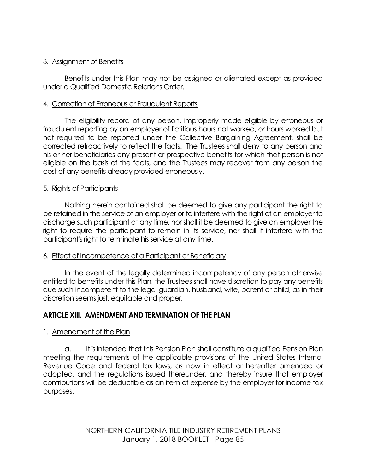## 3. Assignment of Benefits

Benefits under this Plan may not be assigned or alienated except as provided under a Qualified Domestic Relations Order.

#### 4. Correction of Erroneous or Fraudulent Reports

The eligibility record of any person, improperly made eligible by erroneous or fraudulent reporting by an employer of fictitious hours not worked, or hours worked but not required to be reported under the Collective Bargaining Agreement, shall be corrected retroactively to reflect the facts. The Trustees shall deny to any person and his or her beneficiaries any present or prospective benefits for which that person is not eligible on the basis of the facts, and the Trustees may recover from any person the cost of any benefits already provided erroneously.

#### 5. Rights of Participants

Nothing herein contained shall be deemed to give any participant the right to be retained in the service of an employer or to interfere with the right of an employer to discharge such participant at any time, nor shall it be deemed to give an employer the right to require the participant to remain in its service, nor shall it interfere with the participant's right to terminate his service at any time.

#### 6. Effect of Incompetence of a Participant or Beneficiary

In the event of the legally determined incompetency of any person otherwise entitled to benefits under this Plan, the Trustees shall have discretion to pay any benefits due such incompetent to the legal guardian, husband, wife, parent or child, as in their discretion seems just, equitable and proper.

#### **ARTICLE XIII. AMENDMENT AND TERMINATION OF THE PLAN**

#### 1. Amendment of the Plan

a. It is intended that this Pension Plan shall constitute a qualified Pension Plan meeting the requirements of the applicable provisions of the United States Internal Revenue Code and federal tax laws, as now in effect or hereafter amended or adopted, and the regulations issued thereunder, and thereby insure that employer contributions will be deductible as an item of expense by the employer for income tax purposes.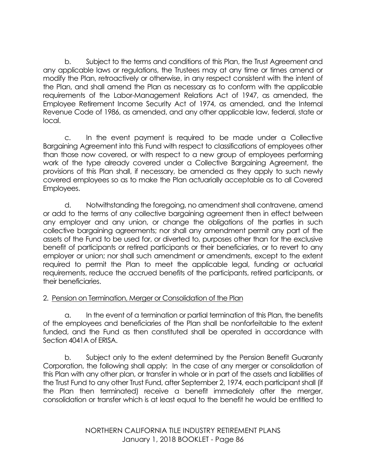b. Subject to the terms and conditions of this Plan, the Trust Agreement and any applicable laws or regulations, the Trustees may at any time or times amend or modify the Plan, retroactively or otherwise, in any respect consistent with the intent of the Plan, and shall amend the Plan as necessary as to conform with the applicable requirements of the Labor-Management Relations Act of 1947, as amended, the Employee Retirement Income Security Act of 1974, as amended, and the Internal Revenue Code of 1986, as amended, and any other applicable law, federal, state or local.

c. In the event payment is required to be made under a Collective Bargaining Agreement into this Fund with respect to classifications of employees other than those now covered, or with respect to a new group of employees performing work of the type already covered under a Collective Bargaining Agreement, the provisions of this Plan shall, if necessary, be amended as they apply to such newly covered employees so as to make the Plan actuarially acceptable as to all Covered Employees.

d. Notwithstanding the foregoing, no amendment shall contravene, amend or add to the terms of any collective bargaining agreement then in effect between any employer and any union, or change the obligations of the parties in such collective bargaining agreements; nor shall any amendment permit any part of the assets of the Fund to be used for, or diverted to, purposes other than for the exclusive benefit of participants or retired participants or their beneficiaries, or to revert to any employer or union; nor shall such amendment or amendments, except to the extent required to permit the Plan to meet the applicable legal, funding or actuarial requirements, reduce the accrued benefits of the participants, retired participants, or their beneficiaries.

# 2. Pension on Termination, Merger or Consolidation of the Plan

a. In the event of a termination or partial termination of this Plan, the benefits of the employees and beneficiaries of the Plan shall be nonforfeitable to the extent funded, and the Fund as then constituted shall be operated in accordance with Section 4041A of ERISA.

b. Subject only to the extent determined by the Pension Benefit Guaranty Corporation, the following shall apply: In the case of any merger or consolidation of this Plan with any other plan, or transfer in whole or in part of the assets and liabilities of the Trust Fund to any other Trust Fund, after September 2, 1974, each participant shall (if the Plan then terminated) receive a benefit immediately after the merger, consolidation or transfer which is at least equal to the benefit he would be entitled to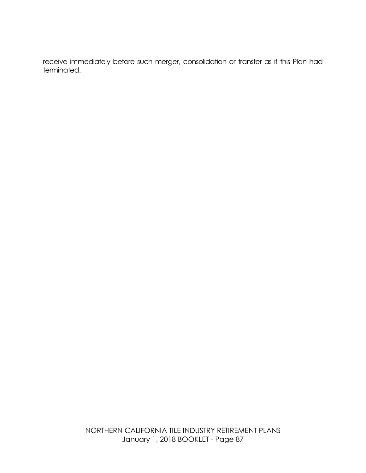receive immediately before such merger, consolidation or transfer as if this Plan had terminated.

> NORTHERN CALIFORNIA TILE INDUSTRY RETIREMENT PLANS January 1, 2018 BOOKLET - Page 87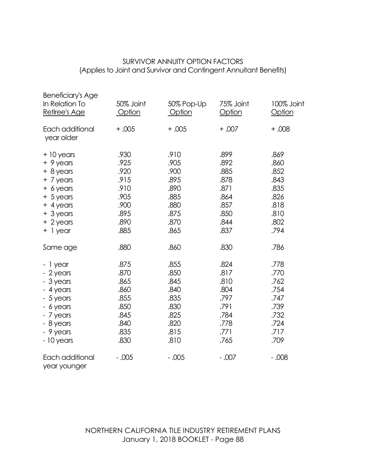## SURVIVOR ANNUITY OPTION FACTORS (Applies to Joint and Survivor and Contingent Annuitant Benefits)

| <b>Beneficiary's Age</b><br>In Relation To<br>Retiree's Age                                                                             | 50% Joint<br>Option                                                          | 50% Pop-Up<br>Option                                                         | 75% Joint<br><b>Option</b>                                                   | 100% Joint<br><b>Option</b>                                                  |
|-----------------------------------------------------------------------------------------------------------------------------------------|------------------------------------------------------------------------------|------------------------------------------------------------------------------|------------------------------------------------------------------------------|------------------------------------------------------------------------------|
| Each additional<br>year older                                                                                                           | $+.005$                                                                      | $+.005$                                                                      | $+.007$                                                                      | $+0.008$                                                                     |
| $+10$ years<br>+ 9 years<br>$+ 8$ years<br>+ 7 years<br>$+$ 6 years<br>$+5$ years<br>$+$ 4 years<br>+ 3 years<br>$+2$ years<br>+ 1 year | .930<br>.925<br>.920<br>.915<br>.910<br>.905<br>.900<br>.895<br>.890<br>.885 | .910<br>.905<br>.900<br>.895<br>.890<br>.885<br>.880<br>.875<br>.870<br>.865 | .899<br>.892<br>.885<br>.878<br>.871<br>.864<br>.857<br>.850<br>.844<br>.837 | .869<br>.860<br>.852<br>.843<br>.835<br>.826<br>.818<br>.810<br>.802<br>.794 |
| Same age                                                                                                                                | .880                                                                         | .860                                                                         | .830                                                                         | .786                                                                         |
| - 1 year<br>- 2 years<br>- 3 years<br>- 4 years<br>- 5 years<br>- 6 years<br>- 7 years<br>- 8 years<br>- 9 years<br>- 10 years          | .875<br>.870<br>.865<br>.860<br>.855<br>.850<br>.845<br>.840<br>.835<br>.830 | .855<br>.850<br>.845<br>.840<br>.835<br>.830<br>.825<br>.820<br>.815<br>.810 | .824<br>.817<br>.810<br>.804<br>.797<br>.791<br>.784<br>.778<br>.771<br>.765 | .778<br>.770<br>.762<br>.754<br>.747<br>.739<br>.732<br>.724<br>.717<br>.709 |
| Each additional<br>year younger                                                                                                         | $-.005$                                                                      | $-.005$                                                                      | $-.007$                                                                      | $-.008$                                                                      |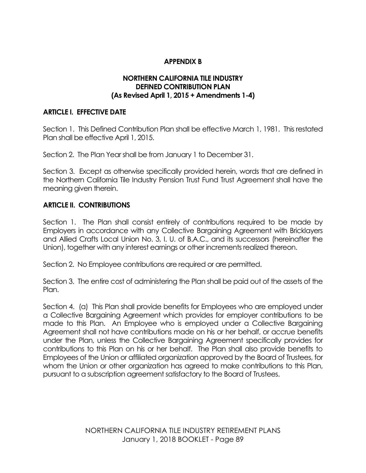## **APPENDIX B**

#### **NORTHERN CALIFORNIA TILE INDUSTRY DEFINED CONTRIBUTION PLAN (As Revised April 1, 2015 + Amendments 1-4)**

#### **ARTICLE I. EFFECTIVE DATE**

Section 1. This Defined Contribution Plan shall be effective March 1, 1981. This restated Plan shall be effective April 1, 2015.

Section 2. The Plan Year shall be from January 1 to December 31.

Section 3. Except as otherwise specifically provided herein, words that are defined in the Northern California Tile Industry Pension Trust Fund Trust Agreement shall have the meaning given therein.

#### **ARTICLE II. CONTRIBUTIONS**

Section 1. The Plan shall consist entirely of contributions required to be made by Employers in accordance with any Collective Bargaining Agreement with Bricklayers and Allied Crafts Local Union No. 3, I. U. of B.A.C., and its successors (hereinafter the Union), together with any interest earnings or other increments realized thereon.

Section 2. No Employee contributions are required or are permitted.

Section 3. The entire cost of administering the Plan shall be paid out of the assets of the Plan.

Section 4. (a) This Plan shall provide benefits for Employees who are employed under a Collective Bargaining Agreement which provides for employer contributions to be made to this Plan. An Employee who is employed under a Collective Bargaining Agreement shall not have contributions made on his or her behalf, or accrue benefits under the Plan, unless the Collective Bargaining Agreement specifically provides for contributions to this Plan on his or her behalf. The Plan shall also provide benefits to Employees of the Union or affiliated organization approved by the Board of Trustees, for whom the Union or other organization has agreed to make contributions to this Plan, pursuant to a subscription agreement satisfactory to the Board of Trustees.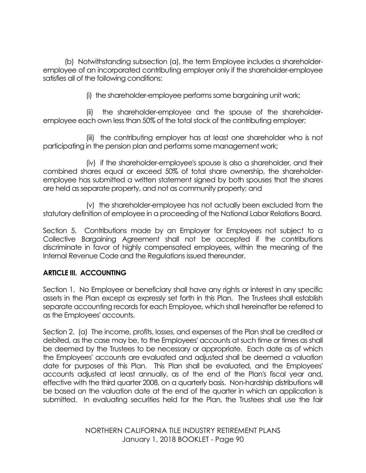(b) Notwithstanding subsection (a), the term Employee includes a shareholderemployee of an incorporated contributing employer only if the shareholder-employee satisfies all of the following conditions:

(i) the shareholder-employee performs some bargaining unit work;

(ii) the shareholder-employee and the spouse of the shareholderemployee each own less than 50% of the total stock of the contributing employer;

(iii) the contributing employer has at least one shareholder who is not participating in the pension plan and performs some management work;

(iv) if the shareholder-employee's spouse is also a shareholder, and their combined shares equal or exceed 50% of total share ownership, the shareholderemployee has submitted a written statement signed by both spouses that the shares are held as separate property, and not as community property; and

(v) the shareholder-employee has not actually been excluded from the statutory definition of employee in a proceeding of the National Labor Relations Board.

Section 5. Contributions made by an Employer for Employees not subject to a Collective Bargaining Agreement shall not be accepted if the contributions discriminate in favor of highly compensated employees, within the meaning of the Internal Revenue Code and the Regulations issued thereunder.

# **ARTICLE III. ACCOUNTING**

Section 1. No Employee or beneficiary shall have any rights or interest in any specific assets in the Plan except as expressly set forth in this Plan. The Trustees shall establish separate accounting records for each Employee, which shall hereinafter be referred to as the Employees' accounts.

Section 2. (a) The income, profits, losses, and expenses of the Plan shall be credited or debited, as the case may be, to the Employees' accounts at such time or times as shall be deemed by the Trustees to be necessary or appropriate. Each date as of which the Employees' accounts are evaluated and adjusted shall be deemed a valuation date for purposes of this Plan. This Plan shall be evaluated, and the Employees' accounts adjusted at least annually, as of the end of the Plan's fiscal year and, effective with the third quarter 2008, on a quarterly basis. Non-hardship distributions will be based on the valuation date at the end of the quarter in which an application is submitted. In evaluating securities held for the Plan, the Trustees shall use the fair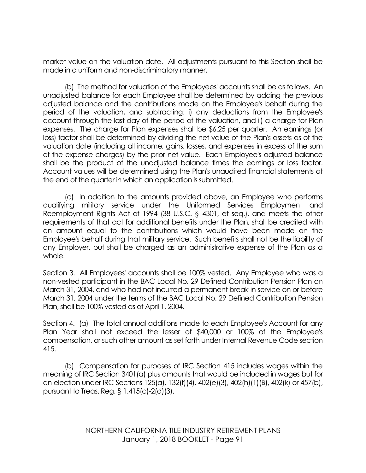market value on the valuation date. All adjustments pursuant to this Section shall be made in a uniform and non-discriminatory manner.

(b) The method for valuation of the Employees' accounts shall be as follows. An unadjusted balance for each Employee shall be determined by adding the previous adjusted balance and the contributions made on the Employee's behalf during the period of the valuation, and subtracting: i) any deductions from the Employee's account through the last day of the period of the valuation, and ii) a charge for Plan expenses. The charge for Plan expenses shall be \$6.25 per quarter. An earnings (or loss) factor shall be determined by dividing the net value of the Plan's assets as of the valuation date (including all income, gains, losses, and expenses in excess of the sum of the expense charges) by the prior net value. Each Employee's adjusted balance shall be the product of the unadjusted balance times the earnings or loss factor. Account values will be determined using the Plan's unaudited financial statements at the end of the quarter in which an application is submitted.

(c) In addition to the amounts provided above, an Employee who performs qualifying military service under the Uniformed Services Employment and Reemployment Rights Act of 1994 (38 U.S.C. § 4301, et seq.), and meets the other requirements of that act for additional benefits under the Plan, shall be credited with an amount equal to the contributions which would have been made on the Employee's behalf during that military service. Such benefits shall not be the liability of any Employer, but shall be charged as an administrative expense of the Plan as a whole.

Section 3. All Employees' accounts shall be 100% vested. Any Employee who was a non-vested participant in the BAC Local No. 29 Defined Contribution Pension Plan on March 31, 2004, and who had not incurred a permanent break in service on or before March 31, 2004 under the terms of the BAC Local No. 29 Defined Contribution Pension Plan, shall be 100% vested as of April 1, 2004.

Section 4. (a) The total annual additions made to each Employee's Account for any Plan Year shall not exceed the lesser of \$40,000 or 100% of the Employee's compensation, or such other amount as set forth under Internal Revenue Code section 415.

(b) Compensation for purposes of IRC Section 415 includes wages within the meaning of IRC Section 3401(a) plus amounts that would be included in wages but for an election under IRC Sections 125(a), 132(f)(4), 402(e)(3), 402(h)(1)(B), 402(k) or 457(b), pursuant to Treas. Reg. § 1.415(c)-2(d)(3).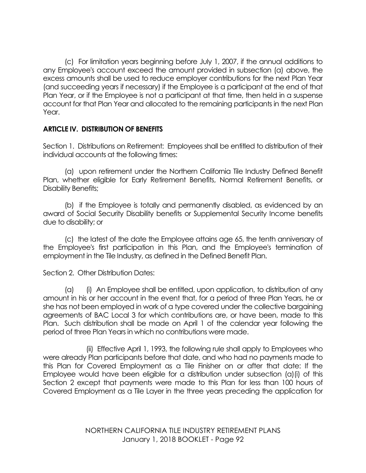(c) For limitation years beginning before July 1, 2007, if the annual additions to any Employee's account exceed the amount provided in subsection (a) above, the excess amounts shall be used to reduce employer contributions for the next Plan Year (and succeeding years if necessary) if the Employee is a participant at the end of that Plan Year, or if the Employee is not a participant at that time, then held in a suspense account for that Plan Year and allocated to the remaining participants in the next Plan Year.

#### **ARTICLE IV. DISTRIBUTION OF BENEFITS**

Section 1. Distributions on Retirement: Employees shall be entitled to distribution of their individual accounts at the following times:

(a) upon retirement under the Northern California Tile Industry Defined Benefit Plan, whether eligible for Early Retirement Benefits, Normal Retirement Benefits, or Disability Benefits;

(b) if the Employee is totally and permanently disabled, as evidenced by an award of Social Security Disability benefits or Supplemental Security Income benefits due to disability; or

(c) the latest of the date the Employee attains age 65, the tenth anniversary of the Employee's first participation in this Plan, and the Employee's termination of employment in the Tile Industry, as defined in the Defined Benefit Plan.

Section 2. Other Distribution Dates:

(a) (i) An Employee shall be entitled, upon application, to distribution of any amount in his or her account in the event that, for a period of three Plan Years, he or she has not been employed in work of a type covered under the collective bargaining agreements of BAC Local 3 for which contributions are, or have been, made to this Plan. Such distribution shall be made on April 1 of the calendar year following the period of three Plan Years in which no contributions were made.

(ii) Effective April 1, 1993, the following rule shall apply to Employees who were already Plan participants before that date, and who had no payments made to this Plan for Covered Employment as a Tile Finisher on or after that date: If the Employee would have been eligible for a distribution under subsection (a)(i) of this Section 2 except that payments were made to this Plan for less than 100 hours of Covered Employment as a Tile Layer in the three years preceding the application for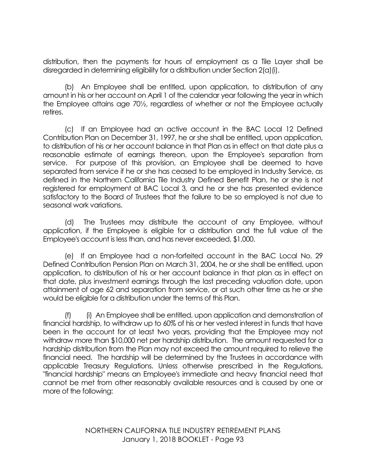distribution, then the payments for hours of employment as a Tile Layer shall be disregarded in determining eligibility for a distribution under Section 2(a)(i).

(b) An Employee shall be entitled, upon application, to distribution of any amount in his or her account on April 1 of the calendar year following the year in which the Employee attains age 70½, regardless of whether or not the Employee actually retires.

(c) If an Employee had an active account in the BAC Local 12 Defined Contribution Plan on December 31, 1997, he or she shall be entitled, upon application, to distribution of his or her account balance in that Plan as in effect on that date plus a reasonable estimate of earnings thereon, upon the Employee's separation from service. For purpose of this provision, an Employee shall be deemed to have separated from service if he or she has ceased to be employed in Industry Service, as defined in the Northern California Tile Industry Defined Benefit Plan, he or she is not registered for employment at BAC Local 3, and he or she has presented evidence satisfactory to the Board of Trustees that the failure to be so employed is not due to seasonal work variations.

(d) The Trustees may distribute the account of any Employee, without application, if the Employee is eligible for a distribution and the full value of the Employee's account is less than, and has never exceeded, \$1,000.

(e) If an Employee had a non-forfeited account in the BAC Local No. 29 Defined Contribution Pension Plan on March 31, 2004, he or she shall be entitled, upon application, to distribution of his or her account balance in that plan as in effect on that date, plus investment earnings through the last preceding valuation date, upon attainment of age 62 and separation from service, or at such other time as he or she would be eligible for a distribution under the terms of this Plan.

(f) (i) An Employee shall be entitled, upon application and demonstration of financial hardship, to withdraw up to 60% of his or her vested interest in funds that have been in the account for at least two years, providing that the Employee may not withdraw more than \$10,000 net per hardship distribution. The amount requested for a hardship distribution from the Plan may not exceed the amount required to relieve the financial need. The hardship will be determined by the Trustees in accordance with applicable Treasury Regulations. Unless otherwise prescribed in the Regulations, "financial hardship" means an Employee's immediate and heavy financial need that cannot be met from other reasonably available resources and is caused by one or more of the following: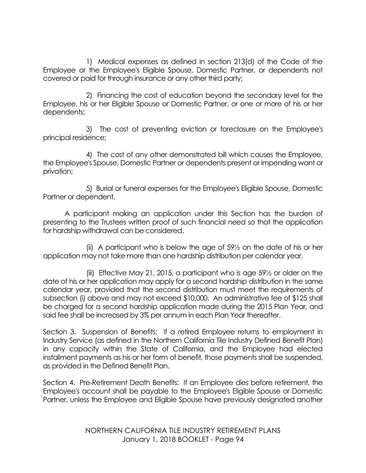1) Medical expenses as defined in section 213(d) of the Code of the Employee or the Employee's Eligible Spouse, Domestic Partner, or dependents not covered or paid for through insurance or any other third party;

2) Financing the cost of education beyond the secondary level for the Employee, his or her Eligible Spouse or Domestic Partner, or one or more of his or her dependents;

3) The cost of preventing eviction or foreclosure on the Employee's principal residence;

4) The cost of any other demonstrated bill which causes the Employee, the Employee's Spouse, Domestic Partner or dependents present or impending want or privation;

5) Burial or funeral expenses for the Employee's Eligible Spouse, Domestic Partner or dependent.

A participant making an application under this Section has the burden of presenting to the Trustees written proof of such financial need so that the application for hardship withdrawal can be considered.

(ii) A participant who is below the age of 59½ on the date of his or her application may not take more than one hardship distribution per calendar year.

(iii) Effective May 21, 2015, a participant who is age 59½ or older on the date of his or her application may apply for a second hardship distribution in the same calendar year, provided that the second distribution must meet the requirements of subsection (i) above and may not exceed \$10,000. An administrative fee of \$125 shall be charged for a second hardship application made during the 2015 Plan Year, and said fee shall be increased by 3% per annum in each Plan Year thereafter.

Section 3. Suspension of Benefits: If a retired Employee returns to employment in Industry Service (as defined in the Northern California Tile Industry Defined Benefit Plan) in any capacity within the State of California, and the Employee had elected installment payments as his or her form of benefit, those payments shall be suspended, as provided in the Defined Benefit Plan.

Section 4. Pre-Retirement Death Benefits: If an Employee dies before retirement, the Employee's account shall be payable to the Employee's Eligible Spouse or Domestic Partner, unless the Employee and Eligible Spouse have previously designated another

> NORTHERN CALIFORNIA TILE INDUSTRY RETIREMENT PLANS January 1, 2018 BOOKLET - Page 94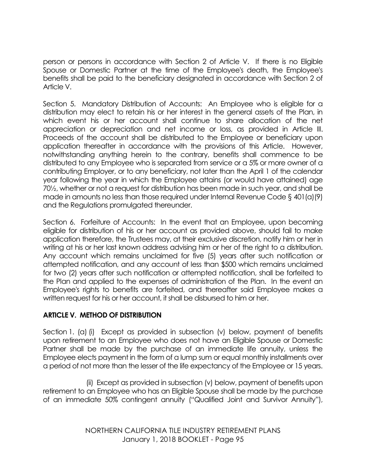person or persons in accordance with Section 2 of Article V. If there is no Eligible Spouse or Domestic Partner at the time of the Employee's death, the Employee's benefits shall be paid to the beneficiary designated in accordance with Section 2 of Article V.

Section 5. Mandatory Distribution of Accounts: An Employee who is eligible for a distribution may elect to retain his or her interest in the general assets of the Plan, in which event his or her account shall continue to share allocation of the net appreciation or depreciation and net income or loss, as provided in Article III. Proceeds of the account shall be distributed to the Employee or beneficiary upon application thereafter in accordance with the provisions of this Article. However, notwithstanding anything herein to the contrary, benefits shall commence to be distributed to any Employee who is separated from service or a 5% or more owner of a contributing Employer, or to any beneficiary, not later than the April 1 of the calendar year following the year in which the Employee attains (or would have attained) age 70½, whether or not a request for distribution has been made in such year, and shall be made in amounts no less than those required under Internal Revenue Code § 401(a)(9) and the Regulations promulgated thereunder.

Section 6. Forfeiture of Accounts: In the event that an Employee, upon becoming eligible for distribution of his or her account as provided above, should fail to make application therefore, the Trustees may, at their exclusive discretion, notify him or her in writing at his or her last known address advising him or her of the right to a distribution. Any account which remains unclaimed for five (5) years after such notification or attempted notification, and any account of less than \$500 which remains unclaimed for two (2) years after such notification or attempted notification, shall be forfeited to the Plan and applied to the expenses of administration of the Plan. In the event an Employee's rights to benefits are forfeited, and thereafter said Employee makes a written request for his or her account, it shall be disbursed to him or her.

#### **ARTICLE V. METHOD OF DISTRIBUTION**

Section 1. (a) (i) Except as provided in subsection (v) below, payment of benefits upon retirement to an Employee who does not have an Eligible Spouse or Domestic Partner shall be made by the purchase of an immediate life annuity, unless the Employee elects payment in the form of a lump sum or equal monthly installments over a period of not more than the lesser of the life expectancy of the Employee or 15 years.

(ii) Except as provided in subsection (v) below, payment of benefits upon retirement to an Employee who has an Eligible Spouse shall be made by the purchase of an immediate 50% contingent annuity ("Qualified Joint and Survivor Annuity"),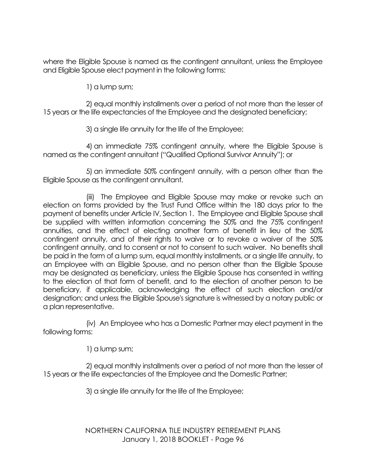where the Eligible Spouse is named as the contingent annuitant, unless the Employee and Eligible Spouse elect payment in the following forms:

1) a lump sum;

2) equal monthly installments over a period of not more than the lesser of 15 years or the life expectancies of the Employee and the designated beneficiary;

3) a single life annuity for the life of the Employee;

4) an immediate 75% contingent annuity, where the Eligible Spouse is named as the contingent annuitant ("Qualified Optional Survivor Annuity"); or

5) an immediate 50% contingent annuity, with a person other than the Eligible Spouse as the contingent annuitant.

(iii) The Employee and Eligible Spouse may make or revoke such an election on forms provided by the Trust Fund Office within the 180 days prior to the payment of benefits under Article IV, Section 1. The Employee and Eligible Spouse shall be supplied with written information concerning the 50% and the 75% contingent annuities, and the effect of electing another form of benefit in lieu of the 50% contingent annuity, and of their rights to waive or to revoke a waiver of the 50% contingent annuity, and to consent or not to consent to such waiver. No benefits shall be paid in the form of a lump sum, equal monthly installments, or a single life annuity, to an Employee with an Eligible Spouse, and no person other than the Eligible Spouse may be designated as beneficiary, unless the Eligible Spouse has consented in writing to the election of that form of benefit, and to the election of another person to be beneficiary, if applicable, acknowledging the effect of such election and/or designation; and unless the Eligible Spouse's signature is witnessed by a notary public or a plan representative.

(iv) An Employee who has a Domestic Partner may elect payment in the following forms:

1) a lump sum;

2) equal monthly installments over a period of not more than the lesser of 15 years or the life expectancies of the Employee and the Domestic Partner;

3) a single life annuity for the life of the Employee;

NORTHERN CALIFORNIA TILE INDUSTRY RETIREMENT PLANS January 1, 2018 BOOKLET - Page 96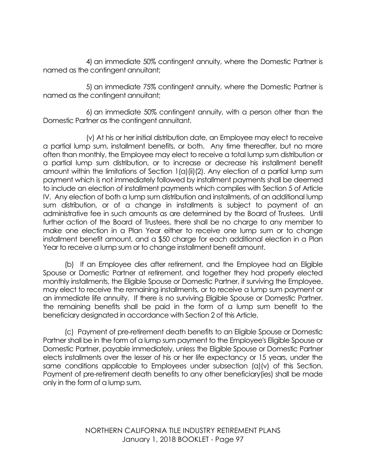4) an immediate 50% contingent annuity, where the Domestic Partner is named as the contingent annuitant;

5) an immediate 75% contingent annuity, where the Domestic Partner is named as the contingent annuitant;

6) an immediate 50% contingent annuity, with a person other than the Domestic Partner as the contingent annuitant.

(v) At his or her initial distribution date, an Employee may elect to receive a partial lump sum, installment benefits, or both. Any time thereafter, but no more often than monthly, the Employee may elect to receive a total lump sum distribution or a partial lump sum distribution, or to increase or decrease his installment benefit amount within the limitations of Section 1(a)(ii)(2). Any election of a partial lump sum payment which is not immediately followed by installment payments shall be deemed to include an election of installment payments which complies with Section 5 of Article IV. Any election of both a lump sum distribution and installments, of an additional lump sum distribution, or of a change in installments is subject to payment of an administrative fee in such amounts as are determined by the Board of Trustees. Until further action of the Board of Trustees, there shall be no charge to any member to make one election in a Plan Year either to receive one lump sum or to change installment benefit amount, and a \$50 charge for each additional election in a Plan Year to receive a lump sum or to change installment benefit amount.

(b) If an Employee dies after retirement, and the Employee had an Eligible Spouse or Domestic Partner at retirement, and together they had properly elected monthly installments, the Eligible Spouse or Domestic Partner, if surviving the Employee, may elect to receive the remaining installments, or to receive a lump sum payment or an immediate life annuity. If there is no surviving Eligible Spouse or Domestic Partner, the remaining benefits shall be paid in the form of a lump sum benefit to the beneficiary designated in accordance with Section 2 of this Article.

(c) Payment of pre-retirement death benefits to an Eligible Spouse or Domestic Partner shall be in the form of a lump sum payment to the Employee's Eligible Spouse or Domestic Partner, payable immediately, unless the Eligible Spouse or Domestic Partner elects installments over the lesser of his or her life expectancy or 15 years, under the same conditions applicable to Employees under subsection (a)(v) of this Section. Payment of pre-retirement death benefits to any other beneficiary(ies) shall be made only in the form of a lump sum.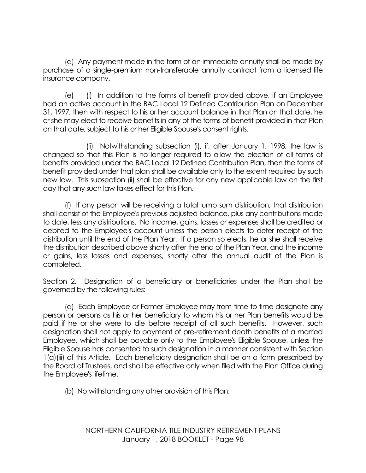(d) Any payment made in the form of an immediate annuity shall be made by purchase of a single-premium non-transferable annuity contract from a licensed life insurance company.

(e) (i) In addition to the forms of benefit provided above, if an Employee had an active account in the BAC Local 12 Defined Contribution Plan on December 31, 1997, then with respect to his or her account balance in that Plan on that date, he or she may elect to receive benefits in any of the forms of benefit provided in that Plan on that date, subject to his or her Eligible Spouse's consent rights.

(ii) Notwithstanding subsection (i), if, after January 1, 1998, the law is changed so that this Plan is no longer required to allow the election of all forms of benefits provided under the BAC Local 12 Defined Contribution Plan, then the forms of benefit provided under that plan shall be available only to the extent required by such new law. This subsection (ii) shall be effective for any new applicable law on the first day that any such law takes effect for this Plan.

(f) If any person will be receiving a total lump sum distribution, that distribution shall consist of the Employee's previous adjusted balance, plus any contributions made to date, less any distributions. No income, gains, losses or expenses shall be credited or debited to the Employee's account unless the person elects to defer receipt of the distribution until the end of the Plan Year. If a person so elects, he or she shall receive the distribution described above shortly after the end of the Plan Year, and the income or gains, less losses and expenses, shortly after the annual audit of the Plan is completed.

Section 2. Designation of a beneficiary or beneficiaries under the Plan shall be governed by the following rules:

(a) Each Employee or Former Employee may from time to time designate any person or persons as his or her beneficiary to whom his or her Plan benefits would be paid if he or she were to die before receipt of all such benefits. However, such designation shall not apply to payment of pre-retirement death benefits of a married Employee, which shall be payable only to the Employee's Eligible Spouse, unless the Eligible Spouse has consented to such designation in a manner consistent with Section 1(a)(iii) of this Article. Each beneficiary designation shall be on a form prescribed by the Board of Trustees, and shall be effective only when filed with the Plan Office during the Employee's lifetime.

(b) Notwithstanding any other provision of this Plan: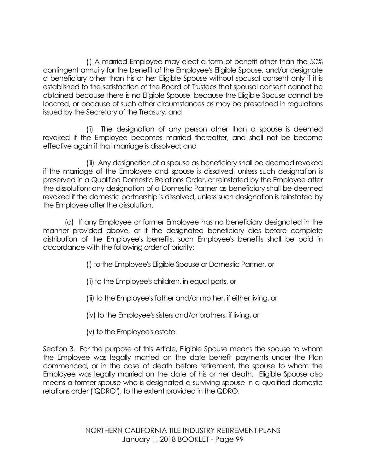(i) A married Employee may elect a form of benefit other than the 50% contingent annuity for the benefit of the Employee's Eligible Spouse, and/or designate a beneficiary other than his or her Eligible Spouse without spousal consent only if it is established to the satisfaction of the Board of Trustees that spousal consent cannot be obtained because there is no Eligible Spouse, because the Eligible Spouse cannot be located, or because of such other circumstances as may be prescribed in regulations issued by the Secretary of the Treasury; and

(ii) The designation of any person other than a spouse is deemed revoked if the Employee becomes married thereafter, and shall not be become effective again if that marriage is dissolved; and

(iii) Any designation of a spouse as beneficiary shall be deemed revoked if the marriage of the Employee and spouse is dissolved, unless such designation is preserved in a Qualified Domestic Relations Order, or reinstated by the Employee after the dissolution; any designation of a Domestic Partner as beneficiary shall be deemed revoked if the domestic partnership is dissolved, unless such designation is reinstated by the Employee after the dissolution.

(c) If any Employee or former Employee has no beneficiary designated in the manner provided above, or if the designated beneficiary dies before complete distribution of the Employee's benefits, such Employee's benefits shall be paid in accordance with the following order of priority:

- (i) to the Employee's Eligible Spouse or Domestic Partner, or
- (ii) to the Employee's children, in equal parts, or
- (iii) to the Employee's father and/or mother, if either living, or
- (iv) to the Employee's sisters and/or brothers, if living, or
- (v) to the Employee's estate.

Section 3. For the purpose of this Article, Eligible Spouse means the spouse to whom the Employee was legally married on the date benefit payments under the Plan commenced, or in the case of death before retirement, the spouse to whom the Employee was legally married on the date of his or her death. Eligible Spouse also means a former spouse who is designated a surviving spouse in a qualified domestic relations order ("QDRO"), to the extent provided in the QDRO.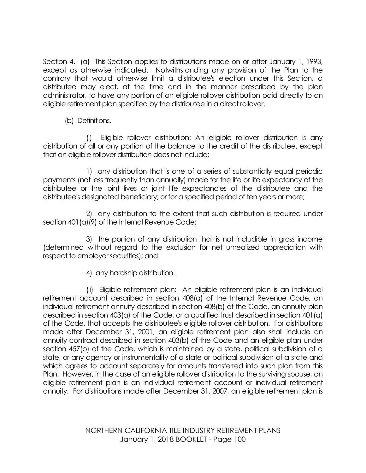Section 4. (a) This Section applies to distributions made on or after January 1, 1993, except as otherwise indicated. Notwithstanding any provision of the Plan to the contrary that would otherwise limit a distributee's election under this Section, a distributee may elect, at the time and in the manner prescribed by the plan administrator, to have any portion of an eligible rollover distribution paid directly to an eligible retirement plan specified by the distributee in a direct rollover.

(b) Definitions.

(i) Eligible rollover distribution: An eligible rollover distribution is any distribution of all or any portion of the balance to the credit of the distributee, except that an eligible rollover distribution does not include:

1) any distribution that is one of a series of substantially equal periodic payments (not less frequently than annually) made for the life or life expectancy of the distributee or the joint lives or joint life expectancies of the distributee and the distributee's designated beneficiary; or for a specified period of ten years or more;

2) any distribution to the extent that such distribution is required under section 401(a)(9) of the Internal Revenue Code;

3) the portion of any distribution that is not includible in gross income (determined without regard to the exclusion for net unrealized appreciation with respect to employer securities); and

4) any hardship distribution.

(ii) Eligible retirement plan: An eligible retirement plan is an individual retirement account described in section 408(a) of the Internal Revenue Code, an individual retirement annuity described in section 408(b) of the Code, an annuity plan described in section 403(a) of the Code, or a qualified trust described in section 401(a) of the Code, that accepts the distributee's eligible rollover distribution. For distributions made after December 31, 2001, an eligible retirement plan also shall include an annuity contract described in section 403(b) of the Code and an eligible plan under section 457(b) of the Code, which is maintained by a state, political subdivision of a state, or any agency or instrumentality of a state or political subdivision of a state and which agrees to account separately for amounts transferred into such plan from this Plan. However, in the case of an eligible rollover distribution to the surviving spouse, an eligible retirement plan is an individual retirement account or individual retirement annuity. For distributions made after December 31, 2007, an eligible retirement plan is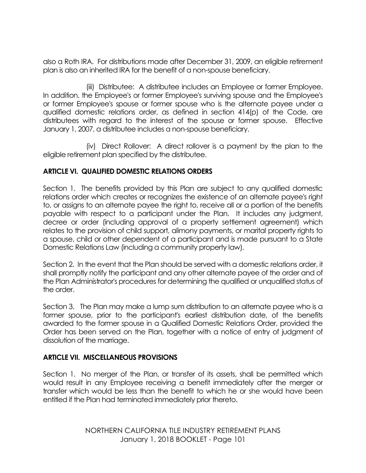also a Roth IRA. For distributions made after December 31, 2009, an eligible retirement plan is also an inherited IRA for the benefit of a non-spouse beneficiary.

(iii) Distributee: A distributee includes an Employee or former Employee. In addition, the Employee's or former Employee's surviving spouse and the Employee's or former Employee's spouse or former spouse who is the alternate payee under a qualified domestic relations order, as defined in section 414(p) of the Code, are distributees with regard to the interest of the spouse or former spouse. Effective January 1, 2007, a distributee includes a non-spouse beneficiary.

(iv) Direct Rollover: A direct rollover is a payment by the plan to the eligible retirement plan specified by the distributee.

## **ARTICLE VI. QUALIFIED DOMESTIC RELATIONS ORDERS**

Section 1. The benefits provided by this Plan are subject to any qualified domestic relations order which creates or recognizes the existence of an alternate payee's right to, or assigns to an alternate payee the right to, receive all or a portion of the benefits payable with respect to a participant under the Plan. It includes any judgment, decree or order (including approval of a property settlement agreement) which relates to the provision of child support, alimony payments, or marital property rights to a spouse, child or other dependent of a participant and is made pursuant to a State Domestic Relations Law (including a community property law).

Section 2. In the event that the Plan should be served with a domestic relations order, it shall promptly notify the participant and any other alternate payee of the order and of the Plan Administrator's procedures for determining the qualified or unqualified status of the order.

Section 3. The Plan may make a lump sum distribution to an alternate payee who is a former spouse, prior to the participant's earliest distribution date, of the benefits awarded to the former spouse in a Qualified Domestic Relations Order, provided the Order has been served on the Plan, together with a notice of entry of judgment of dissolution of the marriage.

#### **ARTICLE VII. MISCELLANEOUS PROVISIONS**

Section 1. No merger of the Plan, or transfer of its assets, shall be permitted which would result in any Employee receiving a benefit immediately after the merger or transfer which would be less than the benefit to which he or she would have been entitled if the Plan had terminated immediately prior thereto.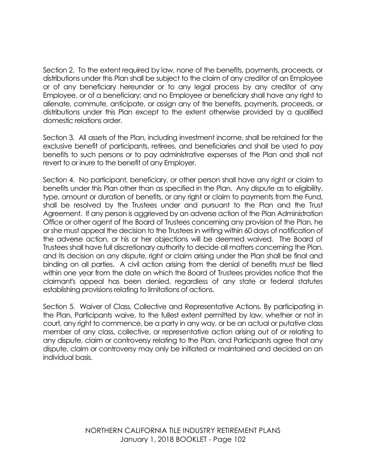Section 2. To the extent required by law, none of the benefits, payments, proceeds, or distributions under this Plan shall be subject to the claim of any creditor of an Employee or of any beneficiary hereunder or to any legal process by any creditor of any Employee, or of a beneficiary; and no Employee or beneficiary shall have any right to alienate, commute, anticipate, or assign any of the benefits, payments, proceeds, or distributions under this Plan except to the extent otherwise provided by a qualified domestic relations order.

Section 3. All assets of the Plan, including investment income, shall be retained for the exclusive benefit of participants, retirees, and beneficiaries and shall be used to pay benefits to such persons or to pay administrative expenses of the Plan and shall not revert to or inure to the benefit of any Employer.

Section 4. No participant, beneficiary, or other person shall have any right or claim to benefits under this Plan other than as specified in the Plan. Any dispute as to eligibility, type, amount or duration of benefits, or any right or claim to payments from the Fund, shall be resolved by the Trustees under and pursuant to the Plan and the Trust Agreement. If any person is aggrieved by an adverse action of the Plan Administration Office or other agent of the Board of Trustees concerning any provision of the Plan, he or she must appeal the decision to the Trustees in writing within 60 days of notification of the adverse action, or his or her objections will be deemed waived. The Board of Trustees shall have full discretionary authority to decide all matters concerning the Plan, and its decision on any dispute, right or claim arising under the Plan shall be final and binding on all parties. A civil action arising from the denial of benefits must be filed within one year from the date on which the Board of Trustees provides notice that the claimant's appeal has been denied, regardless of any state or federal statutes establishing provisions relating to limitations of actions.

Section 5. Waiver of Class, Collective and Representative Actions. By participating in the Plan, Participants waive, to the fullest extent permitted by law, whether or not in court, any right to commence, be a party in any way, or be an actual or putative class member of any class, collective, or representative action arising out of or relating to any dispute, claim or controversy relating to the Plan, and Participants agree that any dispute, claim or controversy may only be initiated or maintained and decided on an individual basis.